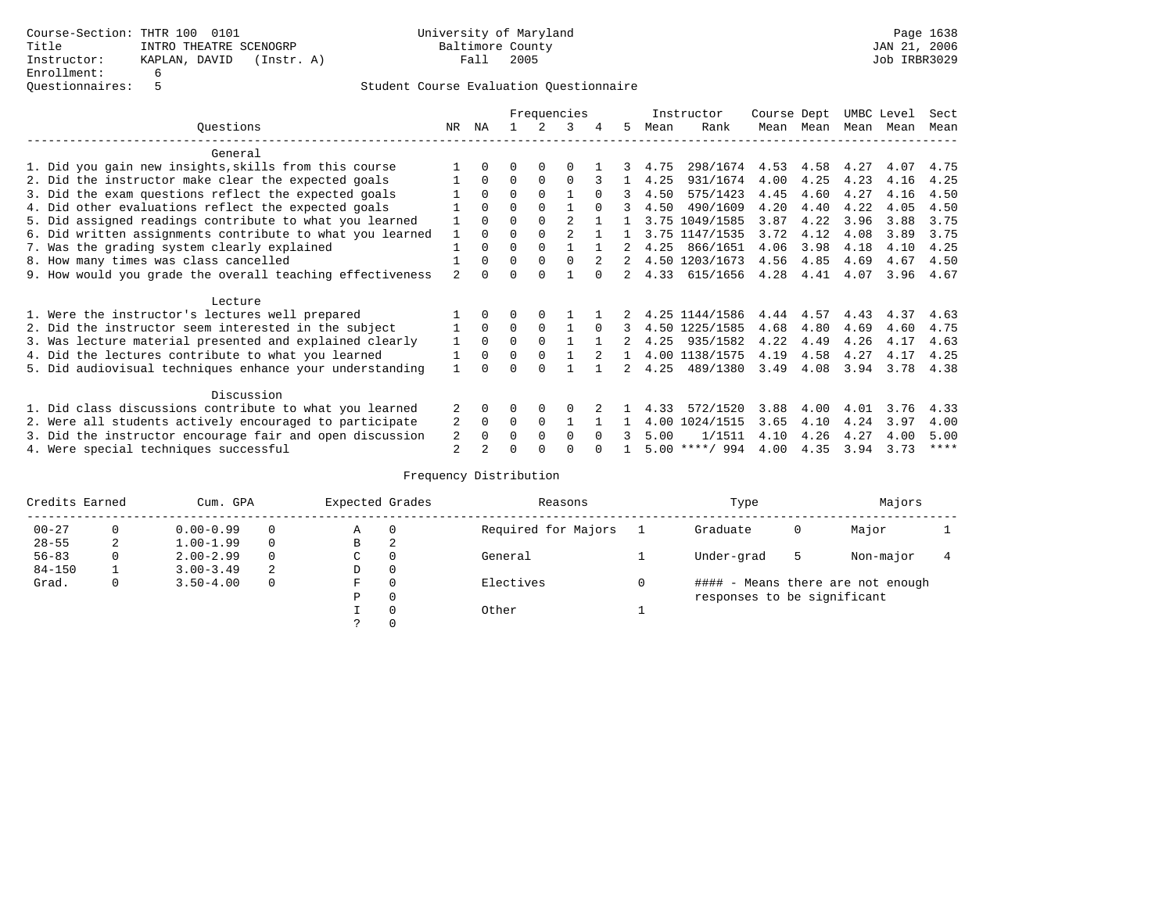|                                                           | Frequencies    |              |          |          |                |          | Instructor | Course Dept |                  | UMBC Level |           | Sect |      |      |
|-----------------------------------------------------------|----------------|--------------|----------|----------|----------------|----------|------------|-------------|------------------|------------|-----------|------|------|------|
| Ouestions                                                 | NR.            | ΝA           |          |          | 3              |          | 5.         | Mean        | Rank             |            | Mean Mean | Mean | Mean | Mean |
| General                                                   |                |              |          |          |                |          |            |             |                  |            |           |      |      |      |
| 1. Did you gain new insights, skills from this course     |                | $\Omega$     | 0        | $\Omega$ |                |          |            | 4.75        | 298/1674         | 4.53       | 4.58      | 4.27 | 4.07 | 4.75 |
| 2. Did the instructor make clear the expected goals       |                | $\Omega$     | $\Omega$ | $\Omega$ | $\Omega$       |          |            | 4.25        | 931/1674         | 4.00       | 4.25      | 4.23 | 4.16 | 4.25 |
| 3. Did the exam questions reflect the expected goals      |                | $\Omega$     | $\Omega$ | $\Omega$ |                | $\Omega$ | 3          | 4.50        | 575/1423         | 4.45       | 4.60      | 4.27 | 4.16 | 4.50 |
| 4. Did other evaluations reflect the expected goals       |                | $\Omega$     | $\Omega$ | $\Omega$ |                |          | २          | 4.50        | 490/1609         | 4.20       | 4.40      | 4.22 | 4.05 | 4.50 |
| 5. Did assigned readings contribute to what you learned   |                | $\Omega$     | $\Omega$ | $\Omega$ | $\mathfrak{D}$ |          |            |             | 3.75 1049/1585   | 3.87       | 4.22      | 3.96 | 3.88 | 3.75 |
| 6. Did written assignments contribute to what you learned | $\mathbf{1}$   | $\Omega$     |          |          |                |          |            |             | 3.75 1147/1535   | 3.72       | 4.12      | 4.08 | 3.89 | 3.75 |
| 7. Was the grading system clearly explained               |                | $\Omega$     | 0        | $\Omega$ |                |          |            | 4.25        | 866/1651         | 4.06       | 3.98      | 4.18 | 4.10 | 4.25 |
| 8. How many times was class cancelled                     |                | $\Omega$     | $\Omega$ | $\Omega$ | $\Omega$       |          |            |             | 4.50 1203/1673   | 4.56       | 4.85      | 4.69 | 4.67 | 4.50 |
| 9. How would you grade the overall teaching effectiveness | $\mathfrak{D}$ | <sup>n</sup> | ∩        | ∩        |                |          |            | 4.33        | 615/1656         | 4.28       | 4.41      | 4.07 | 3.96 | 4.67 |
| Lecture                                                   |                |              |          |          |                |          |            |             |                  |            |           |      |      |      |
| 1. Were the instructor's lectures well prepared           |                |              |          | $\Omega$ |                |          |            |             | 4.25 1144/1586   | 4.44       | 4.57      | 4.43 | 4.37 | 4.63 |
| 2. Did the instructor seem interested in the subject      |                | $\Omega$     | $\Omega$ | $\Omega$ |                | $\Omega$ | 3          |             | 4.50 1225/1585   | 4.68       | 4.80      | 4.69 | 4.60 | 4.75 |
| 3. Was lecture material presented and explained clearly   |                | $\Omega$     | $\Omega$ | $\Omega$ |                |          |            | 4.25        | 935/1582         | 4.22       | 4.49      | 4.26 | 4.17 | 4.63 |
| 4. Did the lectures contribute to what you learned        |                | $\Omega$     | $\Omega$ | $\Omega$ |                |          |            |             | 4.00 1138/1575   | 4.19       | 4.58      | 4.27 | 4.17 | 4.25 |
| 5. Did audiovisual techniques enhance your understanding  |                |              |          |          |                |          |            | 4.25        | 489/1380         | 3.49       | 4.08      | 3.94 | 3.78 | 4.38 |
| Discussion                                                |                |              |          |          |                |          |            |             |                  |            |           |      |      |      |
| 1. Did class discussions contribute to what you learned   |                | 0            | 0        | $\Omega$ |                |          |            | 4.33        | 572/1520         | 3.88       | 4.00      | 4.01 | 3.76 | 4.33 |
| 2. Were all students actively encouraged to participate   |                |              | $\Omega$ | $\Omega$ |                |          |            | 4.00        | 1024/1515        | 3.65       | 4.10      | 4.24 | 3.97 | 4.00 |
| 3. Did the instructor encourage fair and open discussion  | 2              | $\Omega$     | O        | $\Omega$ | $\Omega$       | $\cap$   |            | 5.00        | 1/1511           | 4.10       | 4.26      | 4.27 | 4.00 | 5.00 |
| 4. Were special techniques successful                     | 2              |              |          |          |                |          |            |             | $5.00$ ****/ 994 | 4.00       | 4.35      | 3.94 | 3.73 | **** |

| Credits Earned |          | Cum. GPA      | Expected Grades |             | Reasons  |                     | Type | Majors                      |   |                                   |  |
|----------------|----------|---------------|-----------------|-------------|----------|---------------------|------|-----------------------------|---|-----------------------------------|--|
| $00 - 27$      | $\Omega$ | $0.00 - 0.99$ |                 | Α           | 0        | Required for Majors |      | Graduate                    | 0 | Major                             |  |
| $28 - 55$      | 2        | $1.00 - 1.99$ |                 | В           | 2        |                     |      |                             |   |                                   |  |
| $56 - 83$      | 0        | $2.00 - 2.99$ |                 | $\sim$<br>◡ |          | General             |      | Under-grad                  | 5 | Non-major                         |  |
| $84 - 150$     |          | $3.00 - 3.49$ | 2               | D           | 0        |                     |      |                             |   |                                   |  |
| Grad.          | 0        | $3.50 - 4.00$ |                 | F           | 0        | Electives           | 0    |                             |   | #### - Means there are not enough |  |
|                |          |               |                 | Ρ           | 0        |                     |      | responses to be significant |   |                                   |  |
|                |          |               |                 |             | $\Omega$ | Other               |      |                             |   |                                   |  |
|                |          |               |                 |             |          |                     |      |                             |   |                                   |  |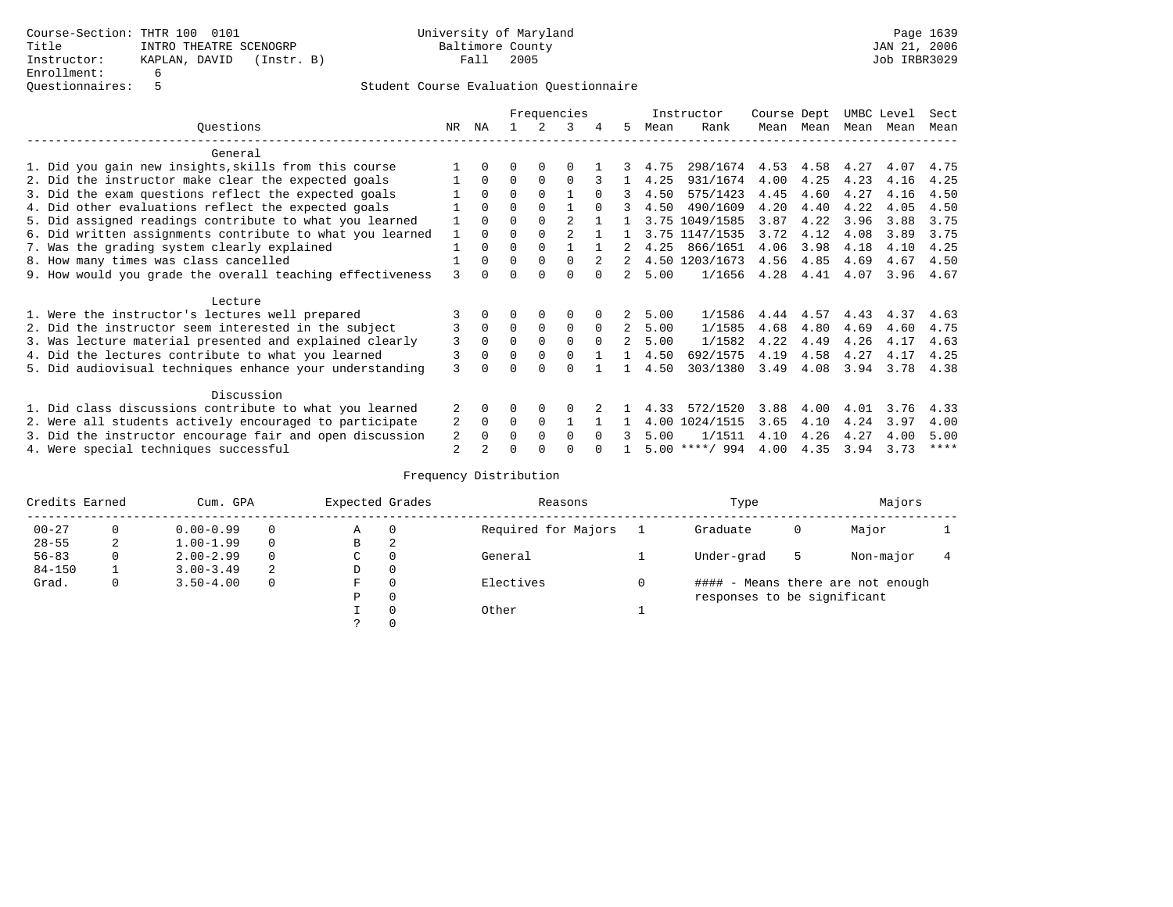|                                                           | Frequencies  |              |          |          |                |          | Instructor    | Course Dept |                  | UMBC Level |           | Sect |      |      |
|-----------------------------------------------------------|--------------|--------------|----------|----------|----------------|----------|---------------|-------------|------------------|------------|-----------|------|------|------|
| Ouestions                                                 | NR.          | ΝA           |          |          | 3              |          | 5.            | Mean        | Rank             |            | Mean Mean | Mean | Mean | Mean |
| General                                                   |              |              |          |          |                |          |               |             |                  |            |           |      |      |      |
| 1. Did you gain new insights, skills from this course     |              | $\Omega$     | 0        | $\Omega$ |                |          |               | 4.75        | 298/1674         | 4.53       | 4.58      | 4.27 | 4.07 | 4.75 |
| 2. Did the instructor make clear the expected goals       |              | $\Omega$     | $\Omega$ | $\Omega$ | $\Omega$       |          |               | 4.25        | 931/1674         | 4.00       | 4.25      | 4.23 | 4.16 | 4.25 |
| 3. Did the exam questions reflect the expected goals      |              | $\Omega$     | $\Omega$ | $\Omega$ |                | $\Omega$ | 3             | 4.50        | 575/1423         | 4.45       | 4.60      | 4.27 | 4.16 | 4.50 |
| 4. Did other evaluations reflect the expected goals       |              | $\Omega$     | $\Omega$ | $\Omega$ |                |          | 3             | 4.50        | 490/1609         | 4.20       | 4.40      | 4.22 | 4.05 | 4.50 |
| 5. Did assigned readings contribute to what you learned   |              | $\Omega$     | $\Omega$ | $\Omega$ | $\mathfrak{D}$ |          |               | 3.75        | 1049/1585        | 3.87       | 4.22      | 3.96 | 3.88 | 3.75 |
| 6. Did written assignments contribute to what you learned | $\mathbf{1}$ | $\Omega$     | $\Omega$ |          |                |          |               |             | 3.75 1147/1535   | 3.72       | 4.12      | 4.08 | 3.89 | 3.75 |
| 7. Was the grading system clearly explained               |              | $\Omega$     | 0        | $\Omega$ |                |          |               | 4.25        | 866/1651         | 4.06       | 3.98      | 4.18 | 4.10 | 4.25 |
| 8. How many times was class cancelled                     |              | $\Omega$     | $\Omega$ | $\Omega$ | $\Omega$       |          |               |             | 4.50 1203/1673   | 4.56       | 4.85      | 4.69 | 4.67 | 4.50 |
| 9. How would you grade the overall teaching effectiveness | 3            | <sup>n</sup> | ∩        | ∩        | U              |          | $\mathcal{L}$ | 5.00        | 1/1656           | 4.28       | 4.41      | 4.07 | 3.96 | 4.67 |
| Lecture                                                   |              |              |          |          |                |          |               |             |                  |            |           |      |      |      |
| 1. Were the instructor's lectures well prepared           |              |              |          | $\Omega$ | $\Omega$       |          |               | 5.00        | 1/1586           | 4.44       | 4.57      | 4.43 | 4.37 | 4.63 |
| 2. Did the instructor seem interested in the subject      |              | $\Omega$     | $\Omega$ | $\Omega$ | $\Omega$       | $\Omega$ | $2^{\circ}$   | 5.00        | 1/1585           | 4.68       | 4.80      | 4.69 | 4.60 | 4.75 |
| 3. Was lecture material presented and explained clearly   | 3            | $\Omega$     | $\Omega$ | $\Omega$ | $\Omega$       | $\Omega$ | $\mathcal{L}$ | 5.00        | 1/1582           | 4.22       | 4.49      | 4.26 | 4.17 | 4.63 |
| 4. Did the lectures contribute to what you learned        | 3            | $\Omega$     | $\Omega$ | $\Omega$ | $\Omega$       |          |               | 4.50        | 692/1575         | 4.19       | 4.58      | 4.27 | 4.17 | 4.25 |
| 5. Did audiovisual techniques enhance your understanding  | 3            |              |          |          | $\cap$         |          |               | 4.50        | 303/1380         | 3.49       | 4.08      | 3.94 | 3.78 | 4.38 |
| Discussion                                                |              |              |          |          |                |          |               |             |                  |            |           |      |      |      |
| 1. Did class discussions contribute to what you learned   |              | 0            | O        | $\Omega$ | O              |          |               | 4.33        | 572/1520         | 3.88       | 4.00      | 4.01 | 3.76 | 4.33 |
| 2. Were all students actively encouraged to participate   |              |              | $\Omega$ | $\Omega$ |                |          |               | 4.00        | 1024/1515        | 3.65       | 4.10      | 4.24 | 3.97 | 4.00 |
| 3. Did the instructor encourage fair and open discussion  | 2            | $\Omega$     | 0        | $\Omega$ | $\Omega$       | $\cap$   |               | 5.00        | 1/1511           | 4.10       | 4.26      | 4.27 | 4.00 | 5.00 |
| 4. Were special techniques successful                     | 2            |              |          |          |                |          |               |             | $5.00$ ****/ 994 | 4.00       | 4.35      | 3.94 | 3.73 | **** |

| Credits Earned |          | Cum. GPA      | Expected Grades |             | Reasons  |                     | Type | Majors                      |   |                                   |  |
|----------------|----------|---------------|-----------------|-------------|----------|---------------------|------|-----------------------------|---|-----------------------------------|--|
| $00 - 27$      | $\Omega$ | $0.00 - 0.99$ |                 | Α           | 0        | Required for Majors |      | Graduate                    | 0 | Major                             |  |
| $28 - 55$      | 2        | $1.00 - 1.99$ |                 | В           | 2        |                     |      |                             |   |                                   |  |
| $56 - 83$      | 0        | $2.00 - 2.99$ |                 | $\sim$<br>◡ |          | General             |      | Under-grad                  | 5 | Non-major                         |  |
| $84 - 150$     |          | $3.00 - 3.49$ | 2               | D           | 0        |                     |      |                             |   |                                   |  |
| Grad.          | 0        | $3.50 - 4.00$ |                 | F           | 0        | Electives           | 0    |                             |   | #### - Means there are not enough |  |
|                |          |               |                 | Ρ           | 0        |                     |      | responses to be significant |   |                                   |  |
|                |          |               |                 |             | $\Omega$ | Other               |      |                             |   |                                   |  |
|                |          |               |                 |             |          |                     |      |                             |   |                                   |  |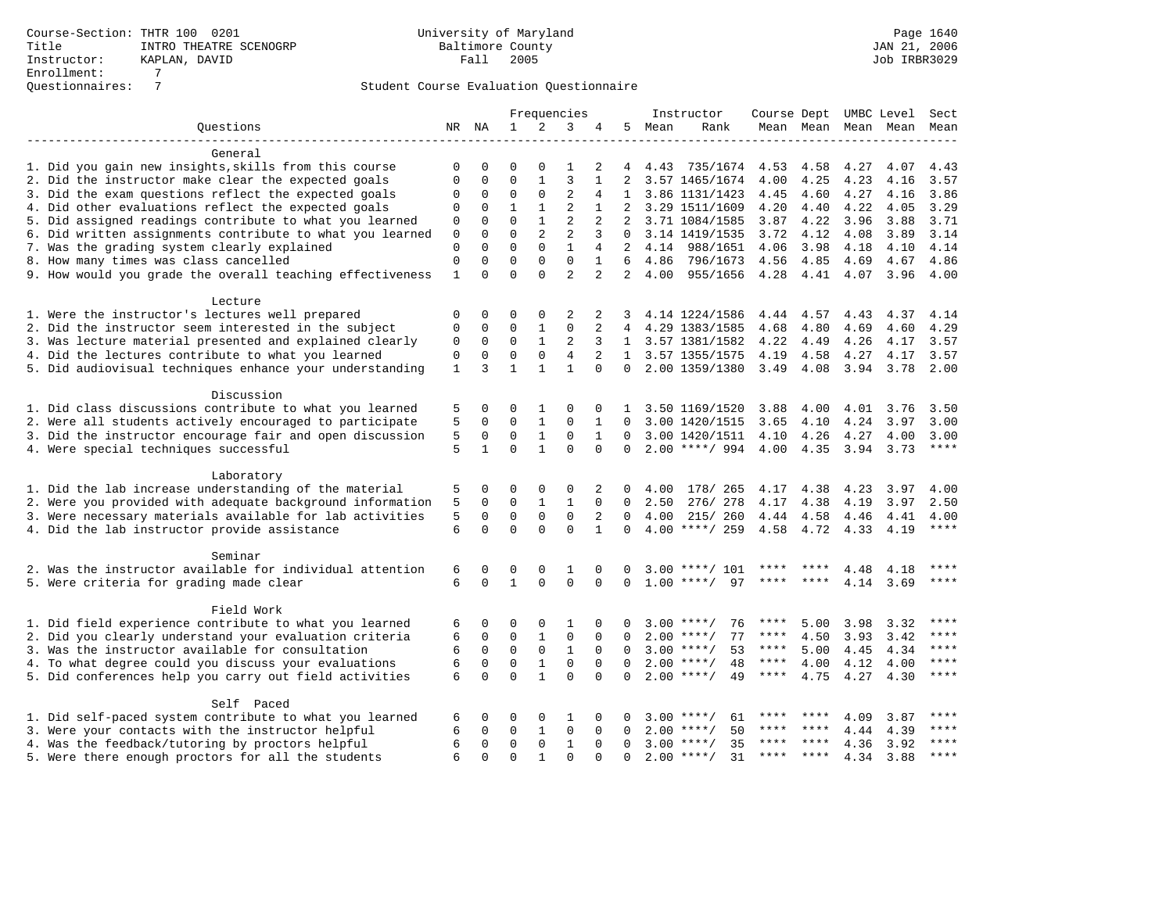|                                                           | Frequencies  |              |              |                | Instructor     | Course Dept UMBC Level Sect |                |      |                    |             |         |      |                     |       |
|-----------------------------------------------------------|--------------|--------------|--------------|----------------|----------------|-----------------------------|----------------|------|--------------------|-------------|---------|------|---------------------|-------|
| Ouestions                                                 |              | NR NA        | $\mathbf{1}$ | 2              | 3              | 4                           | 5              | Mean | Rank               |             |         |      | Mean Mean Mean Mean | Mean  |
|                                                           |              |              |              |                |                |                             |                |      |                    |             |         |      |                     |       |
| General                                                   |              |              |              |                |                |                             |                |      |                    |             |         |      |                     |       |
| 1. Did you gain new insights, skills from this course     | $\Omega$     | 0            | $\Omega$     | $\Omega$       | 1              | 2                           | 4              | 4.43 | 735/1674           | 4.53        | 4.58    | 4.27 | 4.07                | 4.43  |
| 2. Did the instructor make clear the expected goals       | $\Omega$     | 0            | $\Omega$     | $\mathbf{1}$   | 3              | 1                           | 2              |      | 3.57 1465/1674     | 4.00        | 4.25    | 4.23 | 4.16                | 3.57  |
| 3. Did the exam questions reflect the expected goals      | $\Omega$     | 0            | $\Omega$     | $\Omega$       | $\overline{2}$ | 4                           | $\mathbf{1}$   |      | 3.86 1131/1423     | 4.45        | 4.60    | 4.27 | 4.16                | 3.86  |
| 4. Did other evaluations reflect the expected goals       | $\Omega$     | 0            | $\mathbf{1}$ | $\mathbf{1}$   | $\overline{2}$ | $\mathbf{1}$                | $\overline{2}$ |      | 3.29 1511/1609     | 4.20        | 4.40    | 4.22 | 4.05                | 3.29  |
| 5. Did assigned readings contribute to what you learned   | 0            | $\Omega$     | $\Omega$     | $\mathbf{1}$   | $\overline{c}$ | 2                           | 2              |      | 3.71 1084/1585     | 3.87        | 4.22    | 3.96 | 3.88                | 3.71  |
| 6. Did written assignments contribute to what you learned | $\mathbf 0$  | $\Omega$     | $\Omega$     | $\overline{a}$ | $\overline{2}$ | 3                           | $\Omega$       |      | 3.14 1419/1535     | 3.72        | 4.12    | 4.08 | 3.89                | 3.14  |
| 7. Was the grading system clearly explained               | $\Omega$     | $\Omega$     | $\Omega$     | $\Omega$       | $\mathbf{1}$   | 4                           | $\overline{2}$ |      | 4.14 988/1651      | 4.06        | 3.98    | 4.18 | 4.10                | 4.14  |
| 8. How many times was class cancelled                     | 0            | $\Omega$     | $\Omega$     | $\Omega$       | $\mathbf 0$    | 1                           | 6              | 4.86 | 796/1673           | 4.56        | 4.85    | 4.69 | 4.67                | 4.86  |
| 9. How would you grade the overall teaching effectiveness | 1            | $\Omega$     | $\Omega$     | $\Omega$       | $\overline{a}$ | $\overline{a}$              | $\overline{a}$ | 4.00 | 955/1656           | 4.28        | 4.41    | 4.07 | 3.96                | 4.00  |
|                                                           |              |              |              |                |                |                             |                |      |                    |             |         |      |                     |       |
| Lecture                                                   |              |              |              |                |                |                             |                |      |                    |             |         |      |                     |       |
| 1. Were the instructor's lectures well prepared           | $\mathbf 0$  | $\Omega$     | $\Omega$     | $\Omega$       | 2              | 2                           | 3              |      | 4.14 1224/1586     | 4.44        | 4.57    | 4.43 | 4.37                | 4.14  |
| 2. Did the instructor seem interested in the subject      | 0            | $\mathbf 0$  | $\mathbf 0$  | $\mathbf{1}$   | $\Omega$       | 2                           | 4              |      | 4.29 1383/1585     | 4.68        | 4.80    | 4.69 | 4.60                | 4.29  |
| 3. Was lecture material presented and explained clearly   | 0            | $\mathbf 0$  | $\mathbf 0$  | $\mathbf{1}$   | 2              | 3                           |                |      | 1 3.57 1381/1582   | 4.22        | 4.49    | 4.26 | 4.17                | 3.57  |
| 4. Did the lectures contribute to what you learned        | 0            | 0            | $\mathbf 0$  | $\mathbf 0$    | 4              | $\overline{2}$              | $\mathbf{1}$   |      | 3.57 1355/1575     | 4.19        | 4.58    | 4.27 | 4.17                | 3.57  |
| 5. Did audiovisual techniques enhance your understanding  | $\mathbf{1}$ | 3            | $\mathbf{1}$ | $\mathbf{1}$   | $\mathbf{1}$   | $\Omega$                    | $\Omega$       |      | 2.00 1359/1380     | 3.49 4.08   |         | 3.94 | 3.78                | 2.00  |
| Discussion                                                |              |              |              |                |                |                             |                |      |                    |             |         |      |                     |       |
| 1. Did class discussions contribute to what you learned   | 5            | 0            | $\Omega$     | 1              | $\Omega$       | $\Omega$                    | 1              |      | 3.50 1169/1520     | 3.88        | 4.00    | 4.01 | 3.76                | 3.50  |
| 2. Were all students actively encouraged to participate   | 5            | 0            | $\mathbf 0$  | $\mathbf{1}$   | $\mathbf 0$    | $\mathbf{1}$                | $\Omega$       |      | 3.00 1420/1515     | 3.65        | 4.10    | 4.24 | 3.97                | 3.00  |
| 3. Did the instructor encourage fair and open discussion  | 5            | 0            | $\Omega$     | $\mathbf{1}$   | $\Omega$       | 1                           | $\Omega$       |      | 3.00 1420/1511     | 4.10        | 4.26    | 4.27 | 4.00                | 3.00  |
| 4. Were special techniques successful                     | 5            | $\mathbf{1}$ | $\Omega$     | $\mathbf{1}$   | $\Omega$       | $\Omega$                    | $\Omega$       |      | $2.00$ ****/ 994   | 4.00        | 4.35    | 3.94 | 3.73                | $***$ |
|                                                           |              |              |              |                |                |                             |                |      |                    |             |         |      |                     |       |
| Laboratory                                                |              |              |              |                |                |                             |                |      |                    |             |         |      |                     |       |
| 1. Did the lab increase understanding of the material     | 5            | 0            | $\Omega$     | 0              | $\Omega$       | 2                           | 0              | 4.00 | 178/ 265           | 4.17        | 4.38    | 4.23 | 3.97                | 4.00  |
| 2. Were you provided with adequate background information | 5            | 0            | $\mathbf 0$  | 1              | 1              | $\mathbf 0$                 | 0              | 2.50 | 276/278            | 4.17        | 4.38    | 4.19 | 3.97                | 2.50  |
| 3. Were necessary materials available for lab activities  | 5            | $\Omega$     | $\mathbf 0$  | $\mathbf 0$    | $\mathbf 0$    | 2                           | $\Omega$       | 4.00 | 215/ 260           | 4.44        | 4.58    | 4.46 | 4.41                | 4.00  |
| 4. Did the lab instructor provide assistance              | 6            | $\Omega$     | $\Omega$     | $\Omega$       | $\Omega$       | $\mathbf{1}$                | $\Omega$       |      | 4.00 ****/ 259     | 4.58        | 4.72    | 4.33 | 4.19                | $***$ |
|                                                           |              |              |              |                |                |                             |                |      |                    |             |         |      |                     |       |
| Seminar                                                   |              |              |              |                |                |                             |                |      |                    |             |         |      |                     |       |
| 2. Was the instructor available for individual attention  | 6            | 0            | 0            | $\Omega$       | 1              | $\Omega$                    | 0              | 3.00 | $***/101$          |             |         | 4.48 | 4.18                | ****  |
| 5. Were criteria for grading made clear                   | 6            | $\Omega$     | $\mathbf{1}$ | $\Omega$       | $\Omega$       | $\Omega$                    | $\Omega$       | 1.00 | 97<br>$* * * * /$  |             |         | 4.14 | 3.69                | ****  |
| Field Work                                                |              |              |              |                |                |                             |                |      |                    |             |         |      |                     |       |
| 1. Did field experience contribute to what you learned    | 6            | 0            | $\Omega$     | $\Omega$       | 1              | $\Omega$                    | O              |      | $3.00$ ****/<br>76 | ****        | 5.00    | 3.98 | 3.32                | ****  |
| 2. Did you clearly understand your evaluation criteria    | 6            | 0            | 0            | 1              | $\mathsf 0$    | $\mathbf 0$                 | O              |      | $2.00$ ****/<br>77 | ****        | 4.50    | 3.93 | 3.42                | ****  |
| 3. Was the instructor available for consultation          | 6            | $\mathbf 0$  | $\mathbf 0$  | $\mathbf 0$    | $\mathbf{1}$   | $\Omega$                    | $\Omega$       |      | $3.00$ ****/<br>53 | $***$ * * * | 5.00    | 4.45 | 4.34                | ****  |
| 4. To what degree could you discuss your evaluations      | 6            | 0            | $\Omega$     | $\mathbf{1}$   | $\mathbf 0$    | $\Omega$                    | $\Omega$       |      | $2.00$ ****/<br>48 | ****        | 4.00    | 4.12 | 4.00                | $***$ |
| 5. Did conferences help you carry out field activities    | 6            | $\Omega$     | $\Omega$     | $\mathbf{1}$   | $\Omega$       | $\Omega$                    | $\Omega$       |      | $2.00$ ****/<br>49 | $***$ * * * | 4.75    | 4.27 | 4.30                | $***$ |
|                                                           |              |              |              |                |                |                             |                |      |                    |             |         |      |                     |       |
| Self Paced                                                |              |              |              |                |                |                             |                |      |                    |             |         |      |                     |       |
| 1. Did self-paced system contribute to what you learned   | 6            | 0            | 0            | 0              | 1              | $\Omega$                    | $\Omega$       | 3.00 | $* * * * /$<br>61  |             |         | 4.09 | 3.87                |       |
| 3. Were your contacts with the instructor helpful         | 6            | $\Omega$     | $\mathbf 0$  | $\mathbf{1}$   | $\mathbf 0$    | $\Omega$                    | $\Omega$       | 2.00 | 50<br>$* * * * /$  |             | ****    | 4.44 | 4.39                |       |
| 4. Was the feedback/tutoring by proctors helpful          | 6            | $\Omega$     | $\mathbf{0}$ | 0              | $\mathbf{1}$   | $\Omega$                    | $\Omega$       | 3.00 | $***$ /<br>35      | ****        | $***$ * | 4.36 | 3.92                | ****  |
| 5. Were there enough proctors for all the students        | 6            | $\Omega$     | $\Omega$     | $\mathbf{1}$   | $\Omega$       | $\Omega$                    | $\Omega$       |      | $2.00$ ****/<br>31 | ****        | $***$ * | 4.34 | 3.88                | ****  |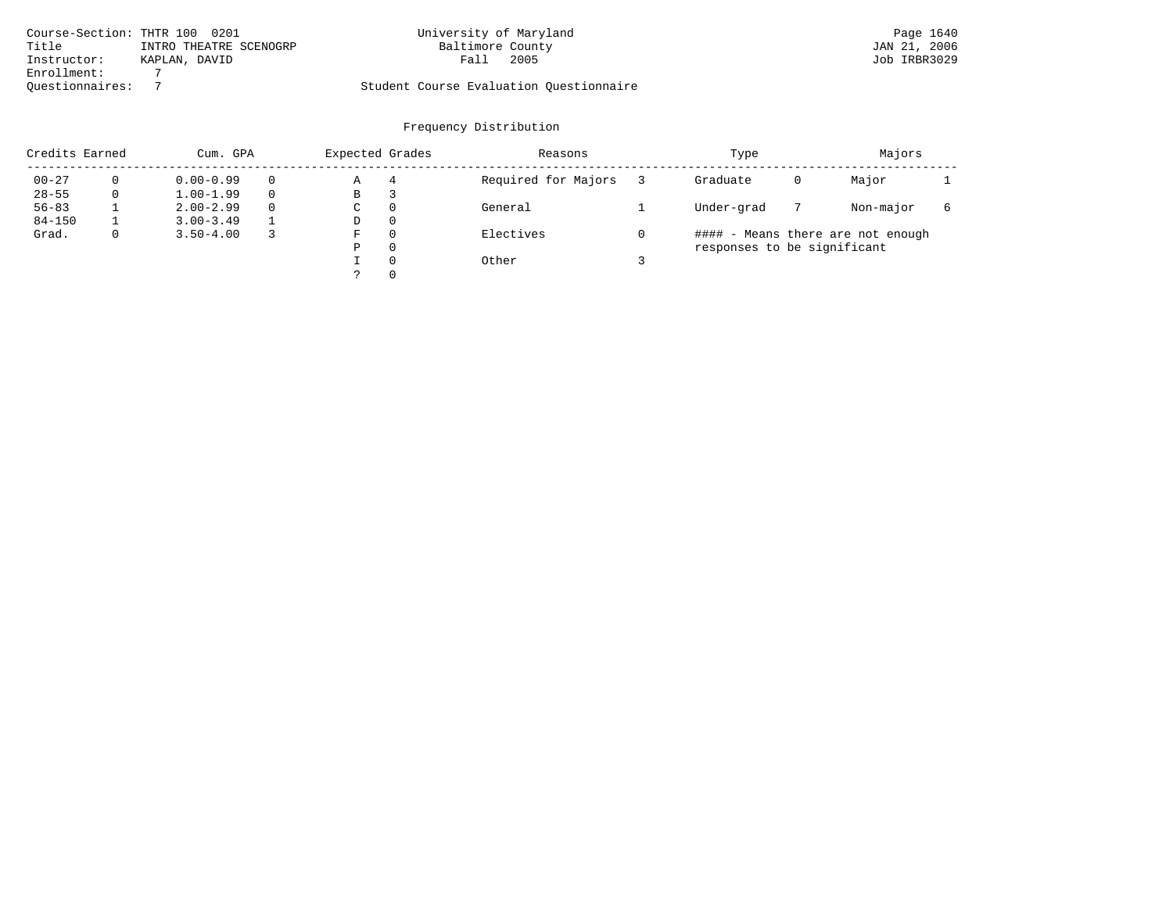|                 | Course-Section: THTR 100 0201 | University of Maryland                  | Page 1640    |
|-----------------|-------------------------------|-----------------------------------------|--------------|
| Title           | INTRO THEATRE SCENOGRP        | Baltimore County                        | JAN 21, 2006 |
| Instructor:     | KAPLAN, DAVID                 | 2005<br>Fall                            | Job IRBR3029 |
| Enrollment:     |                               |                                         |              |
| Ouestionnaires: |                               | Student Course Evaluation Questionnaire |              |

| Credits Earned |          | Cum. GPA      | Expected Grades |          | Reasons             | Type                        | Majors |                                   |  |
|----------------|----------|---------------|-----------------|----------|---------------------|-----------------------------|--------|-----------------------------------|--|
| $00 - 27$      | $\Omega$ | $0.00 - 0.99$ | Α               | 4        | Required for Majors | Graduate                    | 0      | Major                             |  |
| $28 - 55$      | 0        | $1.00 - 1.99$ | В               | 3        |                     |                             |        |                                   |  |
| $56 - 83$      |          | $2.00 - 2.99$ | $\sim$<br>◡     | 0        | General             | Under-grad                  |        | Non-major                         |  |
| $84 - 150$     |          | $3.00 - 3.49$ | D               | 0        |                     |                             |        |                                   |  |
| Grad.          | 0        | $3.50 - 4.00$ | F               | 0        | Electives           |                             |        | #### - Means there are not enough |  |
|                |          |               | Ρ               | 0        |                     | responses to be significant |        |                                   |  |
|                |          |               |                 | $\Omega$ | Other               |                             |        |                                   |  |
|                |          |               |                 | 0        |                     |                             |        |                                   |  |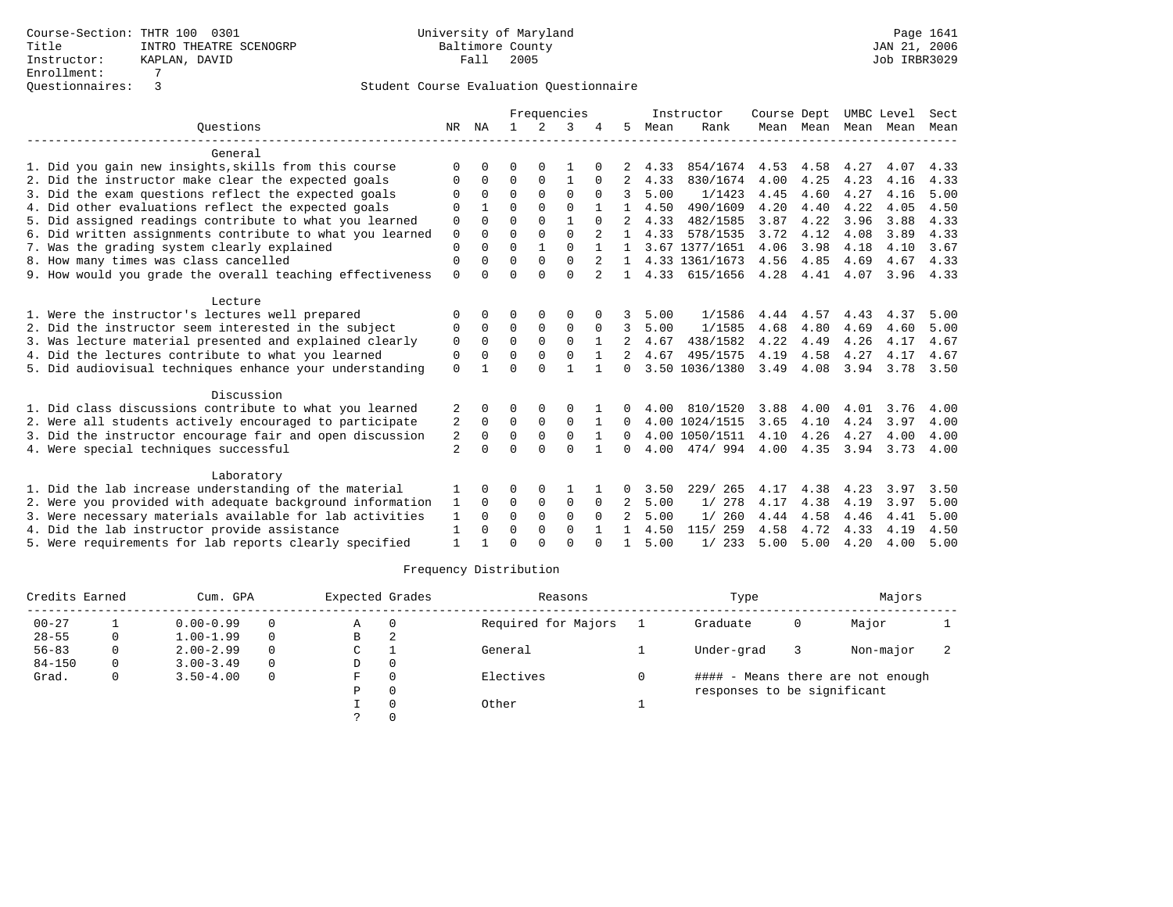|                                                           |                | Frequencies |          | Instructor  |              |              | Course Dept    |      | UMBC Level     |      | Sect           |      |      |      |
|-----------------------------------------------------------|----------------|-------------|----------|-------------|--------------|--------------|----------------|------|----------------|------|----------------|------|------|------|
| Ouestions                                                 | NR             | ΝA          | 1.       | 2           | 3            |              | 5              | Mean | Rank           |      | Mean Mean Mean |      | Mean | Mean |
| General                                                   |                |             |          |             |              |              |                |      |                |      |                |      |      |      |
| 1. Did you gain new insights, skills from this course     | $\Omega$       |             | O        |             |              |              |                | 4.33 | 854/1674       | 4.53 | 4.58           | 4.27 | 4.07 | 4.33 |
| 2. Did the instructor make clear the expected goals       | $\Omega$       | 0           | $\Omega$ | 0           | 1            | $\Omega$     | 2              | 4.33 | 830/1674       | 4.00 | 4.25           | 4.23 | 4.16 | 4.33 |
| 3. Did the exam questions reflect the expected goals      | $\Omega$       | $\Omega$    | $\Omega$ | $\Omega$    | $\Omega$     | $\Omega$     | 3              | 5.00 | 1/1423         | 4.45 | 4.60           | 4.27 | 4.16 | 5.00 |
| 4. Did other evaluations reflect the expected goals       | $\Omega$       |             | $\Omega$ | $\Omega$    | $\Omega$     |              |                | 4.50 | 490/1609       | 4.20 | 4.40           | 4.22 | 4.05 | 4.50 |
| 5. Did assigned readings contribute to what you learned   | 0              | O           | $\Omega$ | $\Omega$    | $\mathbf{1}$ |              |                | 4.33 | 482/1585       | 3.87 | 4.22           | 3.96 | 3.88 | 4.33 |
| 6. Did written assignments contribute to what you learned | $\mathbf 0$    | $\Omega$    | $\Omega$ | $\Omega$    | $\Omega$     |              | 1.             | 4.33 | 578/1535       | 3.72 | 4.12           | 4.08 | 3.89 | 4.33 |
| 7. Was the grading system clearly explained               | 0              |             | $\Omega$ |             | $\Omega$     |              |                |      | 3.67 1377/1651 | 4.06 | 3.98           | 4.18 | 4.10 | 3.67 |
| 8. How many times was class cancelled                     | $\Omega$       | 0           | $\Omega$ | $\Omega$    | $\Omega$     | 2            | $\mathbf{1}$   |      | 4.33 1361/1673 | 4.56 | 4.85           | 4.69 | 4.67 | 4.33 |
| 9. How would you grade the overall teaching effectiveness | $\Omega$       | U           | $\Omega$ | $\Omega$    | $\Omega$     |              | $\mathbf{1}$   | 4.33 | 615/1656       | 4.28 | 4.41           | 4.07 | 3.96 | 4.33 |
| Lecture                                                   |                |             |          |             |              |              |                |      |                |      |                |      |      |      |
| 1. Were the instructor's lectures well prepared           | $\Omega$       |             | 0        |             | $\Omega$     |              |                | 5.00 | 1/1586         | 4.44 | 4.57           | 4.43 | 4.37 | 5.00 |
| 2. Did the instructor seem interested in the subject      | 0              | 0           | 0        | 0           | $\mathbf 0$  | 0            | 3              | 5.00 | 1/1585         | 4.68 | 4.80           | 4.69 | 4.60 | 5.00 |
| 3. Was lecture material presented and explained clearly   | 0              | $\Omega$    | $\Omega$ | $\Omega$    | $\Omega$     | $\mathbf{1}$ | $\mathfrak{D}$ | 4.67 | 438/1582       | 4.22 | 4.49           | 4.26 | 4.17 | 4.67 |
| 4. Did the lectures contribute to what you learned        | $\Omega$       | $\Omega$    | $\Omega$ | $\Omega$    | $\mathbf 0$  |              |                | 4.67 | 495/1575       | 4.19 | 4.58           | 4.27 | 4.17 | 4.67 |
| 5. Did audiovisual techniques enhance your understanding  | $\Omega$       |             | $\Omega$ | $\cap$      | $\mathbf{1}$ | $\mathbf{1}$ | <sup>0</sup>   |      | 3.50 1036/1380 | 3.49 | 4.08           | 3.94 | 3.78 | 3.50 |
| Discussion                                                |                |             |          |             |              |              |                |      |                |      |                |      |      |      |
| 1. Did class discussions contribute to what you learned   | 2              | 0           | 0        | $\Omega$    | $\Omega$     |              | $\Omega$       | 4.00 | 810/1520       | 3.88 | 4.00           | 4.01 | 3.76 | 4.00 |
| 2. Were all students actively encouraged to participate   | 2              | $\Omega$    | $\Omega$ | $\Omega$    | $\Omega$     | 1            | 0              |      | 4.00 1024/1515 | 3.65 | 4.10           | 4.24 | 3.97 | 4.00 |
| 3. Did the instructor encourage fair and open discussion  | 2              | $\Omega$    | $\Omega$ | $\mathbf 0$ | $\mathbf 0$  |              | <sup>0</sup>   |      | 4.00 1050/1511 | 4.10 | 4.26           | 4.27 | 4.00 | 4.00 |
| 4. Were special techniques successful                     | $\overline{2}$ | $\Omega$    | $\Omega$ | $\Omega$    | $\Omega$     | $\mathbf{1}$ | <sup>0</sup>   | 4.00 | 474/994        | 4.00 | 4.35           | 3.94 | 3.73 | 4.00 |
| Laboratory                                                |                |             |          |             |              |              |                |      |                |      |                |      |      |      |
| 1. Did the lab increase understanding of the material     |                | 0           | 0        | 0           |              |              | 0              | 3.50 | 229/<br>265    | 4.17 | 4.38           | 4.23 | 3.97 | 3.50 |
| 2. Were you provided with adequate background information | 1              | $\Omega$    | 0        | 0           | $\mathbf 0$  | $\Omega$     | 2              | 5.00 | 1/278          | 4.17 | 4.38           | 4.19 | 3.97 | 5.00 |
| 3. Were necessary materials available for lab activities  | 1              | $\Omega$    | $\Omega$ | $\Omega$    | $\Omega$     | $\Omega$     |                | 5.00 | 1/260          | 4.44 | 4.58           | 4.46 | 4.41 | 5.00 |
| 4. Did the lab instructor provide assistance              | 1              | $\Omega$    | 0        | 0           | $\mathbf 0$  |              |                | 4.50 | 115/ 259       | 4.58 | 4.72           | 4.33 | 4.19 | 4.50 |
| 5. Were requirements for lab reports clearly specified    | 1              |             | $\cap$   | $\cap$      | $\Omega$     | ∩            |                | 5.00 | 1/233          | 5.00 | 5.00           | 4.20 | 4.00 | 5.00 |

| Credits Earned |              | Cum. GPA      |          |    | Expected Grades | Reasons             | Type                        | Majors |                                   |  |
|----------------|--------------|---------------|----------|----|-----------------|---------------------|-----------------------------|--------|-----------------------------------|--|
| $00 - 27$      |              | $0.00 - 0.99$ | $\Omega$ | Α  | $\Omega$        | Required for Majors | Graduate                    | 0      | Major                             |  |
| $28 - 55$      | $\mathbf{0}$ | $1.00 - 1.99$ | $\Omega$ | В  | 2               |                     |                             |        |                                   |  |
| $56 - 83$      | 0            | $2.00 - 2.99$ | $\Omega$ | C  |                 | General             | Under-grad                  |        | Non-major                         |  |
| $84 - 150$     | 0            | $3.00 - 3.49$ | $\Omega$ | D  | $\Omega$        |                     |                             |        |                                   |  |
| Grad.          | 0            | $3.50 - 4.00$ | $\Omega$ | F. | $\Omega$        | Electives           |                             |        | #### - Means there are not enough |  |
|                |              |               |          | P  | $\Omega$        |                     | responses to be significant |        |                                   |  |
|                |              |               |          |    |                 | Other               |                             |        |                                   |  |
|                |              |               |          |    |                 |                     |                             |        |                                   |  |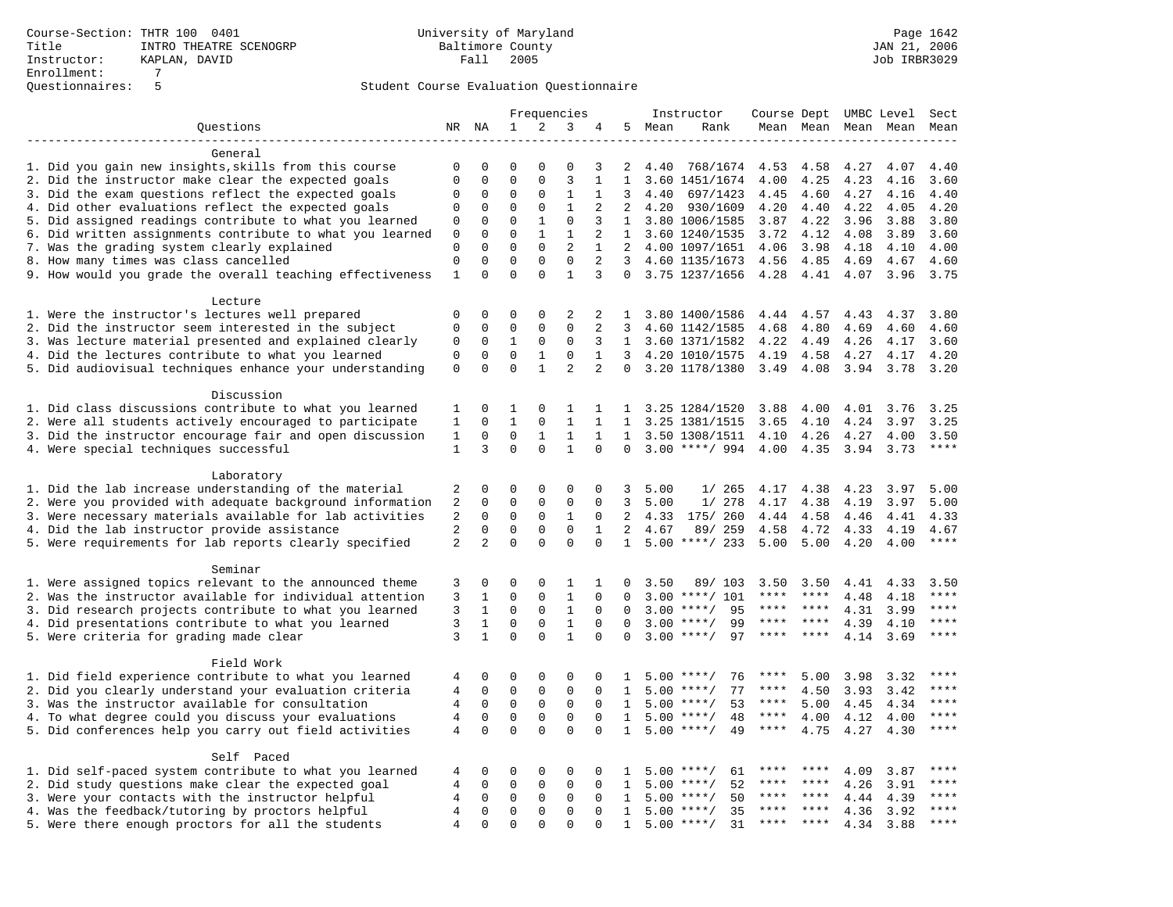|                                                           | Frequencies    |              |              | Instructor   | Course Dept UMBC Level |                |                |      | Sect               |           |           |      |           |                        |
|-----------------------------------------------------------|----------------|--------------|--------------|--------------|------------------------|----------------|----------------|------|--------------------|-----------|-----------|------|-----------|------------------------|
| Ouestions                                                 |                | NR NA        | $\mathbf{1}$ | 2            | 3                      | 4              | 5              | Mean | Rank               |           | Mean Mean |      | Mean Mean | Mean                   |
|                                                           |                |              |              |              |                        |                |                |      |                    |           |           |      |           |                        |
| General                                                   |                |              |              |              |                        |                |                |      |                    |           |           |      |           |                        |
| 1. Did you gain new insights, skills from this course     | 0              | 0            | $\Omega$     | $\Omega$     | $\Omega$               | 3              | 2              | 4.40 | 768/1674           | 4.53      | 4.58      | 4.27 | 4.07      | 4.40                   |
| 2. Did the instructor make clear the expected goals       | $\mathbf{0}$   | $\Omega$     | $\Omega$     | $\Omega$     | $\overline{3}$         | $\mathbf{1}$   | $\mathbf{1}$   |      | 3.60 1451/1674     | 4.00      | 4.25      | 4.23 | 4.16      | 3.60                   |
| 3. Did the exam questions reflect the expected goals      |                | 0            | 0            | 0            | 1                      | $\mathbf{1}$   | 3              | 4.40 | 697/1423           | 4.45      | 4.60      | 4.27 | 4.16      | 4.40                   |
| 4. Did other evaluations reflect the expected goals       |                | $\mathbf 0$  | $\mathbf 0$  | $\mathbf 0$  | $\mathbf{1}$           | 2              | 2              | 4.20 | 930/1609           | 4.20      | 4.40      | 4.22 | 4.05      | 4.20                   |
| 5. Did assigned readings contribute to what you learned   | 0              | $\mathbf 0$  | $\mathbf 0$  | $\mathbf{1}$ | $\mathbf 0$            | 3              | $\mathbf{1}$   |      | 3.80 1006/1585     | 3.87      | 4.22      | 3.96 | 3.88      | 3.80                   |
| 6. Did written assignments contribute to what you learned | 0              | $\mathbf 0$  | $\mathbf 0$  | $\mathbf{1}$ | 1                      | 2              | $\mathbf{1}$   |      | 3.60 1240/1535     | 3.72      | 4.12      | 4.08 | 3.89      | 3.60                   |
| 7. Was the grading system clearly explained               | $\mathbf 0$    | $\Omega$     | $\Omega$     | $\Omega$     | $\overline{a}$         | $\mathbf{1}$   | 2              |      | 4.00 1097/1651     | 4.06      | 3.98      | 4.18 | 4.10      | 4.00                   |
| 8. How many times was class cancelled                     | $\mathbf 0$    | $\mathbf 0$  | $\mathbf 0$  | $\mathbf 0$  | $\mathbf 0$            | 2              | $\overline{3}$ |      | 4.60 1135/1673     | 4.56      | 4.85      | 4.69 | 4.67      | 4.60                   |
| 9. How would you grade the overall teaching effectiveness | $\mathbf{1}$   | $\mathbf{0}$ | $\mathbf 0$  | $\Omega$     | $\mathbf{1}$           | 3              | $\Omega$       |      | 3.75 1237/1656     | 4.28      | 4.41      | 4.07 | 3.96      | 3.75                   |
|                                                           |                |              |              |              |                        |                |                |      |                    |           |           |      |           |                        |
| Lecture                                                   |                |              |              |              |                        |                |                |      |                    |           |           |      |           |                        |
| 1. Were the instructor's lectures well prepared           | $\mathbf 0$    | $\mathbf 0$  | 0            | $\mathbf 0$  | 2                      | 2              | 1              |      | 3.80 1400/1586     | 4.44      | 4.57      | 4.43 | 4.37      | 3.80                   |
| 2. Did the instructor seem interested in the subject      | $\mathbf 0$    | 0            | 0            | $\mathbf{0}$ | $\mathbf 0$            | 2              | 3              |      | 4.60 1142/1585     | 4.68      | 4.80      | 4.69 | 4.60      | 4.60                   |
| 3. Was lecture material presented and explained clearly   | 0              | $\mathbf 0$  | $\mathbf{1}$ | $\mathbf 0$  | $\mathbf 0$            | 3              |                |      | 1 3.60 1371/1582   | 4.22      | 4.49      | 4.26 | 4.17      | 3.60                   |
| 4. Did the lectures contribute to what you learned        | $\mathbf 0$    | $\mathbf 0$  | $\mathbf 0$  | $\mathbf{1}$ | $\mathbf 0$            | $\mathbf{1}$   | 3              |      | 4.20 1010/1575     | 4.19      | 4.58      | 4.27 | 4.17      | 4.20                   |
| 5. Did audiovisual techniques enhance your understanding  | $\mathbf 0$    | $\mathbf 0$  | $\Omega$     | $\mathbf{1}$ | $\overline{a}$         | $\overline{2}$ | $\Omega$       |      | 3.20 1178/1380     | 3.49      | 4.08      | 3.94 | 3.78      | 3.20                   |
|                                                           |                |              |              |              |                        |                |                |      |                    |           |           |      |           |                        |
| Discussion                                                |                |              |              |              |                        |                |                |      |                    |           |           |      |           |                        |
| 1. Did class discussions contribute to what you learned   | 1              | 0            | 1            | 0            | 1                      | 1              | 1              |      | 3.25 1284/1520     | 3.88      | 4.00      | 4.01 | 3.76      | 3.25                   |
| 2. Were all students actively encouraged to participate   | 1              | $\mathbf 0$  | $\mathbf{1}$ | $\mathbf 0$  | $\mathbf{1}$           | $\mathbf{1}$   | $\mathbf{1}$   |      | 3.25 1381/1515     | 3.65      | 4.10      | 4.24 | 3.97      | 3.25                   |
| 3. Did the instructor encourage fair and open discussion  | 1              | $\mathbf 0$  | $\mathbf 0$  | 1            | $\mathbf{1}$           | 1              | 1              |      | 3.50 1308/1511     | 4.10      | 4.26      | 4.27 | 4.00      | 3.50                   |
| 4. Were special techniques successful                     | $\mathbf{1}$   | 3            | $\Omega$     | $\Omega$     | $\mathbf{1}$           | $\Omega$       | $\Omega$       |      | $3.00$ ****/ 994   | 4.00      | 4.35      | 3.94 | 3.73      | $***$                  |
|                                                           |                |              |              |              |                        |                |                |      |                    |           |           |      |           |                        |
| Laboratory                                                |                |              |              |              |                        |                |                |      |                    |           |           |      |           |                        |
| 1. Did the lab increase understanding of the material     | 2              | 0            | 0            | 0            | 0                      | 0              | 3              | 5.00 | 1/265              | 4.17      | 4.38      | 4.23 | 3.97      | 5.00                   |
| 2. Were you provided with adequate background information | 2              | 0            | 0            | $\mathbf 0$  | 0                      | $\Omega$       | 3              | 5.00 | 1/278              | 4.17      | 4.38      | 4.19 | 3.97      | 5.00                   |
| 3. Were necessary materials available for lab activities  | 2              | $\mathbf 0$  | $\mathbf 0$  | $\mathbf 0$  | $\mathbf{1}$           | $\mathbf 0$    | 2              | 4.33 | 175/ 260           | 4.44      | 4.58      | 4.46 | 4.41      | 4.33                   |
| 4. Did the lab instructor provide assistance              | $\overline{2}$ | $\mathbf 0$  | $\mathbf 0$  | $\mathsf 0$  | $\mathbf 0$            | $\mathbf{1}$   | $\overline{2}$ | 4.67 | 89/ 259            | 4.58      | 4.72      | 4.33 | 4.19      | 4.67                   |
| 5. Were requirements for lab reports clearly specified    | 2              | 2            | $\mathbf 0$  | $\mathbf 0$  | $\mathbf 0$            | $\mathbf 0$    | $\mathbf{1}$   |      | $5.00$ ****/ 233   | 5.00      | 5.00      | 4.20 | 4.00      | $***$                  |
| Seminar                                                   |                |              |              |              |                        |                |                |      |                    |           |           |      |           |                        |
| 1. Were assigned topics relevant to the announced theme   | 3              | $\mathbf 0$  | 0            | $\mathbf 0$  | 1                      | 1              | 0              | 3.50 | 89/ 103            | 3.50      | 3.50      | 4.41 | 4.33      | 3.50                   |
| 2. Was the instructor available for individual attention  | 3              | $\mathbf{1}$ | $\Omega$     | $\Omega$     | $\mathbf{1}$           | $\Omega$       | $\Omega$       |      | $3.00$ ****/ 101   | ****      | ****      | 4.48 | 4.18      | ****                   |
| 3. Did research projects contribute to what you learned   | 3              | $\mathbf{1}$ | $\mathbf 0$  | $\mathbf 0$  | $\mathbf{1}$           | $\mathbf 0$    | $\Omega$       | 3.00 | 95<br>$***/$       | ****      | $***$     | 4.31 | 3.99      | $***$                  |
| 4. Did presentations contribute to what you learned       | 3              | $\mathbf{1}$ | $\mathbf 0$  | $\mathbf 0$  | 1                      | 0              | $\Omega$       | 3.00 | 99<br>$***/$       | ****      | ****      | 4.39 | 4.10      | $\star\star\star\star$ |
| 5. Were criteria for grading made clear                   | 3              | $\mathbf{1}$ | $\Omega$     | $\Omega$     | $\mathbf{1}$           | $\Omega$       | $\Omega$       | 3.00 | 97<br>$***$ /      |           |           | 4.14 | 3.69      | ****                   |
|                                                           |                |              |              |              |                        |                |                |      |                    |           |           |      |           |                        |
| Field Work                                                |                |              |              |              |                        |                |                |      |                    |           |           |      |           |                        |
| 1. Did field experience contribute to what you learned    | 4              | $\mathbf 0$  | $\mathbf 0$  | $\mathbf{0}$ | $\Omega$               | 0              | 1              |      | 76<br>$5.00$ ****/ | ****      | 5.00      | 3.98 | 3.32      | ****                   |
| 2. Did you clearly understand your evaluation criteria    | 4              | 0            | 0            | $\mathbf 0$  | $\mathbf 0$            | $\mathbf 0$    | 1              | 5.00 | 77<br>$***/$       | ****      | 4.50      | 3.93 | 3.42      | ****                   |
| 3. Was the instructor available for consultation          | 4              | $\mathbf 0$  | $\mathbf 0$  | $\mathbf 0$  | $\mathbf 0$            | $\mathbf 0$    | 1              |      | $5.00$ ****/<br>53 | ****      | 5.00      | 4.45 | 4.34      | $***$                  |
| 4. To what degree could you discuss your evaluations      | 4              | $\Omega$     | $\mathbf 0$  | $\Omega$     | $\Omega$               | $\Omega$       | $\mathbf{1}$   |      | $5.00$ ****/<br>48 | $***$ * * | 4.00      | 4.12 | 4.00      | ****                   |
| 5. Did conferences help you carry out field activities    |                | $\mathsf 0$  | $\Omega$     | $\Omega$     | $\Omega$               | $\Omega$       | $\mathbf{1}$   |      | $5.00$ ****/<br>49 | ****      | 4.75      | 4.27 | 4.30      | ****                   |
|                                                           | $\overline{4}$ |              |              |              |                        |                |                |      |                    |           |           |      |           |                        |
| Self Paced                                                |                |              |              |              |                        |                |                |      |                    |           |           |      |           |                        |
| 1. Did self-paced system contribute to what you learned   | 4              | 0            | 0            | $\mathbf 0$  | $\Omega$               | $\Omega$       | 1              | 5.00 | $***$ /<br>61      | ****      |           | 4.09 | 3.87      | ****                   |
| 2. Did study questions make clear the expected goal       | 4              | $\mathbf 0$  | $\mathbf 0$  | $\mathbf 0$  | $\mathbf 0$            | $\Omega$       | $\mathbf{1}$   | 5.00 | 52<br>$***/$       | ****      | ****      | 4.26 | 3.91      | ****                   |
| 3. Were your contacts with the instructor helpful         | $\overline{4}$ | $\mathbf 0$  | $\mathbf 0$  | $\mathsf 0$  | $\mathbf 0$            | $\Omega$       | $\mathbf{1}$   | 5.00 | $***$ /<br>50      |           | $***$ *   | 4.44 | 4.39      | * * * *                |
| 4. Was the feedback/tutoring by proctors helpful          | $\overline{4}$ | $\mathbf 0$  | $\mathbf 0$  | $\mathbf 0$  | $\mathbf 0$            | $\Omega$       | $\mathbf{1}$   | 5.00 | $***$ /<br>35      | ****      | $* * * *$ | 4.36 | 3.92      | ****                   |
| 5. Were there enough proctors for all the students        | $\overline{4}$ | $\Omega$     | $\Omega$     | $\Omega$     | $\Omega$               | $\Omega$       | $\mathbf{1}$   |      | $5.00$ ****/<br>31 | ****      | ****      | 4.34 | 3.88      | ****                   |
|                                                           |                |              |              |              |                        |                |                |      |                    |           |           |      |           |                        |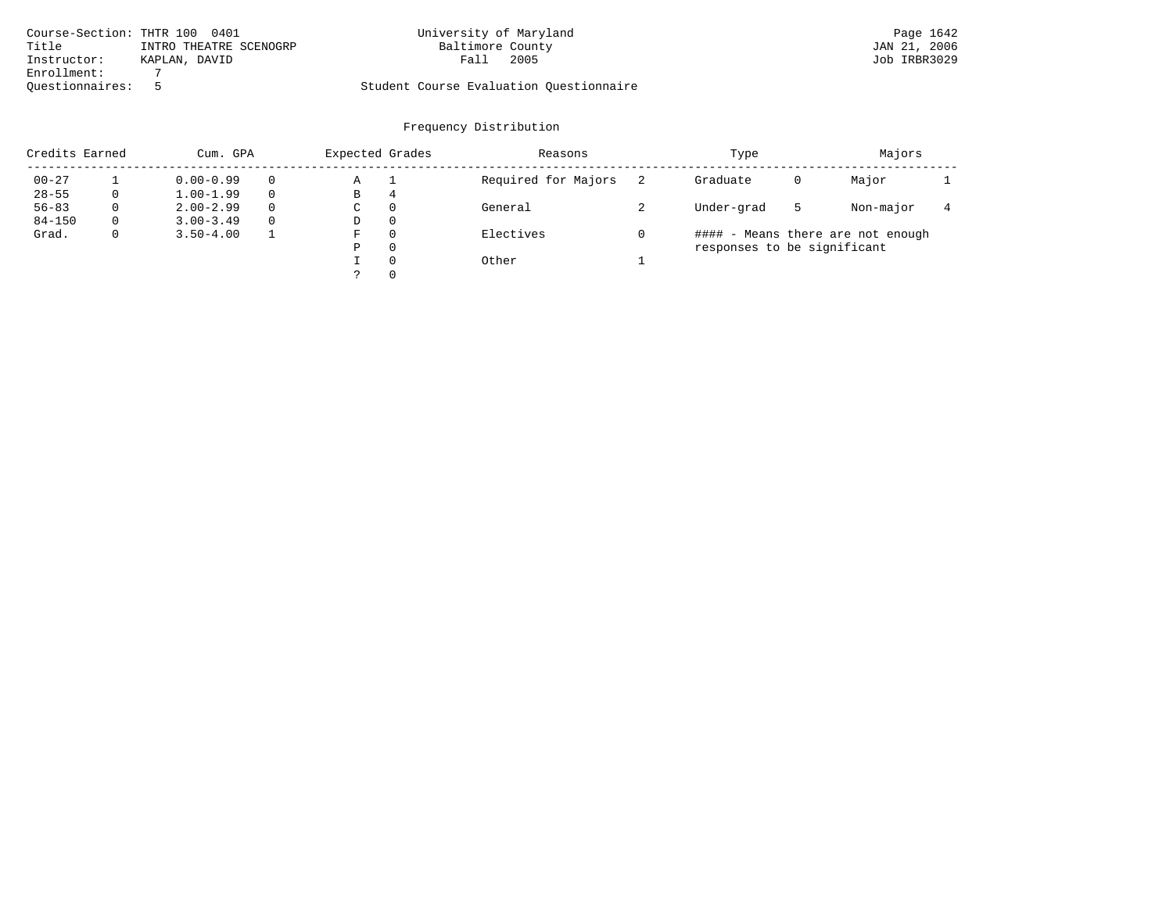|                 | Course-Section: THTR 100 0401 | University of Maryland                  | Page 1642    |
|-----------------|-------------------------------|-----------------------------------------|--------------|
| Title           | INTRO THEATRE SCENOGRP        | Baltimore County                        | JAN 21, 2006 |
| Instructor:     | KAPLAN, DAVID                 | 2005<br>Fall                            | Job IRBR3029 |
| Enrollment:     |                               |                                         |              |
| Ouestionnaires: |                               | Student Course Evaluation Questionnaire |              |

| Credits Earned |          | Cum. GPA      |          |   | Expected Grades | Reasons             | Type                        | Majors |                                   |  |
|----------------|----------|---------------|----------|---|-----------------|---------------------|-----------------------------|--------|-----------------------------------|--|
| $00 - 27$      |          | $0.00 - 0.99$ |          | Α |                 | Required for Majors | Graduate                    | 0      | Major                             |  |
| $28 - 55$      | 0        | $1.00 - 1.99$ |          | В | 4               |                     |                             |        |                                   |  |
| $56 - 83$      | $\Omega$ | $2.00 - 2.99$ | $\Omega$ | C | $\Omega$        | General             | Under-grad                  | 5      | Non-major                         |  |
| $84 - 150$     | $\Omega$ | $3.00 - 3.49$ | $\Omega$ | D | $\Omega$        |                     |                             |        |                                   |  |
| Grad.          | 0        | $3.50 - 4.00$ |          | F | $\Omega$        | Electives           |                             |        | #### - Means there are not enough |  |
|                |          |               |          | Ρ | $\Omega$        |                     | responses to be significant |        |                                   |  |
|                |          |               |          |   | $\Omega$        | Other               |                             |        |                                   |  |
|                |          |               |          |   | $\Omega$        |                     |                             |        |                                   |  |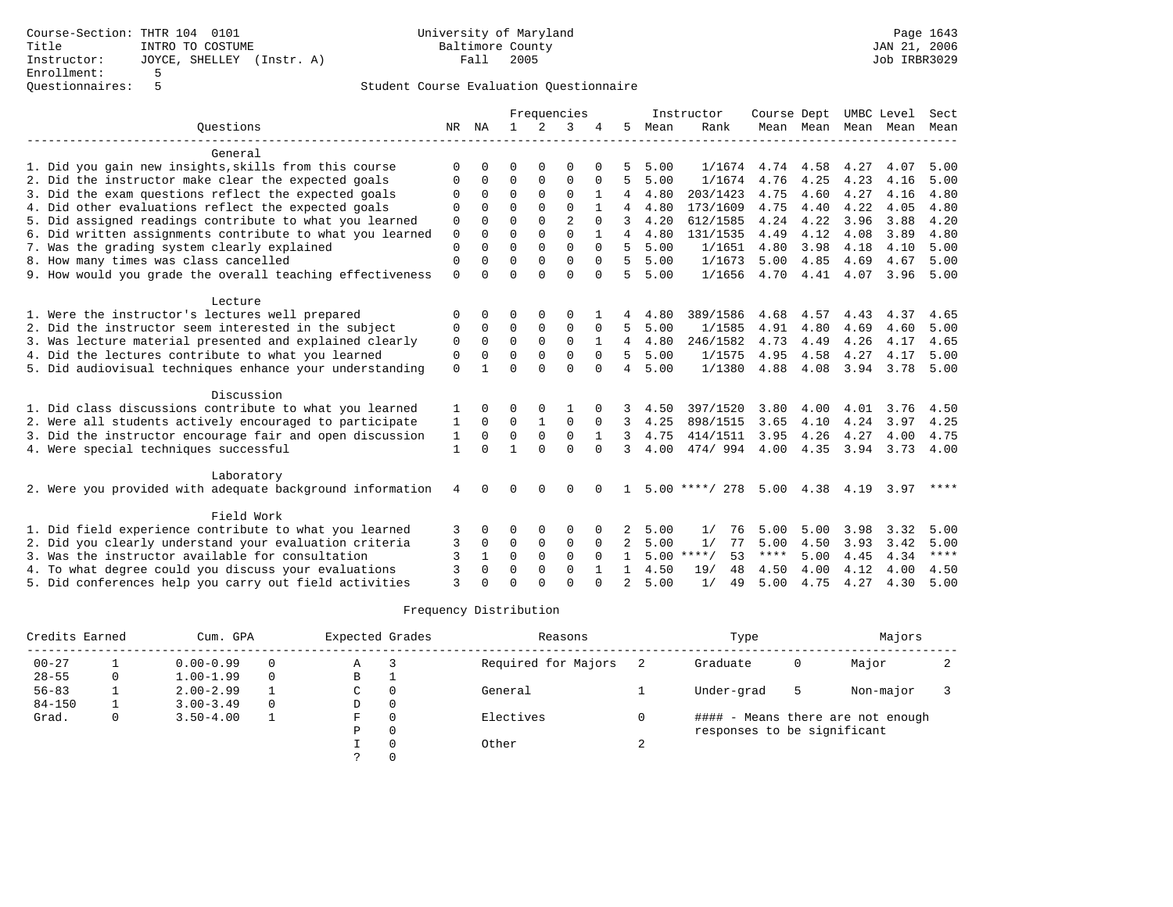|                                                           |              |              |               |               | Frequencies             |              |                |      | Instructor         | Course Dept  |                     |              | UMBC Level | Sect         |
|-----------------------------------------------------------|--------------|--------------|---------------|---------------|-------------------------|--------------|----------------|------|--------------------|--------------|---------------------|--------------|------------|--------------|
| Ouestions                                                 |              | NR NA        | $\mathbf{1}$  | 2             | 3                       |              | 5              | Mean | Rank               |              | Mean Mean Mean Mean |              |            | Mean         |
| General                                                   |              |              |               |               |                         |              |                |      |                    |              |                     |              |            |              |
| 1. Did you gain new insights, skills from this course     | $\Omega$     | U            | U             | $\Omega$      | $\Omega$                |              |                | 5.00 | 1/1674             | 4.74         | 4.58                | 4.27         | 4.07       | 5.00         |
| 2. Did the instructor make clear the expected goals       | 0            | 0            | $\Omega$      | 0             | $\Omega$                | 0            | 5              | 5.00 | 1/1674             | 4.76         | 4.25                | 4.23         | 4.16       | 5.00         |
| 3. Did the exam questions reflect the expected goals      | $\Omega$     | $\Omega$     | $\Omega$      | $\Omega$      | $\Omega$                | 1            | 4              | 4.80 | 203/1423           | 4.75         | 4.60                | 4.27         | 4.16       | 4.80         |
| 4. Did other evaluations reflect the expected goals       | $\Omega$     | $\Omega$     | $\Omega$      | $\Omega$      | $\Omega$                |              |                | 4.80 | 173/1609           | 4.75         | 4.40                | 4.22         | 4.05       | 4.80         |
| 5. Did assigned readings contribute to what you learned   | 0            |              | $\Omega$      | $\Omega$      | $\overline{2}$          |              |                | 4.20 | 612/1585           | 4.24         | 4.22                | 3.96         | 3.88       | 4.20         |
| 6. Did written assignments contribute to what you learned | 0            | $\Omega$     | $\Omega$      | $\Omega$      | $\Omega$                |              | 4              | 4.80 | 131/1535           | 4.49         | 4.12                | 4.08         | 3.89       | 4.80         |
| 7. Was the grading system clearly explained               | $\Omega$     | $\Omega$     | $\Omega$      | $\Omega$      | $\Omega$                | $\Omega$     | 5              | 5.00 | 1/1651             | 4.80         | 3.98                | 4.18         | 4.10       | 5.00         |
| 8. How many times was class cancelled                     | 0            | 0            | $\Omega$      | $\Omega$      | $\mathbf 0$             | $\Omega$     | 5              | 5.00 | 1/1673             | 5.00         | 4.85                | 4.69         | 4.67       | 5.00         |
| 9. How would you grade the overall teaching effectiveness | $\Omega$     | <sup>n</sup> | $\Omega$      | $\Omega$      | $\Omega$                | $\Omega$     | 5              | 5.00 | 1/1656             | 4.70         | 4.41                | 4.07         | 3.96       | 5.00         |
|                                                           |              |              |               |               |                         |              |                |      |                    |              |                     |              |            |              |
| Lecture                                                   |              |              |               |               |                         |              |                |      |                    |              |                     |              |            |              |
| 1. Were the instructor's lectures well prepared           | $\Omega$     | 0            | O             | $\Omega$      | $\Omega$                |              |                | 4.80 | 389/1586           | 4.68<br>4.91 | 4.57<br>4.80        | 4.43<br>4.69 | 4.37       | 4.65<br>5.00 |
| 2. Did the instructor seem interested in the subject      | $\Omega$     | $\Omega$     | 0<br>$\Omega$ | 0<br>$\Omega$ | $\mathbf 0$<br>$\Omega$ | 0            | 5.             | 5.00 | 1/1585<br>246/1582 | 4.73         | 4.49                |              | 4.60       | 4.65         |
| 3. Was lecture material presented and explained clearly   | $\mathbf 0$  | $\Omega$     |               | $\Omega$      | $\Omega$                | 1            | $\overline{4}$ | 4.80 |                    |              |                     | 4.26         | 4.17       |              |
| 4. Did the lectures contribute to what you learned        | $\mathbf 0$  | $\Omega$     | $\Omega$      |               |                         | $\Omega$     | 5.             | 5.00 | 1/1575             | 4.95         | 4.58                | 4.27         | 4.17       | 5.00         |
| 5. Did audiovisual techniques enhance your understanding  | $\mathbf 0$  |              | $\Omega$      | $\Omega$      | $\Omega$                | $\Omega$     | 4              | 5.00 | 1/1380             | 4.88         | 4.08                | 3.94         | 3.78       | 5.00         |
| Discussion                                                |              |              |               |               |                         |              |                |      |                    |              |                     |              |            |              |
| 1. Did class discussions contribute to what you learned   | 1            | <sup>0</sup> | O             | $\Omega$      |                         |              |                | 4.50 | 397/1520           | 3.80         | 4.00                | 4.01         | 3.76       | 4.50         |
| 2. Were all students actively encouraged to participate   | 1            | $\Omega$     | $\Omega$      | $\mathbf{1}$  | $\Omega$                | $\Omega$     | 3              | 4.25 | 898/1515           | 3.65         | 4.10                | 4.24         | 3.97       | 4.25         |
| 3. Did the instructor encourage fair and open discussion  | $\mathbf{1}$ | 0            | $\mathbf 0$   | $\mathbf 0$   | $\mathbf 0$             | $\mathbf{1}$ | 3              | 4.75 | 414/1511           | 3.95         | 4.26                | 4.27         | 4.00       | 4.75         |
| 4. Were special techniques successful                     | $\mathbf{1}$ | $\Omega$     | 1             | $\Omega$      | $\Omega$                | $\Omega$     | ζ              | 4.00 | 474/994            | 4.00         | 4.35                | 3.94         | 3.73       | 4.00         |
| Laboratory                                                |              |              |               |               |                         |              |                |      |                    |              |                     |              |            |              |
| 2. Were you provided with adequate background information | 4            | <sup>n</sup> | U             | $\Omega$      | ∩                       |              |                |      | $5.00$ ****/ 278   | 5.00         | 4.38                | 4.19         | 3.97       | ****         |
|                                                           |              |              |               |               |                         |              |                |      |                    |              |                     |              |            |              |
| Field Work                                                |              |              |               |               |                         |              |                |      |                    |              |                     |              |            |              |
| 1. Did field experience contribute to what you learned    | 3            | 0            | 0             | 0             | $\Omega$                |              |                | 5.00 | 1/<br>76           | 5.00         | 5.00                | 3.98         | 3.32       | 5.00         |
| 2. Did you clearly understand your evaluation criteria    |              | 0            | 0             | 0             | $\mathbf 0$             | $\Omega$     | 2              | 5.00 | 1/<br>77           | 5.00         | 4.50                | 3.93         | 3.42       | 5.00         |
| 3. Was the instructor available for consultation          | ζ            | 1            | $\Omega$      | $\Omega$      | $\Omega$                | $\Omega$     | $\mathbf{1}$   | 5.00 | $***$ /<br>53      | $***$ * * *  | 5.00                | 4.45         | 4.34       | $***$        |
| 4. To what degree could you discuss your evaluations      | 3            | $\Omega$     | $\Omega$      | $\Omega$      | $\Omega$                | 1            | 1.             | 4.50 | 19/<br>48          | 4.50         | 4.00                | 4.12         | 4.00       | 4.50         |
| 5. Did conferences help you carry out field activities    | $\mathbf{3}$ |              | $\cap$        | $\cap$        | $\Omega$                |              | $\overline{2}$ | 5.00 | 1/<br>49           | 5.00         | 4.75                | 4.27         | 4.30       | 5.00         |

| Credits Earned |   | Cum. GPA      |          | Expected Grades |   | Reasons             |   | Type                        |    | Majors                            |  |
|----------------|---|---------------|----------|-----------------|---|---------------------|---|-----------------------------|----|-----------------------------------|--|
| $00 - 27$      |   | $0.00 - 0.99$ | 0        | Α               |   | Required for Majors |   | Graduate                    | 0  | Major                             |  |
| $28 - 55$      | 0 | $1.00 - 1.99$ | $\Omega$ | В               |   |                     |   |                             |    |                                   |  |
| $56 - 83$      |   | $2.00 - 2.99$ |          | C.              |   | General             |   | Under-grad                  | -5 | Non-major                         |  |
| $84 - 150$     |   | $3.00 - 3.49$ | $\Omega$ | D               | 0 |                     |   |                             |    |                                   |  |
| Grad.          | 0 | $3.50 - 4.00$ |          | F               |   | Electives           |   |                             |    | #### - Means there are not enough |  |
|                |   |               |          | Ρ               |   |                     |   | responses to be significant |    |                                   |  |
|                |   |               |          |                 |   | Other               | ∠ |                             |    |                                   |  |
|                |   |               |          |                 |   |                     |   |                             |    |                                   |  |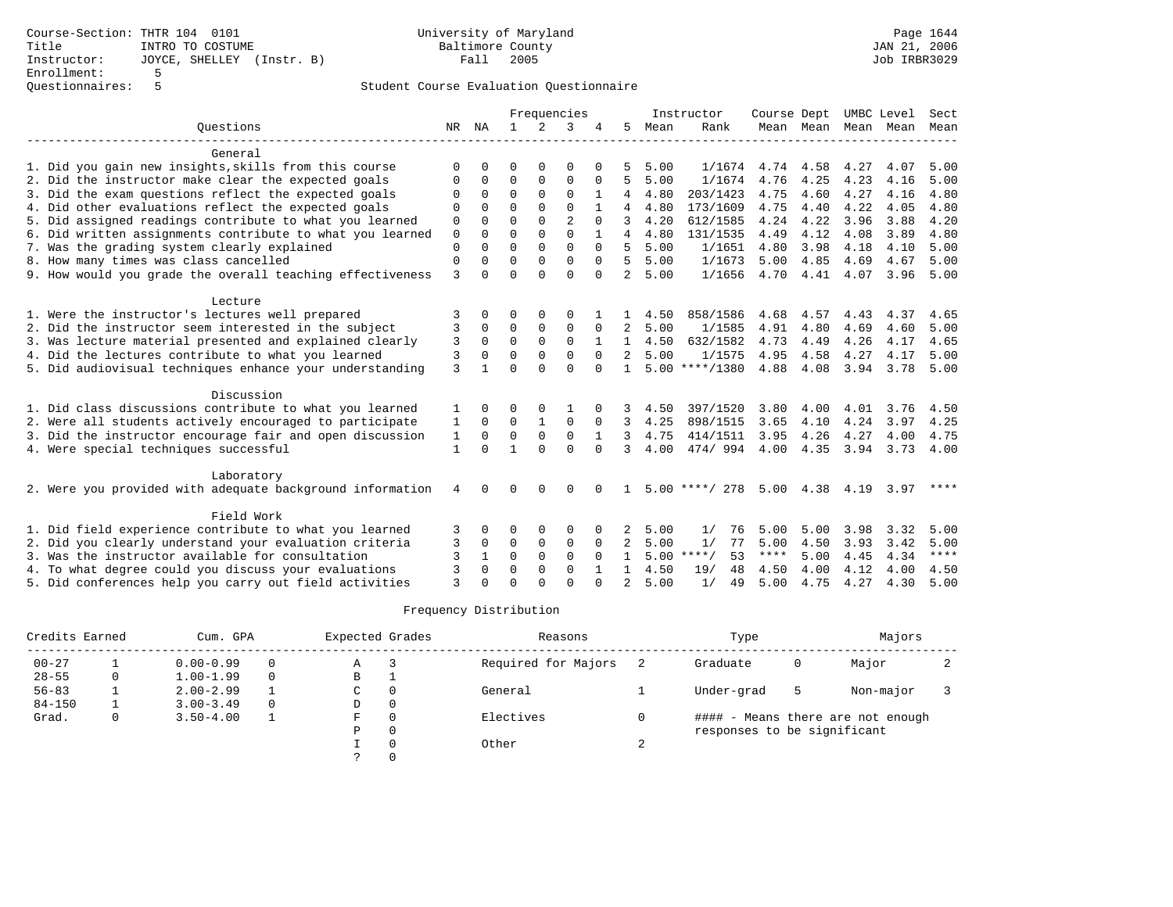|                                                                                                                  |              |               |                      |               | Frequencies                |              |                |              | Instructor           | Course Dept  |                     |              | UMBC Level   | Sect         |
|------------------------------------------------------------------------------------------------------------------|--------------|---------------|----------------------|---------------|----------------------------|--------------|----------------|--------------|----------------------|--------------|---------------------|--------------|--------------|--------------|
| Ouestions                                                                                                        |              | NR NA         | $\mathbf{1}$         | 2             | 3                          |              | 5              | Mean         | Rank                 |              | Mean Mean Mean Mean |              |              | Mean         |
| General                                                                                                          |              |               |                      |               |                            |              |                |              |                      |              |                     |              |              |              |
|                                                                                                                  | $\Omega$     | U             | $\Omega$             | $\Omega$      | $\Omega$                   |              |                | 5.00         | 1/1674               | 4.74         | 4.58                |              | 4.07         | 5.00         |
| 1. Did you gain new insights, skills from this course                                                            |              |               | $\Omega$             | $\Omega$      | $\Omega$                   |              | 5              | 5.00         | 1/1674               | 4.76         | 4.25                | 4.27<br>4.23 | 4.16         | 5.00         |
| 2. Did the instructor make clear the expected goals                                                              | 0            | 0<br>$\Omega$ | $\Omega$             | $\Omega$      | $\Omega$                   | $\Omega$     | 4              | 4.80         |                      | 4.75         | 4.60                | 4.27         | 4.16         |              |
| 3. Did the exam questions reflect the expected goals                                                             | O            |               | $\Omega$             |               | $\cap$                     | 1            |                |              | 203/1423             |              |                     |              |              | 4.80         |
| 4. Did other evaluations reflect the expected goals                                                              | $\Omega$     | $\Omega$      | $\Omega$             | $\Omega$      |                            |              |                | 4.80         | 173/1609             | 4.75         | 4.40                | 4.22         | 4.05         | 4.80         |
| 5. Did assigned readings contribute to what you learned                                                          | $\mathbf 0$  | $\Omega$      |                      | $\Omega$      | $\overline{2}$<br>$\Omega$ |              |                | 4.20         | 612/1585             | 4.24         | 4.22                | 3.96         | 3.88         | 4.20         |
| 6. Did written assignments contribute to what you learned                                                        | $\mathbf 0$  | $\Omega$      | $\Omega$<br>$\Omega$ | $\Omega$      | $\Omega$                   |              | 4              | 4.80         | 131/1535             | 4.49         | 4.12                | 4.08         | 3.89         | 4.80         |
| 7. Was the grading system clearly explained                                                                      | $\Omega$     | $\Omega$      |                      | $\Omega$      |                            | $\Omega$     | 5              | 5.00         | 1/1651               | 4.80         | 3.98                | 4.18         | 4.10         | 5.00         |
| 8. How many times was class cancelled                                                                            | $\Omega$     | 0             | $\Omega$             | $\Omega$      | $\Omega$                   | $\Omega$     | 5              | 5.00         | 1/1673               | 5.00         | 4.85                | 4.69         | 4.67         | 5.00         |
| 9. How would you grade the overall teaching effectiveness                                                        | 3            | $\cap$        | $\Omega$             | $\Omega$      | $\Omega$                   | $\Omega$     | $\overline{2}$ | 5.00         | 1/1656               | 4.70         | 4.41                | 4.07         | 3.96         | 5.00         |
| Lecture                                                                                                          |              |               |                      |               |                            |              |                |              |                      |              |                     |              |              |              |
| 1. Were the instructor's lectures well prepared                                                                  | 3            | 0             | 0                    | 0             | $\Omega$                   |              |                | 4.50         | 858/1586             | 4.68         | 4.57                | 4.43         | 4.37         | 4.65         |
| 2. Did the instructor seem interested in the subject                                                             | 3            | $\Omega$      | 0                    | 0             | $\mathbf 0$                | $\Omega$     | $\mathfrak{D}$ | 5.00         | 1/1585               | 4.91         | 4.80                | 4.69         | 4.60         | 5.00         |
| 3. Was lecture material presented and explained clearly                                                          | 3            | $\Omega$      | $\Omega$             | $\Omega$      | $\Omega$                   | $\mathbf{1}$ | $\mathbf{1}$   | 4.50         | 632/1582             | 4.73         | 4.49                | 4.26         | 4.17         | 4.65         |
| 4. Did the lectures contribute to what you learned                                                               | 3            | $\Omega$      | $\Omega$             | $\Omega$      | $\Omega$                   | $\Omega$     | $\overline{2}$ | 5.00         | 1/1575               | 4.95         | 4.58                | 4.27         | 4.17         | 5.00         |
| 5. Did audiovisual techniques enhance your understanding                                                         | 3            |               | $\Omega$             | $\Omega$      | $\Omega$                   | $\Omega$     |                |              | $5.00$ ****/1380     | 4.88         | 4.08                | 3.94         | 3.78         | 5.00         |
|                                                                                                                  |              |               |                      |               |                            |              |                |              |                      |              |                     |              |              |              |
| Discussion                                                                                                       |              |               |                      |               |                            |              |                |              |                      |              |                     |              |              |              |
| 1. Did class discussions contribute to what you learned                                                          | 1            | 0             | 0                    |               |                            |              |                | 4.50         | 397/1520             | 3.80         | 4.00                | 4.01         | 3.76         | 4.50         |
| 2. Were all students actively encouraged to participate                                                          | 1            | $\Omega$      | $\Omega$             | $\mathbf{1}$  | $\Omega$                   | $\Omega$     | 3              | 4.25         | 898/1515             | 3.65         | 4.10                | 4.24         | 3.97         | 4.25         |
| 3. Did the instructor encourage fair and open discussion                                                         | 1            | $\Omega$      | $\Omega$             | $\Omega$      | $\Omega$                   | 1            | ζ              | 4.75         | 414/1511             | 3.95         | 4.26                | 4.27         | 4.00         | 4.75         |
| 4. Were special techniques successful                                                                            | $\mathbf{1}$ | $\Omega$      | $\mathbf{1}$         | $\Omega$      | $\Omega$                   | $\Omega$     | 3              | 4.00         | 474/994              | 4.00         | 4.35                | 3.94         | 3.73         | 4.00         |
| Laboratory                                                                                                       |              |               |                      |               |                            |              |                |              |                      |              |                     |              |              |              |
| 2. Were you provided with adequate background information                                                        | 4            | <sup>n</sup>  | U                    | 0             | $\Omega$                   |              |                |              | $5.00$ ****/ 278     | 5.00         | 4.38                | 4.19         | 3.97         | ****         |
| Field Work                                                                                                       |              |               |                      |               |                            |              |                |              |                      |              |                     |              |              |              |
|                                                                                                                  |              |               |                      |               |                            |              |                |              |                      |              |                     |              |              |              |
| 1. Did field experience contribute to what you learned<br>2. Did you clearly understand your evaluation criteria |              | 0<br>0        | 0<br>0               | 0<br>$\Omega$ | 0<br>$\mathbf 0$           | $\Omega$     |                | 5.00<br>5.00 | 1/<br>76<br>77<br>1/ | 5.00<br>5.00 | 5.00<br>4.50        | 3.98<br>3.93 | 3.32<br>3.42 | 5.00<br>5.00 |
| 3. Was the instructor available for consultation                                                                 |              |               | $\Omega$             | $\Omega$      | $\Omega$                   | $\Omega$     |                | 5.00         | $***$ /<br>53        | ****         |                     |              |              | $***$        |
| 4. To what degree could you discuss your evaluations                                                             | 3            | $\Omega$      | $\Omega$             | $\Omega$      | $\Omega$                   |              |                | 4.50         | 19/<br>48            | 4.50         | 5.00<br>4.00        | 4.45<br>4.12 | 4.34<br>4.00 | 4.50         |
| 5. Did conferences help you carry out field activities                                                           | ζ            | ∩             | $\cap$               | $\cap$        | $\cap$                     | ∩            | $\overline{a}$ | 5.00         | 1/<br>49             | 5.00         | 4.75                | 4.27         | 4.30         | 5.00         |
|                                                                                                                  |              |               |                      |               |                            |              |                |              |                      |              |                     |              |              |              |

| Credits Earned |   | Cum. GPA      |          | Expected Grades |   | Reasons             |   | Type                        |    | Majors                            |  |
|----------------|---|---------------|----------|-----------------|---|---------------------|---|-----------------------------|----|-----------------------------------|--|
| $00 - 27$      |   | $0.00 - 0.99$ | 0        | Α               |   | Required for Majors |   | Graduate                    | 0  | Major                             |  |
| $28 - 55$      | 0 | $1.00 - 1.99$ | $\Omega$ | В               |   |                     |   |                             |    |                                   |  |
| $56 - 83$      |   | $2.00 - 2.99$ |          | C.              |   | General             |   | Under-grad                  | -5 | Non-major                         |  |
| $84 - 150$     |   | $3.00 - 3.49$ | $\Omega$ | D               | 0 |                     |   |                             |    |                                   |  |
| Grad.          | 0 | $3.50 - 4.00$ |          | F               |   | Electives           |   |                             |    | #### - Means there are not enough |  |
|                |   |               |          | Ρ               |   |                     |   | responses to be significant |    |                                   |  |
|                |   |               |          |                 |   | Other               | ∠ |                             |    |                                   |  |
|                |   |               |          |                 |   |                     |   |                             |    |                                   |  |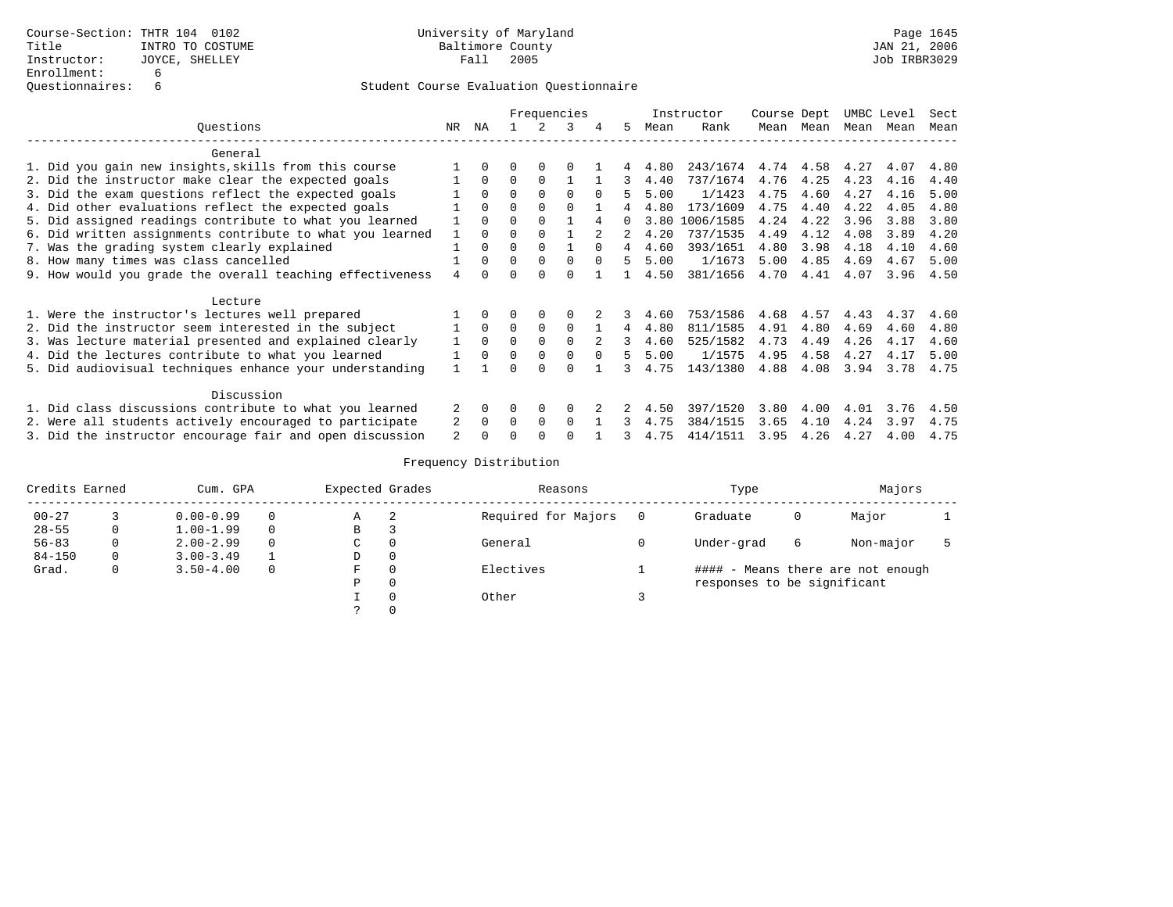|                                                           |              |          |          |          | Frequencies |          |                |      | Instructor              | Course Dept |      | UMBC Level |      | Sect |
|-----------------------------------------------------------|--------------|----------|----------|----------|-------------|----------|----------------|------|-------------------------|-------------|------|------------|------|------|
| Ouestions                                                 | NR           | ΝA       |          |          | 3           |          | 5.             | Mean | Rank                    | Mean        | Mean | Mean       | Mean | Mean |
| General                                                   |              |          |          |          |             |          |                |      |                         |             |      |            |      |      |
| 1. Did you gain new insights, skills from this course     |              |          |          |          |             |          |                | 4.80 | 243/1674 4.74 4.58 4.27 |             |      |            | 4.07 | 4.80 |
| 2. Did the instructor make clear the expected goals       |              | $\Omega$ | $\Omega$ | $\Omega$ |             |          |                | 4.40 | 737/1674                | 4.76        | 4.25 | 4.23       | 4.16 | 4.40 |
| 3. Did the exam questions reflect the expected goals      |              | $\Omega$ | $\Omega$ | $\Omega$ | $\Omega$    | $\Omega$ | 5              | 5.00 | 1/1423                  | 4.75        | 4.60 | 4.27       | 4.16 | 5.00 |
| 4. Did other evaluations reflect the expected goals       |              | $\Omega$ | $\Omega$ |          | $\cap$      |          |                | 4.80 | 173/1609                | 4.75        | 4.40 | 4.22       | 4.05 | 4.80 |
| 5. Did assigned readings contribute to what you learned   |              | $\Omega$ | 0        |          |             |          | O.             | 3.80 | 1006/1585               | 4.24        | 4.22 | 3.96       | 3.88 | 3.80 |
| 6. Did written assignments contribute to what you learned | $\mathbf{1}$ | $\Omega$ | U        |          |             |          |                | 4.20 | 737/1535                | 4.49        | 4.12 | 4.08       | 3.89 | 4.20 |
| 7. Was the grading system clearly explained               |              |          | $\Omega$ | $\Omega$ |             | $\Omega$ | $\overline{4}$ | 4.60 | 393/1651                | 4.80        | 3.98 | 4.18       | 4.10 | 4.60 |
| 8. How many times was class cancelled                     |              | $\cap$   | $\Omega$ | $\Omega$ | $\Omega$    | $\Omega$ | 5              | 5.00 | 1/1673                  | 5.00        | 4.85 | 4.69       | 4.67 | 5.00 |
| 9. How would you grade the overall teaching effectiveness |              | $\cap$   | $\Omega$ | $\Omega$ | $\Omega$    |          |                | 4.50 | 381/1656                | 4.70        | 4.41 | 4.07       | 3.96 | 4.50 |
| Lecture                                                   |              |          |          |          |             |          |                |      |                         |             |      |            |      |      |
| 1. Were the instructor's lectures well prepared           |              |          | 0        | 0        | 0           |          | 3.             | 4.60 | 753/1586                | 4.68        | 4.57 | 4.43       | 4.37 | 4.60 |
| 2. Did the instructor seem interested in the subject      |              | $\Omega$ | $\Omega$ | $\Omega$ | $\Omega$    |          | $\overline{4}$ | 4.80 | 811/1585                | 4.91        | 4.80 | 4.69       | 4.60 | 4.80 |
| 3. Was lecture material presented and explained clearly   |              | $\Omega$ | $\Omega$ | $\Omega$ | $\Omega$    | $2^{1}$  | 3              | 4.60 | 525/1582                | 4.73        | 4.49 | 4.26       | 4.17 | 4.60 |
| 4. Did the lectures contribute to what you learned        |              | $\Omega$ | $\Omega$ | $\Omega$ | $\Omega$    | $\Omega$ | 5.             | 5.00 | 1/1575                  | 4.95        | 4.58 | 4.27       | 4.17 | 5.00 |
| 5. Did audiovisual techniques enhance your understanding  |              |          | U        | ∩        | ∩           |          |                | 4.75 | 143/1380                | 4.88        | 4.08 | 3.94       | 3.78 | 4.75 |
| Discussion                                                |              |          |          |          |             |          |                |      |                         |             |      |            |      |      |
| 1. Did class discussions contribute to what you learned   | 2            | $\Omega$ | 0        | 0        | $\Omega$    |          |                | 4.50 | 397/1520                | 3.80        | 4.00 | 4.01       | 3.76 | 4.50 |
| 2. Were all students actively encouraged to participate   | 2            | $\Omega$ | $\Omega$ | $\Omega$ | $\Omega$    |          | 3              | 4.75 | 384/1515                | 3.65        | 4.10 | 4.24       | 3.97 | 4.75 |
| 3. Did the instructor encourage fair and open discussion  |              |          | U        |          | ∩           |          | 3              | 4.75 | 414/1511                | 3.95        | 4.26 | 4.27       | 4.00 | 4.75 |

| Credits Earned | Cum. GPA      |          | Expected Grades |   | Reasons             | Type                        |   | Majors                            |  |
|----------------|---------------|----------|-----------------|---|---------------------|-----------------------------|---|-----------------------------------|--|
| $00 - 27$      | $0.00 - 0.99$ | 0        | Α               | 2 | Required for Majors | Graduate                    | 0 | Major                             |  |
| $28 - 55$      | $1.00 - 1.99$ | 0        | B               |   |                     |                             |   |                                   |  |
| $56 - 83$      | $2.00 - 2.99$ | $\Omega$ | C               |   | General             | Under-grad                  | 6 | Non-major                         |  |
| $84 - 150$     | $3.00 - 3.49$ |          | D               |   |                     |                             |   |                                   |  |
| Grad.          | $3.50 - 4.00$ | 0        | F               |   | Electives           |                             |   | #### - Means there are not enough |  |
|                |               |          | Ρ               | 0 |                     | responses to be significant |   |                                   |  |
|                |               |          |                 |   | Other               |                             |   |                                   |  |
|                |               |          |                 |   |                     |                             |   |                                   |  |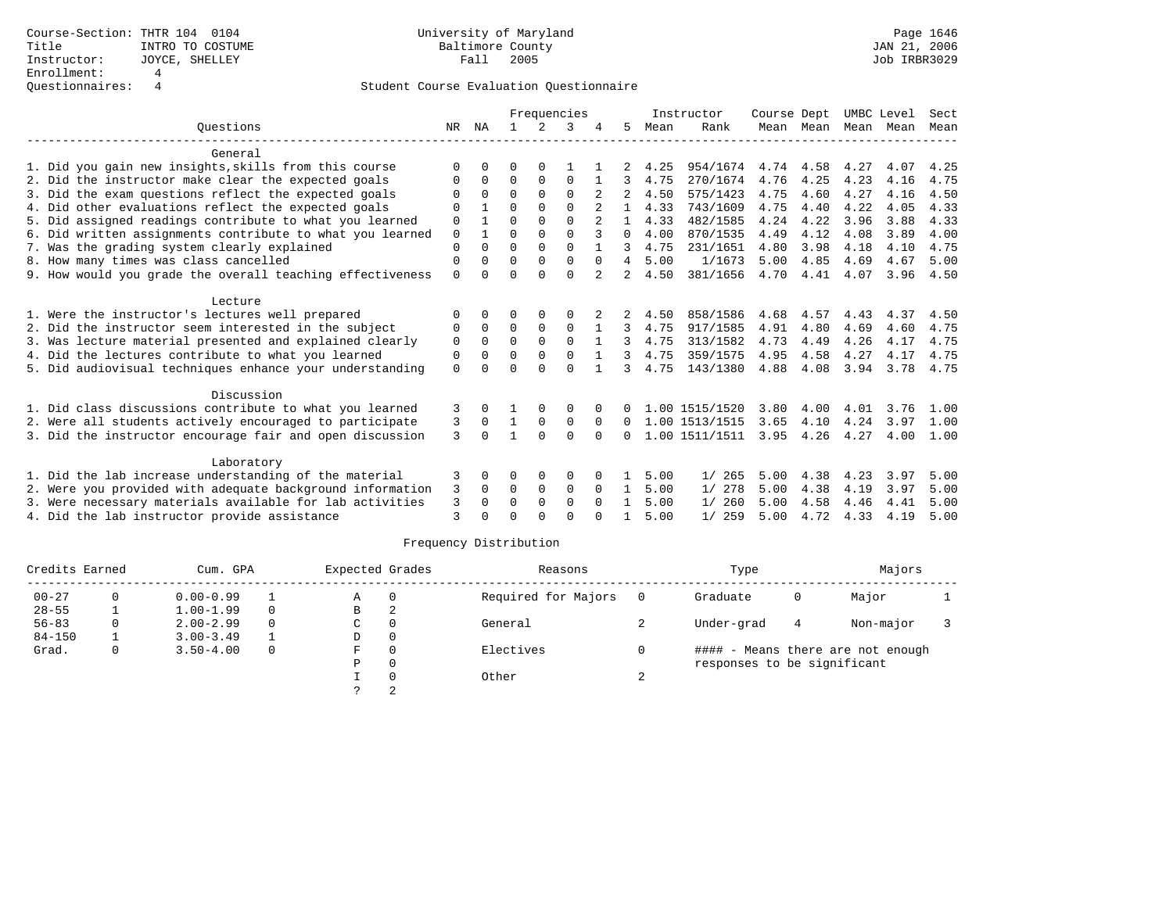|                                                           |             |          |             |             | Frequencies |          |                |      | Instructor     | Course Dept |             | UMBC Level |      | Sect |
|-----------------------------------------------------------|-------------|----------|-------------|-------------|-------------|----------|----------------|------|----------------|-------------|-------------|------------|------|------|
| Ouestions                                                 | NR          | NA       |             | 2           | 3           |          | 5.             | Mean | Rank           |             | Mean Mean   | Mean       | Mean | Mean |
| General                                                   |             |          |             |             |             |          |                |      |                |             |             |            |      |      |
| 1. Did you gain new insights, skills from this course     | ∩           |          | O           | $\Omega$    |             |          |                | 4.25 | 954/1674       |             | 4.74 4.58   | 4.27       | 4.07 | 4.25 |
| 2. Did the instructor make clear the expected goals       | O           | $\Omega$ | $\Omega$    | $\Omega$    | $\Omega$    |          | 3              | 4.75 | 270/1674       | 4.76        | 4.25        | 4.23       | 4.16 | 4.75 |
| 3. Did the exam questions reflect the expected goals      | $\Omega$    | $\Omega$ | $\Omega$    | $\Omega$    | $\Omega$    |          |                | 4.50 | 575/1423       | 4.75        | 4.60        | 4.27       | 4.16 | 4.50 |
| 4. Did other evaluations reflect the expected goals       | $\Omega$    |          | $\Omega$    | 0           | $\Omega$    |          |                | 4.33 | 743/1609       | 4.75        | 4.40        | 4.22       | 4.05 | 4.33 |
| 5. Did assigned readings contribute to what you learned   | 0           |          | $\Omega$    | $\Omega$    | $\Omega$    |          | 1.             | 4.33 | 482/1585       | 4.24        | 4.22        | 3.96       | 3.88 | 4.33 |
| 6. Did written assignments contribute to what you learned | 0           |          | $\Omega$    | $\Omega$    | $\Omega$    |          | 0              | 4.00 | 870/1535       | 4.49        | 4.12        | 4.08       | 3.89 | 4.00 |
| 7. Was the grading system clearly explained               | $\Omega$    | $\Omega$ | $\Omega$    | $\Omega$    | $\cap$      |          | $\mathcal{L}$  | 4.75 | 231/1651       | 4.80        | 3.98        | 4.18       | 4.10 | 4.75 |
| 8. How many times was class cancelled                     | $\Omega$    | $\Omega$ | $\Omega$    | $\Omega$    | $\Omega$    | $\Omega$ | $\overline{4}$ | 5.00 | 1/1673         | 5.00        | 4.85        | 4.69       | 4.67 | 5.00 |
| 9. How would you grade the overall teaching effectiveness | $\Omega$    |          | $\Omega$    | $\Omega$    | $\Omega$    |          | $\overline{a}$ | 4.50 | 381/1656       | 4.70        | 4.41        | 4.07       | 3.96 | 4.50 |
| Lecture                                                   |             |          |             |             |             |          |                |      |                |             |             |            |      |      |
| 1. Were the instructor's lectures well prepared           | $\Omega$    | 0        | 0           | $\Omega$    | $\Omega$    |          |                | 4.50 | 858/1586       | 4.68        | 4.57        | 4.43       | 4.37 | 4.50 |
| 2. Did the instructor seem interested in the subject      | $\Omega$    | $\Omega$ | $\Omega$    | $\Omega$    | $\Omega$    |          | 3              | 4.75 | 917/1585       | 4.91        | 4.80        | 4.69       | 4.60 | 4.75 |
| 3. Was lecture material presented and explained clearly   | $\mathbf 0$ | $\Omega$ | $\mathbf 0$ | $\mathbf 0$ | $\mathbf 0$ |          | 3              | 4.75 | 313/1582       | 4.73        | 4.49        | 4.26       | 4.17 | 4.75 |
| 4. Did the lectures contribute to what you learned        | $\Omega$    | $\Omega$ | $\Omega$    | $\Omega$    | $\Omega$    |          | 3              | 4.75 | 359/1575       | 4.95        | 4.58        | 4.27       | 4.17 | 4.75 |
| 5. Did audiovisual techniques enhance your understanding  | $\Omega$    |          | $\Omega$    | $\cap$      | $\Omega$    |          | 3              | 4.75 | 143/1380       | 4.88        | 4.08        | 3.94       | 3.78 | 4.75 |
| Discussion                                                |             |          |             |             |             |          |                |      |                |             |             |            |      |      |
| 1. Did class discussions contribute to what you learned   | 3           | $\Omega$ |             | 0           | 0           |          | 0              |      | 1.00 1515/1520 | 3.80        | 4.00        | 4.01       | 3.76 | 1.00 |
| 2. Were all students actively encouraged to participate   | 3           | $\Omega$ | 1           | $\mathbf 0$ | $\mathbf 0$ | $\Omega$ | $\Omega$       |      | 1.00 1513/1515 | 3.65        | 4.10        | 4.24       | 3.97 | 1.00 |
| 3. Did the instructor encourage fair and open discussion  | 3           | $\cap$   | 1           | $\Omega$    | $\Omega$    | $\Omega$ | 0              |      | 1.00 1511/1511 |             | $3.95$ 4.26 | 4.27       | 4.00 | 1.00 |
| Laboratory                                                |             |          |             |             |             |          |                |      |                |             |             |            |      |      |
| 1. Did the lab increase understanding of the material     | 3           | 0        | 0           | 0           | 0           |          |                | 5.00 | 1/265          | 5.00        | 4.38        | 4.23       | 3.97 | 5.00 |
| 2. Were you provided with adequate background information | 3           | $\Omega$ | 0           | $\mathbf 0$ | 0           | $\Omega$ | $\mathbf{1}$   | 5.00 | 1/278          | 5.00        | 4.38        | 4.19       | 3.97 | 5.00 |
| 3. Were necessary materials available for lab activities  | 3           | $\Omega$ | $\Omega$    | $\Omega$    | $\Omega$    | $\Omega$ | 1              | 5.00 | 1/260          | 5.00        | 4.58        | 4.46       | 4.41 | 5.00 |
| 4. Did the lab instructor provide assistance              | 3           |          | $\cap$      | $\cap$      | $\cap$      |          |                | 5.00 | 1/259          | 5.00        | 4.72        | 4.33       | 4.19 | 5.00 |

| Credits Earned |   | Cum. GPA      |          | Expected Grades |          | Reasons             |     | Type                        |   | Majors                            |  |
|----------------|---|---------------|----------|-----------------|----------|---------------------|-----|-----------------------------|---|-----------------------------------|--|
| $00 - 27$      |   | $0.00 - 0.99$ |          | Α               | 0        | Required for Majors | - 0 | Graduate                    | 0 | Major                             |  |
| $28 - 55$      |   | $1.00 - 1.99$ | $\Omega$ | в               |          |                     |     |                             |   |                                   |  |
| $56 - 83$      | 0 | $2.00 - 2.99$ | $\Omega$ | C               | $\Omega$ | General             |     | Under-grad                  | 4 | Non-major                         |  |
| $84 - 150$     |   | $3.00 - 3.49$ |          | D               | 0        |                     |     |                             |   |                                   |  |
| Grad.          | 0 | $3.50 - 4.00$ | $\Omega$ | F.              | $\Omega$ | Electives           |     |                             |   | #### - Means there are not enough |  |
|                |   |               |          | Ρ               | $\Omega$ |                     |     | responses to be significant |   |                                   |  |
|                |   |               |          |                 |          | Other               |     |                             |   |                                   |  |
|                |   |               |          |                 |          |                     |     |                             |   |                                   |  |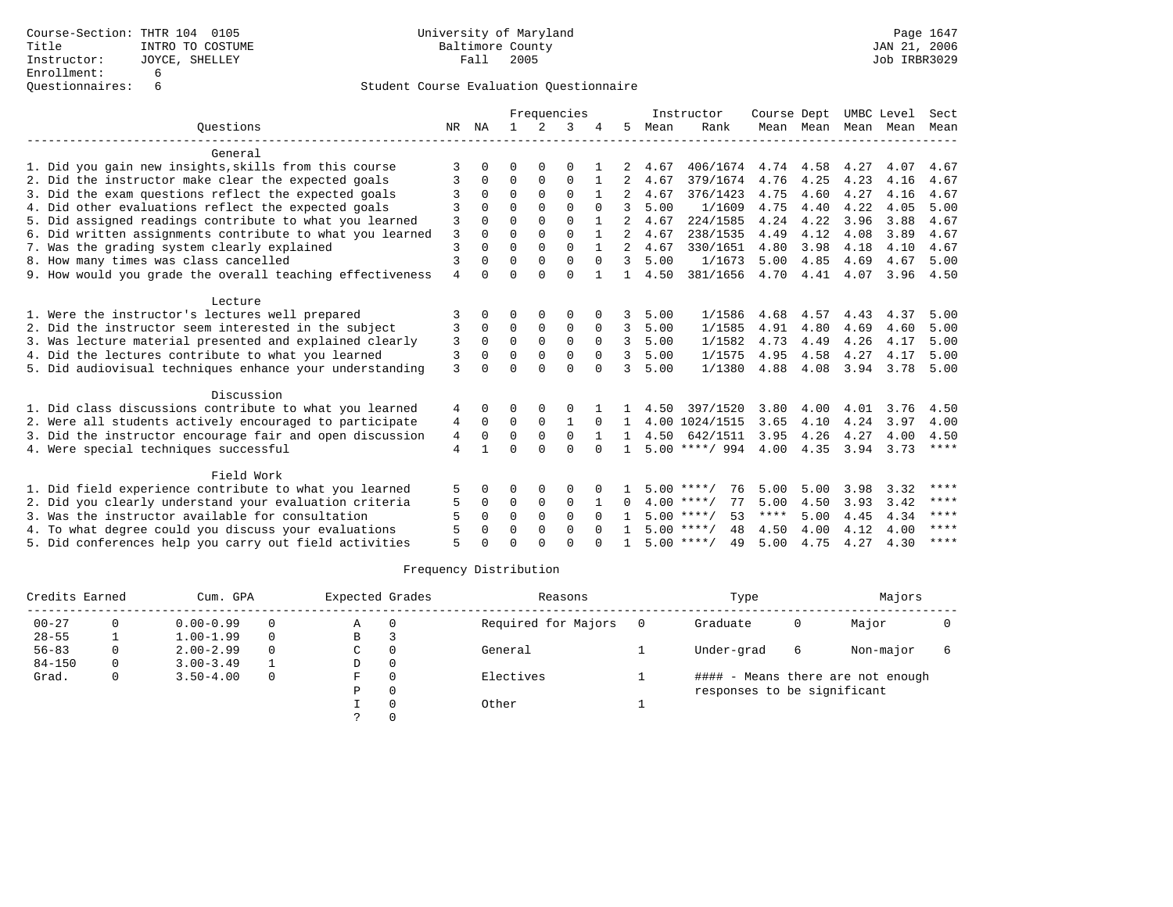|                                                           |                |          |             |              | Frequencies |          |              |      | Instructor         | Course Dept |      | UMBC Level          |      | Sect        |
|-----------------------------------------------------------|----------------|----------|-------------|--------------|-------------|----------|--------------|------|--------------------|-------------|------|---------------------|------|-------------|
| Ouestions                                                 | NR             | ΝA       |             | 2            | 3           |          | 5            | Mean | Rank               |             |      | Mean Mean Mean Mean |      | Mean        |
| General                                                   |                |          |             |              |             |          |              |      |                    |             |      |                     |      |             |
| 1. Did you gain new insights, skills from this course     | 3              |          | O           |              | $\Omega$    |          |              | 4.67 | 406/1674           | 4.74        | 4.58 | 4.27                | 4.07 | 4.67        |
| 2. Did the instructor make clear the expected goals       | 3              | $\Omega$ | 0           | 0            | 0           |          | 2            | 4.67 | 379/1674           | 4.76        | 4.25 | 4.23                | 4.16 | 4.67        |
| 3. Did the exam questions reflect the expected goals      | २              | $\Omega$ | $\Omega$    | $\Omega$     | $\Omega$    |          |              | 4.67 | 376/1423           | 4.75        | 4.60 | 4.27                | 4.16 | 4.67        |
| 4. Did other evaluations reflect the expected goals       |                |          | $\Omega$    | $\Omega$     | $\cap$      |          | 3            | 5.00 | 1/1609             | 4.75        | 4.40 | 4.22                | 4.05 | 5.00        |
| 5. Did assigned readings contribute to what you learned   | 3              |          | $\Omega$    | $\Omega$     | $\Omega$    |          |              | 4.67 | 224/1585           | 4.24        | 4.22 | 3.96                | 3.88 | 4.67        |
| 6. Did written assignments contribute to what you learned | 3              | $\Omega$ | $\Omega$    | $\Omega$     | $\Omega$    |          | 2            | 4.67 | 238/1535           | 4.49        | 4.12 | 4.08                | 3.89 | 4.67        |
| 7. Was the grading system clearly explained               | $\overline{3}$ |          | $\Omega$    | $\Omega$     | $\Omega$    |          | $2^{\circ}$  | 4.67 | 330/1651           | 4.80        | 3.98 | 4.18                | 4.10 | 4.67        |
| 8. How many times was class cancelled                     | 3              |          | $\Omega$    | $\Omega$     | $\Omega$    | $\Omega$ | 3            | 5.00 | 1/1673             | 5.00        | 4.85 | 4.69                | 4.67 | 5.00        |
| 9. How would you grade the overall teaching effectiveness | $\overline{4}$ | $\cap$   | $\Omega$    | $\cap$       | $\Omega$    |          | $\mathbf{1}$ | 4.50 | 381/1656           | 4.70        | 4.41 | 4.07                | 3.96 | 4.50        |
| Lecture                                                   |                |          |             |              |             |          |              |      |                    |             |      |                     |      |             |
| 1. Were the instructor's lectures well prepared           |                |          | ∩           |              |             |          |              | 5.00 | 1/1586             | 4.68        | 4.57 | 4.43                | 4.37 | 5.00        |
| 2. Did the instructor seem interested in the subject      | 3              | $\Omega$ | $\Omega$    | $\mathbf{0}$ | $\Omega$    | $\Omega$ | 3            | 5.00 | 1/1585             | 4.91        | 4.80 | 4.69                | 4.60 | 5.00        |
| 3. Was lecture material presented and explained clearly   | 3              | $\Omega$ | $\mathbf 0$ | $\mathbf 0$  | $\mathbf 0$ | $\Omega$ | २            | 5.00 | 1/1582             | 4.73        | 4.49 | 4.26                | 4.17 | 5.00        |
| 4. Did the lectures contribute to what you learned        | 3              | $\Omega$ | $\Omega$    | $\Omega$     | $\Omega$    | $\Omega$ | 3            | 5.00 | 1/1575             | 4.95        | 4.58 | 4.27                | 4.17 | 5.00        |
| 5. Did audiovisual techniques enhance your understanding  | 3              |          | $\Omega$    | $\cap$       | $\Omega$    | $\Omega$ | २            | 5.00 | 1/1380             | 4.88        | 4.08 | 3.94                | 3.78 | 5.00        |
| Discussion                                                |                |          |             |              |             |          |              |      |                    |             |      |                     |      |             |
| 1. Did class discussions contribute to what you learned   | 4              | $\Omega$ | ∩           | $\cap$       | $\Omega$    |          |              | 4.50 | 397/1520           | 3.80        | 4.00 | 4.01                | 3.76 | 4.50        |
| 2. Were all students actively encouraged to participate   | 4              | $\Omega$ | $\mathbf 0$ | $\mathbf 0$  |             | $\Omega$ |              |      | 4.00 1024/1515     | 3.65        | 4.10 | 4.24                | 3.97 | 4.00        |
| 3. Did the instructor encourage fair and open discussion  | 4              | $\Omega$ | $\Omega$    | $\Omega$     | $\Omega$    |          | $\mathbf{1}$ | 4.50 | 642/1511           | 3.95        | 4.26 | 4.27                | 4.00 | 4.50        |
| 4. Were special techniques successful                     | 4              |          | $\Omega$    | $\cap$       | $\Omega$    | $\Omega$ |              |      | $5.00$ ****/ 994   | 4.00        | 4.35 | 3.94                | 3.73 | $***$ * * * |
| Field Work                                                |                |          |             |              |             |          |              |      |                    |             |      |                     |      |             |
| 1. Did field experience contribute to what you learned    | 5              |          | ∩           | $\Omega$     | O           |          |              |      | $5.00$ ****/<br>76 | 5.00        | 5.00 | 3.98                | 3.32 | ****        |
| 2. Did you clearly understand your evaluation criteria    | 5              | $\Omega$ | 0           | $\mathbf 0$  | 0           |          | $\Omega$     |      | $4.00$ ****/<br>77 | 5.00        | 4.50 | 3.93                | 3.42 | $***$ * * * |
| 3. Was the instructor available for consultation          | 5              | $\Omega$ | $\Omega$    | $\Omega$     | $\Omega$    | $\Omega$ |              |      | $5.00$ ****/<br>53 | ****        | 5.00 | 4.45                | 4.34 | $* * * *$   |
| 4. To what degree could you discuss your evaluations      | 5              | $\Omega$ | $\Omega$    | $\Omega$     | $\Omega$    |          |              |      | $5.00$ ****/<br>48 | 4.50        | 4.00 | 4.12                | 4.00 | ****        |
| 5. Did conferences help you carry out field activities    | 5              |          | ∩           | $\cap$       | $\cap$      |          |              |      | $5.00$ ****/<br>49 | 5.00        | 4.75 | 4.27                | 4.30 | $* * * * *$ |

| Credits Earned |   | Cum. GPA      |          | Expected Grades | Reasons             | Type                        |   | Majors                            |  |
|----------------|---|---------------|----------|-----------------|---------------------|-----------------------------|---|-----------------------------------|--|
| $00 - 27$      |   | $0.00 - 0.99$ | $\Omega$ | Α               | Required for Majors | Graduate                    | 0 | Major                             |  |
| $28 - 55$      |   | $1.00 - 1.99$ | $\Omega$ | B               |                     |                             |   |                                   |  |
| $56 - 83$      |   | $2.00 - 2.99$ | $\Omega$ | C               | General             | Under-grad                  | 6 | Non-major                         |  |
| $84 - 150$     | 0 | $3.00 - 3.49$ |          | D               |                     |                             |   |                                   |  |
| Grad.          | O | $3.50 - 4.00$ | $\Omega$ | F               | Electives           |                             |   | #### - Means there are not enough |  |
|                |   |               |          | P               |                     | responses to be significant |   |                                   |  |
|                |   |               |          |                 | Other               |                             |   |                                   |  |
|                |   |               |          |                 |                     |                             |   |                                   |  |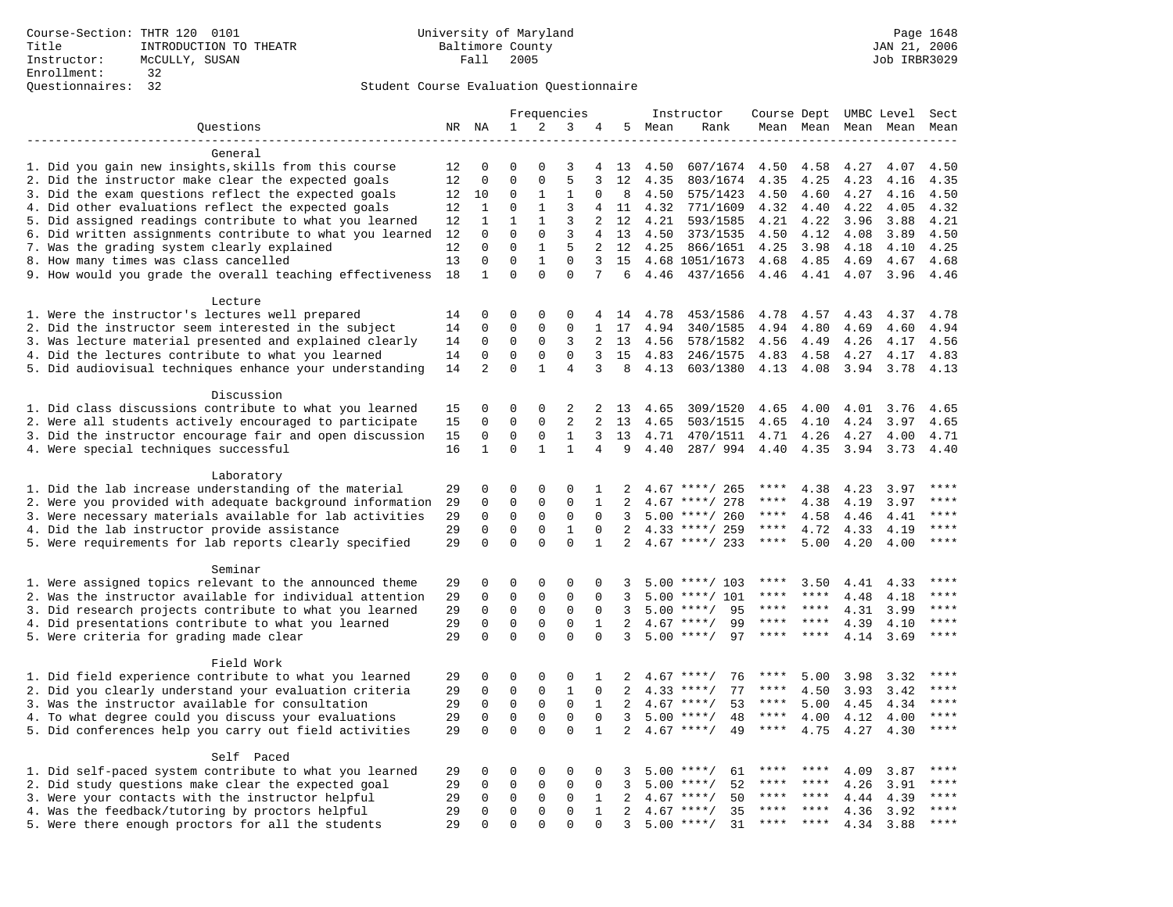|                                                           |          |                             |                          |                          | Frequencies          |                |                |        | Instructor         | Course Dept UMBC Level |           |      |           | Sect        |
|-----------------------------------------------------------|----------|-----------------------------|--------------------------|--------------------------|----------------------|----------------|----------------|--------|--------------------|------------------------|-----------|------|-----------|-------------|
| Questions                                                 | NR NA    |                             | $\mathbf{1}$             | 2                        | 3                    | 4              |                | 5 Mean | Rank               |                        | Mean Mean |      | Mean Mean | Mean        |
|                                                           |          |                             |                          |                          |                      |                |                |        |                    |                        |           |      |           |             |
| General                                                   |          |                             |                          |                          |                      |                |                |        |                    |                        |           |      |           |             |
| 1. Did you gain new insights, skills from this course     | 12       | 0                           | 0                        | $\Omega$                 | 3                    | 4              | 13             | 4.50   | 607/1674           | 4.50                   | 4.58      | 4.27 | 4.07      | 4.50        |
| 2. Did the instructor make clear the expected goals       | 12       | $\mathbf 0$                 | $\Omega$                 | $\Omega$                 | 5                    | 3              | 12             | 4.35   | 803/1674           | 4.35                   | 4.25      | 4.23 | 4.16      | 4.35        |
| 3. Did the exam questions reflect the expected goals      | 12       | 10                          | $\Omega$                 | 1                        | 1                    | $\Omega$       | 8              | 4.50   | 575/1423           | 4.50                   | 4.60      | 4.27 | 4.16      | 4.50        |
| 4. Did other evaluations reflect the expected goals       | 12       | 1                           | $\Omega$                 | $\mathbf{1}$             | 3                    | 4              | 11             | 4.32   | 771/1609           | 4.32                   | 4.40      | 4.22 | 4.05      | 4.32        |
| 5. Did assigned readings contribute to what you learned   | 12       | $\mathbf{1}$                | $\mathbf{1}$             | $\mathbf{1}$             | 3                    | 2              | 12             | 4.21   | 593/1585           | 4.21                   | 4.22      | 3.96 | 3.88      | 4.21        |
| 6. Did written assignments contribute to what you learned | 12       | 0                           | 0                        | $\mathbf 0$              | 3                    | $\overline{4}$ | 13             | 4.50   | 373/1535           | 4.50                   | 4.12      | 4.08 | 3.89      | 4.50        |
| 7. Was the grading system clearly explained               | 12       | 0                           | $\Omega$                 | $\mathbf{1}$             | 5                    | $\overline{a}$ | 12             | 4.25   | 866/1651           | 4.25                   | 3.98      | 4.18 | 4.10      | 4.25        |
| 8. How many times was class cancelled                     | 13<br>18 | $\mathbf 0$<br>$\mathbf{1}$ | $\mathbf{0}$<br>$\Omega$ | $\mathbf{1}$<br>$\Omega$ | $\Omega$<br>$\Omega$ | 3<br>7         | 15<br>6        |        | 4.68 1051/1673     | 4.68                   | 4.85      | 4.69 | 4.67      | 4.68        |
| 9. How would you grade the overall teaching effectiveness |          |                             |                          |                          |                      |                |                | 4.46   | 437/1656           | 4.46                   | 4.41      | 4.07 | 3.96      | 4.46        |
| Lecture                                                   |          |                             |                          |                          |                      |                |                |        |                    |                        |           |      |           |             |
| 1. Were the instructor's lectures well prepared           | 14       | 0                           | $\Omega$                 | $\mathbf 0$              | $\mathbf 0$          |                | 4 14           | 4.78   | 453/1586           | 4.78                   | 4.57      | 4.43 | 4.37      | 4.78        |
| 2. Did the instructor seem interested in the subject      | 14       | 0                           | $\mathbf 0$              | 0                        | $\mathbf 0$          | 1              | 17             | 4.94   | 340/1585           | 4.94                   | 4.80      | 4.69 | 4.60      | 4.94        |
| 3. Was lecture material presented and explained clearly   | 14       | 0                           | $\mathbf 0$              | 0                        | 3                    | 2              | 13             | 4.56   | 578/1582           | 4.56                   | 4.49      | 4.26 | 4.17      | 4.56        |
| 4. Did the lectures contribute to what you learned        | 14       | 0                           | $\Omega$                 | 0                        | $\Omega$             | 3              | 15             | 4.83   | 246/1575           | 4.83                   | 4.58      | 4.27 | 4.17      | 4.83        |
| 5. Did audiovisual techniques enhance your understanding  | 14       | $\overline{2}$              | $\Omega$                 | $\mathbf{1}$             | 4                    | 3              | 8              | 4.13   | 603/1380           | 4.13                   | 4.08      | 3.94 | 3.78      | 4.13        |
|                                                           |          |                             |                          |                          |                      |                |                |        |                    |                        |           |      |           |             |
| Discussion                                                |          |                             |                          |                          |                      |                |                |        |                    |                        |           |      |           |             |
| 1. Did class discussions contribute to what you learned   | 15       | 0                           | $\Omega$                 | 0                        | 2                    | 2              | 13             | 4.65   | 309/1520           | 4.65                   | 4.00      | 4.01 | 3.76      | 4.65        |
| 2. Were all students actively encouraged to participate   | 15       | 0                           | $\Omega$                 | 0                        | 2                    | $\overline{a}$ | 13             | 4.65   | 503/1515           | 4.65                   | 4.10      | 4.24 | 3.97      | 4.65        |
| 3. Did the instructor encourage fair and open discussion  | 15       | 0                           | $\mathbf 0$              | $\mathbf 0$              | $\mathbf{1}$         | 3              | 13             | 4.71   | 470/1511           | 4.71                   | 4.26      | 4.27 | 4.00      | 4.71        |
| 4. Were special techniques successful                     | 16       | $\mathbf{1}$                | $\Omega$                 | $\mathbf{1}$             | $\mathbf{1}$         | 4              | 9              | 4.40   | 287/ 994           | 4.40                   | 4.35      | 3.94 | 3.73      | 4.40        |
|                                                           |          |                             |                          |                          |                      |                |                |        |                    |                        |           |      |           |             |
| Laboratory                                                |          |                             |                          |                          |                      |                |                |        |                    |                        |           |      |           |             |
| 1. Did the lab increase understanding of the material     | 29       | 0                           | $\mathbf 0$              | 0                        | $\mathbf 0$          | 1              | 2              |        | $4.67$ ****/ 265   | ****                   | 4.38      | 4.23 | 3.97      |             |
| 2. Were you provided with adequate background information | 29       | 0                           | $\mathbf 0$              | 0                        | $\mathbf 0$          | $\mathbf{1}$   | $\overline{2}$ | 4.67   | ****/ 278          | ****                   | 4.38      | 4.19 | 3.97      | ****        |
| 3. Were necessary materials available for lab activities  | 29       | 0                           | $\mathbf 0$              | $\mathbf 0$              | $\mathsf 0$          | $\Omega$       | 3              |        | $5.00$ ****/ 260   | ****                   | 4.58      | 4.46 | 4.41      | ****        |
| 4. Did the lab instructor provide assistance              | 29       | $\Omega$                    | $\Omega$                 | $\mathbf 0$              | $\mathbf{1}$         | $\Omega$       | 2              |        | $4.33$ ****/ 259   | ****                   | 4.72      | 4.33 | 4.19      | $***$ * * * |
| 5. Were requirements for lab reports clearly specified    | 29       | $\Omega$                    | $\mathbf 0$              | $\Omega$                 | $\Omega$             | $\mathbf{1}$   | 2              |        | $4.67$ ****/ 233   | $***$ * * *            | 5.00      | 4.20 | 4.00      | $* * * *$   |
| Seminar                                                   |          |                             |                          |                          |                      |                |                |        |                    |                        |           |      |           |             |
| 1. Were assigned topics relevant to the announced theme   | 29       | 0                           | $\mathbf{0}$             | $\mathbf 0$              | $\mathbf 0$          | $\mathbf 0$    | 3              | 5.00   | ****/ 103          | ****                   | 3.50      | 4.41 | 4.33      | ****        |
| 2. Was the instructor available for individual attention  | 29       | $\mathbf 0$                 | $\mathbf 0$              | 0                        | $\mathbf 0$          | $\mathbf 0$    | 3              | 5.00   | ****/ 101          |                        | ****      | 4.48 | 4.18      |             |
| 3. Did research projects contribute to what you learned   | 29       | $\mathbf 0$                 | $\mathbf 0$              | $\mathsf 0$              | $\mathbf 0$          | $\mathbf 0$    | 3              | 5.00   | $***/$<br>95       | ****                   | ****      | 4.31 | 3.99      | ****        |
| 4. Did presentations contribute to what you learned       | 29       | $\mathbf 0$                 | $\mathbf 0$              | $\mathbf 0$              | $\mathbf 0$          | $\mathbf{1}$   | 2              | 4.67   | $***/$<br>99       | $***$ * *              | $***$ *   | 4.39 | 4.10      | ****        |
| 5. Were criteria for grading made clear                   | 29       | $\Omega$                    | $\Omega$                 | $\Omega$                 | $\Omega$             | $\Omega$       | 3              |        | $5.00$ ****/<br>97 | ****                   | ****      | 4.14 | 3.69      | ****        |
|                                                           |          |                             |                          |                          |                      |                |                |        |                    |                        |           |      |           |             |
| Field Work                                                |          |                             |                          |                          |                      |                |                |        |                    |                        |           |      |           |             |
| 1. Did field experience contribute to what you learned    | 29       | 0                           | 0                        | 0                        | $\mathbf 0$          | 1              | 2              |        | $4.67$ ****/<br>76 | ****                   | 5.00      | 3.98 | 3.32      |             |
| 2. Did you clearly understand your evaluation criteria    | 29       | $\mathbf 0$                 | $\mathbf 0$              | $\mathbf 0$              | $\mathbf{1}$         | $\mathbf 0$    | 2              | 4.33   | 77<br>$***$ /      | ****                   | 4.50      | 3.93 | 3.42      | ****        |
| 3. Was the instructor available for consultation          | 29       | $\mathbf 0$                 | $\mathbf 0$              | $\mathbf 0$              | $\mathbf 0$          | $\mathbf{1}$   | 2              |        | $4.67$ ****/<br>53 | ****                   | 5.00      | 4.45 | 4.34      | ****        |
| 4. To what degree could you discuss your evaluations      | 29       | $\mathbf 0$                 | $\mathbf{0}$             | $\mathbf 0$              | $\mathbf 0$          | $\mathbf 0$    | 3              | 5.00   | $***/$<br>48       | $***$ * * *            | 4.00      | 4.12 | 4.00      | $***$       |
| 5. Did conferences help you carry out field activities    | 29       | $\Omega$                    | $\Omega$                 | $\Omega$                 | $\Omega$             | $\mathbf{1}$   | 2              | 4.67   | 49<br>$***$ /      | ****                   | 4.75      | 4.27 | 4.30      | $***$       |
|                                                           |          |                             |                          |                          |                      |                |                |        |                    |                        |           |      |           |             |
| Self Paced                                                |          |                             |                          |                          |                      |                |                |        |                    |                        |           |      |           |             |
| 1. Did self-paced system contribute to what you learned   | 29       | 0                           | 0                        | $\Omega$                 | $\Omega$             | 0              | 3              |        | $5.00$ ****/<br>61 | ****                   | ****      | 4.09 | 3.87      | $***$ * * * |
| 2. Did study questions make clear the expected goal       | 29       | 0                           | $\mathbf 0$              | 0                        | $\mathbf 0$          | $\mathbf 0$    | 3              | 5.00   | 52<br>$* * * * /$  | ****                   | ****      | 4.26 | 3.91      | ****        |
| 3. Were your contacts with the instructor helpful         | 29       | 0                           | $\mathbf 0$              | $\mathbf 0$              | $\mathbf 0$          | 1              | 2              | 4.67   | $***/$<br>50       | ****                   | ****      | 4.44 | 4.39      | ****        |
| 4. Was the feedback/tutoring by proctors helpful          | 29       | 0                           | $\mathbf 0$              | 0                        | $\mathbf 0$          | $\mathbf{1}$   | 2              |        | $4.67$ ****/<br>35 | ***                    | ****      | 4.36 | 3.92      | ****        |
| 5. Were there enough proctors for all the students        | 29       | $\Omega$                    | $\Omega$                 | $\Omega$                 | $\Omega$             | $\Omega$       | 3              |        | $5.00$ ****/<br>31 | $***$ * *              | $***$     | 4.34 | 3.88      | $***$ * * * |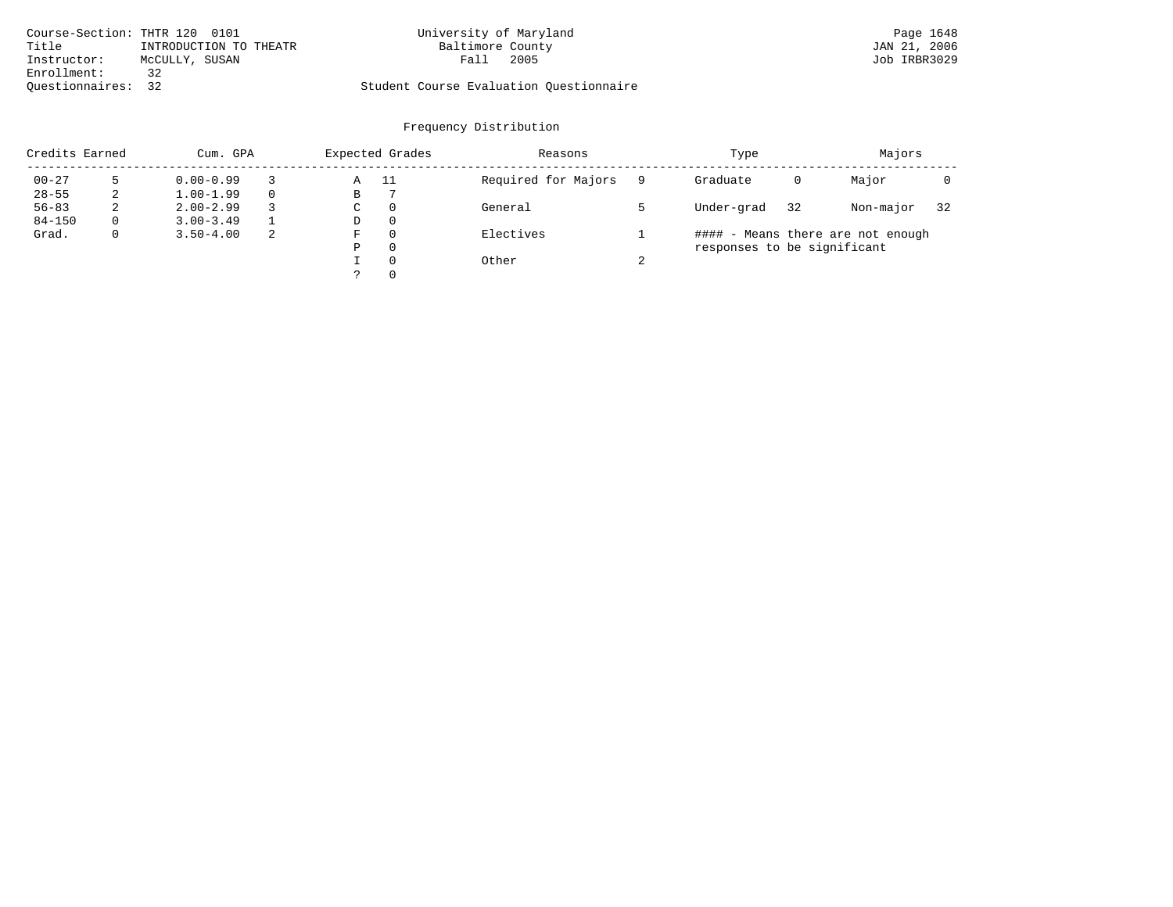| Course-Section: THTR 120 0101 |                        | University of Maryland                  |      | Page 1648    |
|-------------------------------|------------------------|-----------------------------------------|------|--------------|
| Title                         | INTRODUCTION TO THEATR | Baltimore County                        |      | JAN 21, 2006 |
| Instructor:                   | MCCULLY, SUSAN         | Fall                                    | 2005 | Job IRBR3029 |
| Enrollment:                   | 32                     |                                         |      |              |
| Ouestionnaires: 32            |                        | Student Course Evaluation Questionnaire |      |              |

| Credits Earned |          | Cum. GPA      |          |   | Expected Grades | Reasons             |        | Type                        |    | Majors                            |    |
|----------------|----------|---------------|----------|---|-----------------|---------------------|--------|-----------------------------|----|-----------------------------------|----|
| $00 - 27$      |          | $0.00 - 0.99$ |          | Α | - 11            | Required for Majors | 9      | Graduate                    | 0  | Major                             |    |
| $28 - 55$      | 2        | $1.00 - 1.99$ | $\Omega$ | В |                 |                     |        |                             |    |                                   |    |
| $56 - 83$      | 2        | $2.00 - 2.99$ | 3        | С | $\circ$         | General             |        | Under-grad                  | 32 | Non-major                         | 32 |
| $84 - 150$     | $\Omega$ | $3.00 - 3.49$ |          | D | 0               |                     |        |                             |    |                                   |    |
| Grad.          | 0        | $3.50 - 4.00$ | 2        | F | 0               | Electives           |        |                             |    | #### - Means there are not enough |    |
|                |          |               |          | Ρ | 0               |                     |        | responses to be significant |    |                                   |    |
|                |          |               |          |   | $\Omega$        | Other               | $\sim$ |                             |    |                                   |    |
|                |          |               |          | っ | 0               |                     |        |                             |    |                                   |    |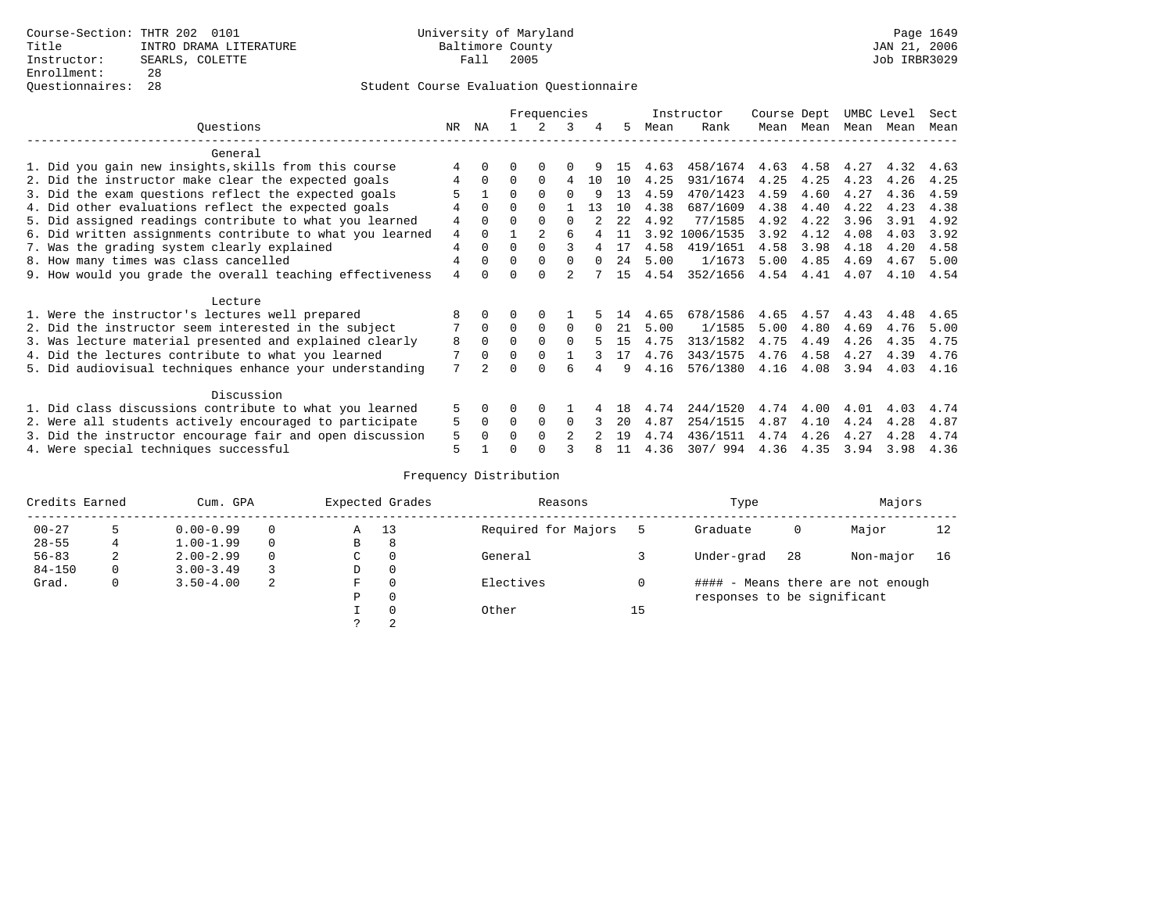# Questionnaires: 28 Student Course Evaluation Questionnaire

|                                                           |                |              |          | Frequencies    |                |          |      |      | Instructor     | Course Dept |      | UMBC Level |      | Sect |
|-----------------------------------------------------------|----------------|--------------|----------|----------------|----------------|----------|------|------|----------------|-------------|------|------------|------|------|
| Ouestions                                                 | NR.            | ΝA           |          |                | 3              | 4        | 5.   | Mean | Rank           | Mean        | Mean | Mean       | Mean | Mean |
| General                                                   |                |              |          |                |                |          |      |      |                |             |      |            |      |      |
| 1. Did you gain new insights, skills from this course     | 4              | $\Omega$     | O        | $\Omega$       |                |          | 15   | 4.63 | 458/1674       | 4.63        | 4.58 | 4.27       | 4.32 | 4.63 |
| 2. Did the instructor make clear the expected goals       | 4              | $\Omega$     | $\Omega$ | $\Omega$       | 4              | 10       | 10   | 4.25 | 931/1674       | 4.25        | 4.25 | 4.23       | 4.26 | 4.25 |
|                                                           |                |              | $\Omega$ | $\Omega$       | $\Omega$       | 9        | 13   | 4.59 | 470/1423       | 4.59        | 4.60 | 4.27       | 4.36 | 4.59 |
| 3. Did the exam questions reflect the expected goals      |                |              |          |                |                |          |      |      |                |             |      |            |      |      |
| 4. Did other evaluations reflect the expected goals       | 4              | $\Omega$     | $\Omega$ | $\Omega$       |                | 13       | 10   | 4.38 | 687/1609       | 4.38        | 4.40 | 4.22       | 4.23 | 4.38 |
| 5. Did assigned readings contribute to what you learned   | 4              | $\Omega$     | $\Omega$ | $\Omega$       | $\Omega$       |          | 2.2. | 4.92 | 77/1585        | 4.92        | 4.22 | 3.96       | 3.91 | 4.92 |
| 6. Did written assignments contribute to what you learned | $\overline{4}$ | $\Omega$     |          | $\mathfrak{D}$ | 6              |          | 11   |      | 3.92 1006/1535 | 3.92        | 4.12 | 4.08       | 4.03 | 3.92 |
| 7. Was the grading system clearly explained               | $\overline{4}$ | $\Omega$     | $\Omega$ | $\Omega$       |                | 4        | 17   | 4.58 | 419/1651       | 4.58        | 3.98 | 4.18       | 4.20 | 4.58 |
| 8. How many times was class cancelled                     | 4              | $\Omega$     | $\Omega$ | $\Omega$       | $\Omega$       | $\Omega$ | 24   | 5.00 | 1/1673         | 5.00        | 4.85 | 4.69       | 4.67 | 5.00 |
| 9. How would you grade the overall teaching effectiveness | $\overline{4}$ | <sup>n</sup> | U        | $\cap$         |                |          | 15   | 4.54 | 352/1656       | 4.54        | 4.41 | 4.07       | 4.10 | 4.54 |
| Lecture                                                   |                |              |          |                |                |          |      |      |                |             |      |            |      |      |
| 1. Were the instructor's lectures well prepared           | 8              |              |          |                |                |          | 14   | 4.65 | 678/1586       | 4.65        | 4.57 | 4.43       | 4.48 | 4.65 |
| 2. Did the instructor seem interested in the subject      | 7              | $\Omega$     | $\Omega$ | $\Omega$       | $\Omega$       | $\Omega$ | 21   | 5.00 | 1/1585         | 5.00        | 4.80 | 4.69       | 4.76 | 5.00 |
| 3. Was lecture material presented and explained clearly   | 8              | $\Omega$     | $\Omega$ | $\Omega$       | $\Omega$       |          | 15   | 4.75 | 313/1582       | 4.75        | 4.49 | 4.26       | 4.35 | 4.75 |
| 4. Did the lectures contribute to what you learned        |                | $\Omega$     | $\Omega$ | $\Omega$       |                |          | 17   | 4.76 | 343/1575       | 4.76        | 4.58 | 4.27       | 4.39 | 4.76 |
|                                                           | 7              |              |          | ∩              |                |          |      |      |                |             |      |            |      |      |
| 5. Did audiovisual techniques enhance your understanding  |                |              |          |                | ศ              |          | q    | 4.16 | 576/1380       | 4.16        | 4.08 | 3.94       | 4.03 | 4.16 |
| Discussion                                                |                |              |          |                |                |          |      |      |                |             |      |            |      |      |
| 1. Did class discussions contribute to what you learned   | 5              | $\Omega$     | U        | $\Omega$       |                |          | 18   | 4.74 | 244/1520       | 4.74        | 4.00 | 4.01       | 4.03 | 4.74 |
| 2. Were all students actively encouraged to participate   | 5              | $\Omega$     | $\Omega$ | $\Omega$       | $\Omega$       |          | 20   | 4.87 | 254/1515       | 4.87        | 4.10 | 4.24       | 4.28 | 4.87 |
| 3. Did the instructor encourage fair and open discussion  | 5              | $\Omega$     | O        | $\Omega$       | $\mathfrak{D}$ |          | 19   | 4.74 | 436/1511       | 4.74        | 4.26 | 4.27       | 4.28 | 4.74 |
| 4. Were special techniques successful                     | 5              |              |          |                |                |          | 11   | 4.36 | 307/994        | 4.36        | 4.35 | 3.94       | 3.98 | 4.36 |

| Credits Earned |   | Cum. GPA      |   |   | Expected Grades | Reasons             |    | Type                        |    | Majors                            |    |
|----------------|---|---------------|---|---|-----------------|---------------------|----|-----------------------------|----|-----------------------------------|----|
| $00 - 27$      |   | $0.00 - 0.99$ |   | Α | 13              | Required for Majors |    | Graduate                    | 0  | Major                             | 12 |
| $28 - 55$      | 4 | $1.00 - 1.99$ |   | B | 8               |                     |    |                             |    |                                   |    |
| $56 - 83$      | 2 | $2.00 - 2.99$ |   | C | 0               | General             |    | Under-grad                  | 28 | Non-major                         | 16 |
| $84 - 150$     | 0 | $3.00 - 3.49$ |   | D | 0               |                     |    |                             |    |                                   |    |
| Grad.          | 0 | $3.50 - 4.00$ | 2 | F | 0               | Electives           |    |                             |    | #### - Means there are not enough |    |
|                |   |               |   | Ρ | 0               |                     |    | responses to be significant |    |                                   |    |
|                |   |               |   |   | $\Omega$        | Other               | 15 |                             |    |                                   |    |
|                |   |               |   |   | 2               |                     |    |                             |    |                                   |    |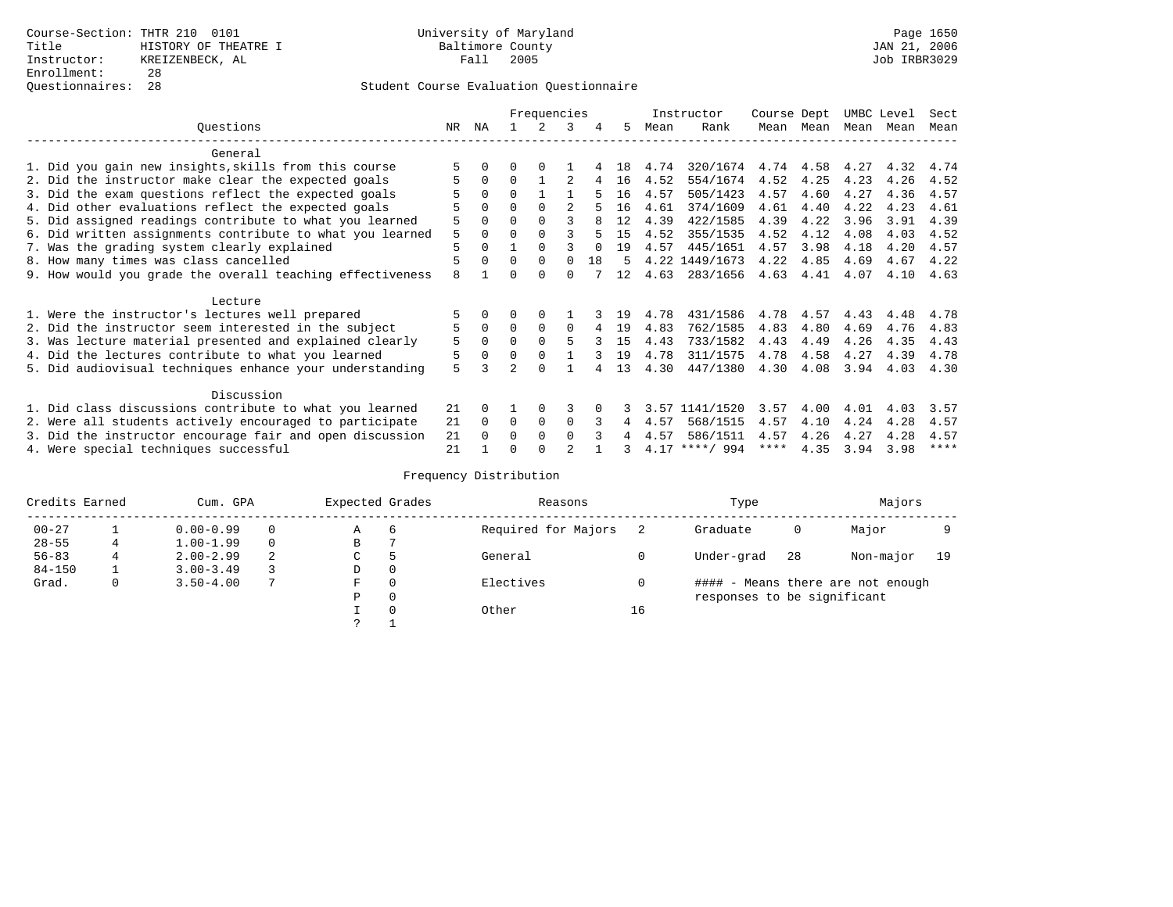|                                                           |     |          |          | Frequencies |          |    |    |      | Instructor       | Course Dept |           | UMBC Level |      | Sect        |
|-----------------------------------------------------------|-----|----------|----------|-------------|----------|----|----|------|------------------|-------------|-----------|------------|------|-------------|
| Ouestions                                                 | NR. | ΝA       |          |             | 3        | 4  | 5. | Mean | Rank             | Mean        | Mean      | Mean       | Mean | Mean        |
| General                                                   |     |          |          |             |          |    |    |      |                  |             |           |            |      |             |
| 1. Did you gain new insights, skills from this course     |     |          | U        | $\Omega$    |          |    | 18 | 4.74 | 320/1674         |             | 4.74 4.58 | 4.27       | 4.32 | 4.74        |
| 2. Did the instructor make clear the expected goals       |     | $\Omega$ | $\Omega$ |             |          |    | 16 | 4.52 | 554/1674         | 4.52        | 4.25      | 4.23       | 4.26 | 4.52        |
| 3. Did the exam questions reflect the expected goals      |     | $\Omega$ | $\Omega$ |             |          |    | 16 | 4.57 | 505/1423         | 4.57        | 4.60      | 4.27       | 4.36 | 4.57        |
| 4. Did other evaluations reflect the expected goals       |     | $\Omega$ | $\Omega$ | $\Omega$    |          |    | 16 | 4.61 | 374/1609         | 4.61        | 4.40      | 4.22       | 4.23 | 4.61        |
| 5. Did assigned readings contribute to what you learned   | 5   | $\Omega$ |          |             |          | 8  | 12 | 4.39 | 422/1585         | 4.39        | 4.22      | 3.96       | 3.91 | 4.39        |
| 6. Did written assignments contribute to what you learned | 5   | $\Omega$ |          |             |          |    | 15 | 4.52 | 355/1535         | 4.52        | 4.12      | 4.08       | 4.03 | 4.52        |
| 7. Was the grading system clearly explained               | 5   | $\Omega$ |          | $\Omega$    |          |    | 19 | 4.57 | 445/1651         | 4.57        | 3.98      | 4.18       | 4.20 | 4.57        |
| 8. How many times was class cancelled                     | 5   | $\Omega$ | $\Omega$ | $\Omega$    | $\cap$   | 18 | 5  |      | 4.22 1449/1673   | 4.22        | 4.85      | 4.69       | 4.67 | 4.22        |
| 9. How would you grade the overall teaching effectiveness | 8   |          | U        | $\cap$      | U        |    | 12 | 4.63 | 283/1656         | 4.63        | 4.41      | 4.07       | 4.10 | 4.63        |
|                                                           |     |          |          |             |          |    |    |      |                  |             |           |            |      |             |
| Lecture                                                   |     |          |          |             |          |    |    |      |                  |             |           |            |      |             |
| 1. Were the instructor's lectures well prepared           |     |          |          |             |          |    | 19 | 4.78 | 431/1586         | 4.78        | 4.57      | 4.43       | 4.48 | 4.78        |
| 2. Did the instructor seem interested in the subject      | 5   | $\Omega$ | $\Omega$ | $\Omega$    | $\Omega$ |    | 19 | 4.83 | 762/1585         | 4.83        | 4.80      | 4.69       | 4.76 | 4.83        |
| 3. Was lecture material presented and explained clearly   | 5   | $\Omega$ | $\Omega$ |             |          |    | 15 | 4.43 | 733/1582         | 4.43        | 4.49      | 4.26       | 4.35 | 4.43        |
| 4. Did the lectures contribute to what you learned        | 5   | $\Omega$ | $\Omega$ |             |          |    | 19 | 4.78 | 311/1575         | 4.78        | 4.58      | 4.27       | 4.39 | 4.78        |
| 5. Did audiovisual techniques enhance your understanding  | 5   |          |          | $\cap$      |          |    | 13 | 4.30 | 447/1380         | 4.30        | 4.08      | 3.94       | 4.03 | 4.30        |
|                                                           |     |          |          |             |          |    |    |      |                  |             |           |            |      |             |
| Discussion                                                |     |          |          |             |          |    |    |      |                  |             |           |            |      |             |
| 1. Did class discussions contribute to what you learned   | 21  | $\Omega$ |          | $\Omega$    | κ        |    |    | 3.57 | 1141/1520        | 3.57        | 4.00      | 4.01       | 4.03 | 3.57        |
| 2. Were all students actively encouraged to participate   | 21  | $\Omega$ | $\Omega$ | 0           | $\Omega$ |    | 4  | 4.57 | 568/1515         | 4.57        | 4.10      | 4.24       | 4.28 | 4.57        |
| 3. Did the instructor encourage fair and open discussion  | 21  | $\Omega$ | 0        | $\Omega$    | $\Omega$ |    |    | 4.57 | 586/1511         | 4.57        | 4.26      | 4.27       | 4.28 | 4.57        |
| 4. Were special techniques successful                     | 21  |          |          |             |          |    |    |      | $4.17$ ****/ 994 | ****        | 4.35      | 3.94       | 3.98 | $***$ * * * |

| Credits Earned |   | Cum. GPA      |   | Expected Grades |          | Reasons             |    | Type                        |    | Majors                            |    |
|----------------|---|---------------|---|-----------------|----------|---------------------|----|-----------------------------|----|-----------------------------------|----|
| $00 - 27$      |   | $0.00 - 0.99$ |   | Α               | 6        | Required for Majors |    | Graduate                    | 0  | Major                             |    |
| $28 - 55$      | 4 | $1.00 - 1.99$ |   | B               |          |                     |    |                             |    |                                   |    |
| $56 - 83$      |   | $2.00 - 2.99$ | 2 | ◡               | 5        | General             |    | Under-grad                  | 28 | Non-major                         | 19 |
| $84 - 150$     |   | $3.00 - 3.49$ |   | D               | 0        |                     |    |                             |    |                                   |    |
| Grad.          | 0 | $3.50 - 4.00$ |   | F               | $\Omega$ | Electives           |    |                             |    | #### - Means there are not enough |    |
|                |   |               |   | Ρ               | 0        |                     |    | responses to be significant |    |                                   |    |
|                |   |               |   |                 | $\Omega$ | Other               | 16 |                             |    |                                   |    |
|                |   |               |   | っ               |          |                     |    |                             |    |                                   |    |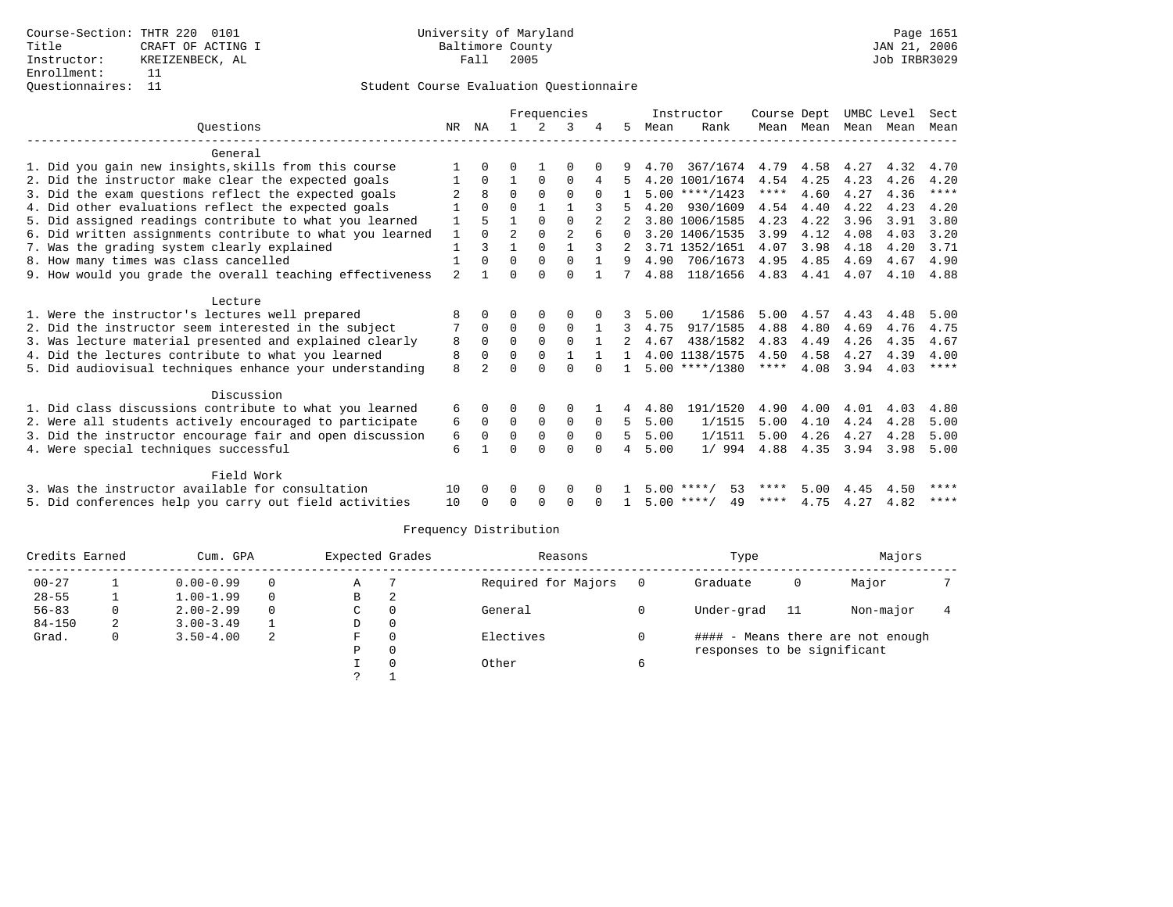|                                                           |     |                |                |                      | Frequencies    |              |   |      | Instructor         | Course Dept       |           |           | UMBC Level | Sect         |
|-----------------------------------------------------------|-----|----------------|----------------|----------------------|----------------|--------------|---|------|--------------------|-------------------|-----------|-----------|------------|--------------|
| Ouestions                                                 | NR. | ΝA             |                | $\overline{2}$       |                |              | 5 | Mean | Rank               |                   | Mean Mean | Mean Mean |            | Mean         |
|                                                           |     |                |                |                      |                |              |   |      |                    |                   |           |           |            |              |
| General                                                   |     |                |                |                      |                |              |   |      |                    |                   |           |           |            |              |
| 1. Did you gain new insights, skills from this course     |     |                |                |                      |                |              |   | 4.70 | 367/1674           | 4.79              | 4.58      | 4.27      | 4.32       | 4.70         |
| 2. Did the instructor make clear the expected goals       |     | $\Omega$<br>8  | $\Omega$       | $\Omega$<br>$\Omega$ | 0<br>$\Omega$  | 4            |   |      | 4.20 1001/1674     | 4.54<br>$***$ * * | 4.25      | 4.23      | 4.26       | 4.20<br>**** |
| 3. Did the exam questions reflect the expected goals      |     |                | U              |                      |                | $\Omega$     |   |      | $5.00$ ****/1423   |                   | 4.60      | 4.27      | 4.36       |              |
| 4. Did other evaluations reflect the expected goals       |     | $\Omega$       |                |                      |                |              |   | 4.20 | 930/1609           | 4.54              | 4.40      | 4.22      | 4.23       | 4.20         |
| 5. Did assigned readings contribute to what you learned   |     |                |                | $\Omega$             | $\Omega$       |              |   |      | 3.80 1006/1585     | 4.23              | 4.22      | 3.96      | 3.91       | 3.80         |
| 6. Did written assignments contribute to what you learned |     | $\Omega$       | $\overline{2}$ | $\Omega$             | $\mathfrak{D}$ |              |   |      | 3.20 1406/1535     | 3.99              | 4.12      | 4.08      | 4.03       | 3.20         |
| 7. Was the grading system clearly explained               |     | 3              |                | 0                    |                |              |   |      | 3.71 1352/1651     | 4.07              | 3.98      | 4.18      | 4.20       | 3.71         |
| 8. How many times was class cancelled                     |     | $\Omega$       | U              | $\Omega$             | $\Omega$       |              |   | 4.90 | 706/1673           | 4.95              | 4.85      | 4.69      | 4.67       | 4.90         |
| 9. How would you grade the overall teaching effectiveness | 2   |                |                | $\cap$               | $\Omega$       |              |   | 4.88 | 118/1656           | 4.83              | 4.41      | 4.07      | 4.10       | 4.88         |
| Lecture                                                   |     |                |                |                      |                |              |   |      |                    |                   |           |           |            |              |
| 1. Were the instructor's lectures well prepared           | ጸ   | 0              | U              | $\Omega$             | 0              |              | 3 | 5.00 | 1/1586             | 5.00              | 4.57      | 4.43      | 4.48       | 5.00         |
| 2. Did the instructor seem interested in the subject      |     | $\Omega$       | $\Omega$       | $\Omega$             | $\Omega$       | $\mathbf{1}$ | 3 | 4.75 | 917/1585           | 4.88              | 4.80      | 4.69      | 4.76       | 4.75         |
| 3. Was lecture material presented and explained clearly   | 8   | $\Omega$       | $\Omega$       | $\Omega$             | $\Omega$       |              |   | 4.67 | 438/1582           | 4.83              | 4.49      | 4.26      | 4.35       | 4.67         |
| 4. Did the lectures contribute to what you learned        | 8   | $\Omega$       | U              | $\Omega$             |                |              |   |      | 4.00 1138/1575     | 4.50              | 4.58      | 4.27      | 4.39       | 4.00         |
| 5. Did audiovisual techniques enhance your understanding  | 8   | $\mathfrak{D}$ |                |                      | U              |              |   |      | $5.00$ ****/1380   | $***$ * * *       | 4.08      | 3.94      | 4.03       | ****         |
|                                                           |     |                |                |                      |                |              |   |      |                    |                   |           |           |            |              |
| Discussion                                                |     |                |                |                      |                |              |   |      |                    |                   |           |           |            |              |
| 1. Did class discussions contribute to what you learned   | 6   | 0              |                | $\Omega$             | $\Omega$       |              | 4 | 4.80 | 191/1520           | 4.90              | 4.00      | 4.01      | 4.03       | 4.80         |
| 2. Were all students actively encouraged to participate   | 6   | 0              | 0              | $\mathbf 0$          | $\mathbf 0$    | 0            | 5 | 5.00 | 1/1515             | 5.00              | 4.10      | 4.24      | 4.28       | 5.00         |
| 3. Did the instructor encourage fair and open discussion  | 6   | $\Omega$       | 0              | $\mathbf 0$          | $\mathbf 0$    | $\Omega$     | 5 | 5.00 | 1/1511             | 5.00              | 4.26      | 4.27      | 4.28       | 5.00         |
| 4. Were special techniques successful                     | 6   |                | U              | <sup>0</sup>         | $\Omega$       | $\Omega$     | 4 | 5.00 | 1/994              | 4.88              | 4.35      | 3.94      | 3.98       | 5.00         |
|                                                           |     |                |                |                      |                |              |   |      |                    |                   |           |           |            |              |
| Field Work                                                |     |                |                |                      |                |              |   |      |                    |                   |           |           |            |              |
| 3. Was the instructor available for consultation          | 10  | 0              | U              | $\Omega$             | $\Omega$       |              |   |      | $5.00$ ****/<br>53 | ****              | 5.00      | 4.45      | 4.50       |              |
| 5. Did conferences help you carry out field activities    | 10  |                |                | <sup>0</sup>         | ∩              |              |   |      | 49<br>$5.00$ ****/ | ****              | 4.75      | 4.27      | 4.82       | ****         |
|                                                           |     |                |                |                      |                |              |   |      |                    |                   |           |           |            |              |

| Credits Earned |              | Cum. GPA      |          | Expected Grades |          | Reasons             |     | Type                        |    | Majors                            |  |
|----------------|--------------|---------------|----------|-----------------|----------|---------------------|-----|-----------------------------|----|-----------------------------------|--|
| $00 - 27$      |              | $0.00 - 0.99$ | 0        | Α               |          | Required for Majors | - 0 | Graduate                    | 0  | Major                             |  |
| $28 - 55$      |              | $1.00 - 1.99$ | $\Omega$ | в               | 2        |                     |     |                             |    |                                   |  |
| $56 - 83$      | 0            | $2.00 - 2.99$ | $\Omega$ | C               | $\Omega$ | General             |     | Under-grad                  | 11 | Non-major                         |  |
| $84 - 150$     | 2            | $3.00 - 3.49$ |          | D               | 0        |                     |     |                             |    |                                   |  |
| Grad.          | $\mathbf{0}$ | $3.50 - 4.00$ | 2        | F.              | $\Omega$ | Electives           |     |                             |    | #### - Means there are not enough |  |
|                |              |               |          | Ρ               | 0        |                     |     | responses to be significant |    |                                   |  |
|                |              |               |          |                 | $\Omega$ | Other               | 6   |                             |    |                                   |  |
|                |              |               |          |                 |          |                     |     |                             |    |                                   |  |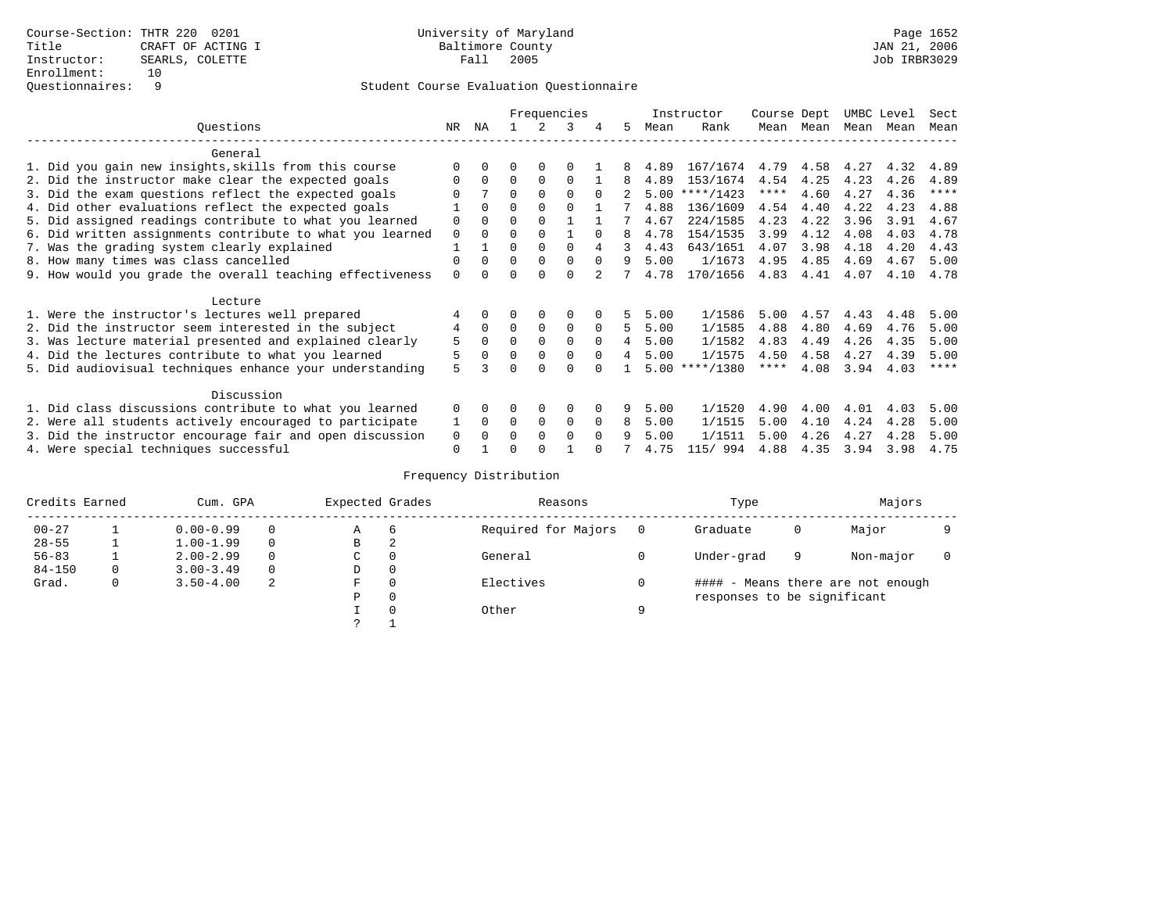|                                                           |          |              |          |          | Frequencies |          |    |      | Instructor | Course Dept |      | UMBC Level |      | Sect        |
|-----------------------------------------------------------|----------|--------------|----------|----------|-------------|----------|----|------|------------|-------------|------|------------|------|-------------|
| Ouestions                                                 | NR.      | ΝA           |          | 2        | 3           |          | 5. | Mean | Rank       | Mean        | Mean | Mean       | Mean | Mean        |
| General                                                   |          |              |          |          |             |          |    |      |            |             |      |            |      |             |
| 1. Did you gain new insights, skills from this course     |          |              | O        | 0        | $\Omega$    |          |    | 4.89 | 167/1674   | 4.79        | 4.58 | 4.27       | 4.32 | 4.89        |
| 2. Did the instructor make clear the expected goals       | $\Omega$ | <sup>0</sup> | $\Omega$ | $\Omega$ | $\Omega$    |          | 8  | 4.89 | 153/1674   | 4.54        | 4.25 | 4.23       | 4.26 | 4.89        |
| 3. Did the exam questions reflect the expected goals      |          |              | $\Omega$ | $\Omega$ | $\Omega$    | $\Omega$ |    | 5.00 | ****/1423  | $***$ * * * | 4.60 | 4.27       | 4.36 | $***$ * * * |
| 4. Did other evaluations reflect the expected goals       |          | $\Omega$     | $\Omega$ | $\Omega$ | $\Omega$    |          |    | 4.88 | 136/1609   | 4.54        | 4.40 | 4.22       | 4.23 | 4.88        |
| 5. Did assigned readings contribute to what you learned   | $\Omega$ |              | $\Omega$ | $\Omega$ |             |          |    | 4.67 | 224/1585   | 4.23        | 4.22 | 3.96       | 3.91 | 4.67        |
| 6. Did written assignments contribute to what you learned | $\Omega$ | <sup>0</sup> | $\Omega$ |          |             | $\cap$   | 8  | 4.78 | 154/1535   | 3.99        | 4.12 | 4.08       | 4.03 | 4.78        |
| 7. Was the grading system clearly explained               |          |              | $\Omega$ | $\Omega$ | $\cap$      | 4        |    | 4.43 | 643/1651   | 4.07        | 3.98 | 4.18       | 4.20 | 4.43        |
| 8. How many times was class cancelled                     | $\Omega$ | <sup>0</sup> | $\Omega$ | $\Omega$ | $\Omega$    | $\Omega$ | 9  | 5.00 | 1/1673     | 4.95        | 4.85 | 4.69       | 4.67 | 5.00        |
| 9. How would you grade the overall teaching effectiveness | $\Omega$ |              | ∩        | ∩        | $\cap$      |          |    | 4.78 | 170/1656   | 4.83        | 4.41 | 4.07       | 4.10 | 4.78        |
| Lecture                                                   |          |              |          |          |             |          |    |      |            |             |      |            |      |             |
| 1. Were the instructor's lectures well prepared           |          |              |          | $\Omega$ | $\Omega$    |          |    | 5.00 | 1/1586     | 5.00        | 4.57 | 4.43       | 4.48 | 5.00        |
| 2. Did the instructor seem interested in the subject      | 4        | $\Omega$     | $\Omega$ | $\Omega$ | $\Omega$    | $\Omega$ | 5  | 5.00 | 1/1585     | 4.88        | 4.80 | 4.69       | 4.76 | 5.00        |
| 3. Was lecture material presented and explained clearly   | 5        | 0            | $\Omega$ | $\Omega$ | $\Omega$    | $\Omega$ |    | 5.00 | 1/1582     | 4.83        | 4.49 | 4.26       | 4.35 | 5.00        |
| 4. Did the lectures contribute to what you learned        | 5        |              | $\Omega$ | $\Omega$ | $\mathbf 0$ | $\Omega$ | 4  | 5.00 | 1/1575     | 4.50        | 4.58 | 4.27       | 4.39 | 5.00        |
| 5. Did audiovisual techniques enhance your understanding  | 5        |              | ∩        |          | ∩           |          |    | 5.00 | $***/1380$ | ****        | 4.08 | 3.94       | 4.03 | ****        |
| Discussion                                                |          |              |          |          |             |          |    |      |            |             |      |            |      |             |
| 1. Did class discussions contribute to what you learned   | $\Omega$ |              | 0        | 0        | $\Omega$    |          | 9  | 5.00 | 1/1520     | 4.90        | 4.00 | 4.01       | 4.03 | 5.00        |
| 2. Were all students actively encouraged to participate   |          | 0            | $\Omega$ | 0        | $\Omega$    | $\Omega$ | 8  | 5.00 | 1/1515     | 5.00        | 4.10 | 4.24       | 4.28 | 5.00        |
| 3. Did the instructor encourage fair and open discussion  | 0        |              | O        | $\Omega$ | $\Omega$    | $\Omega$ |    | 5.00 | 1/1511     | 5.00        | 4.26 | 4.27       | 4.28 | 5.00        |
| 4. Were special techniques successful                     | $\Omega$ |              | U        |          |             |          |    | 4.75 | 115/ 994   | 4.88        | 4.35 | 3.94       | 3.98 | 4.75        |

| Credits Earned |   | Cum. GPA      |          | Expected Grades |          | Reasons             |          | Type                        |   | Majors                            |  |
|----------------|---|---------------|----------|-----------------|----------|---------------------|----------|-----------------------------|---|-----------------------------------|--|
| $00 - 27$      |   | $0.00 - 0.99$ |          | А               | 6        | Required for Majors | $\Omega$ | Graduate                    | 0 | Major                             |  |
| $28 - 55$      | ᅩ | $1.00 - 1.99$ |          | В               | 2        |                     |          |                             |   |                                   |  |
| $56 - 83$      |   | $2.00 - 2.99$ |          | $\sim$<br>◡     |          | General             |          | Under-grad                  | 9 | Non-major                         |  |
| $84 - 150$     | 0 | $3.00 - 3.49$ | $\Omega$ | D               | 0        |                     |          |                             |   |                                   |  |
| Grad.          | 0 | $3.50 - 4.00$ | 2        | F               | 0        | Electives           | 0        |                             |   | #### - Means there are not enough |  |
|                |   |               |          | Ρ               | 0        |                     |          | responses to be significant |   |                                   |  |
|                |   |               |          |                 | $\Omega$ | Other               | Q        |                             |   |                                   |  |
|                |   |               |          | C               |          |                     |          |                             |   |                                   |  |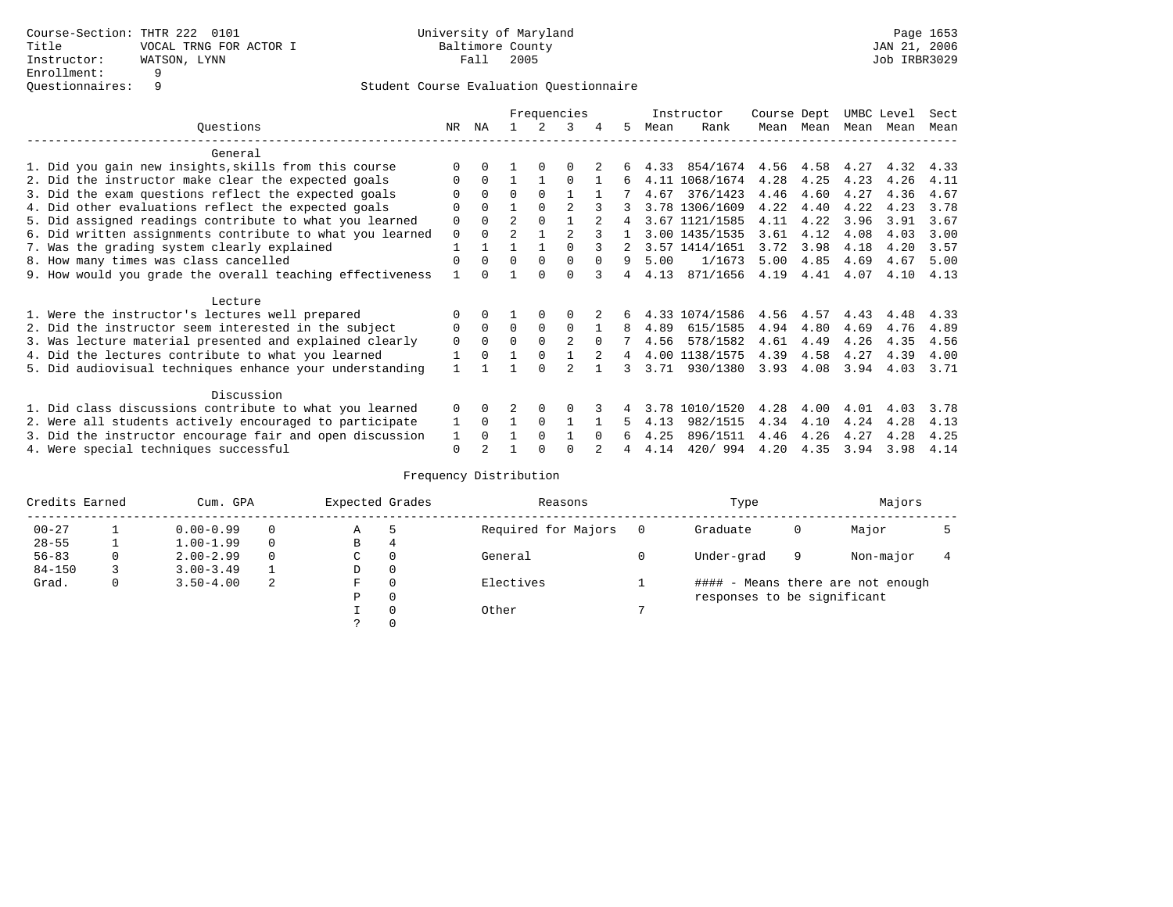|                                                           |             |              |                |          | Frequencies    |          |    |      | Instructor     | Course Dept |           | UMBC Level |      | Sect |
|-----------------------------------------------------------|-------------|--------------|----------------|----------|----------------|----------|----|------|----------------|-------------|-----------|------------|------|------|
| Ouestions                                                 | NR.         | ΝA           |                |          | 3              |          | 5. | Mean | Rank           | Mean        | Mean      | Mean       | Mean | Mean |
| General                                                   |             |              |                |          |                |          |    |      |                |             |           |            |      |      |
| 1. Did you gain new insights, skills from this course     |             | <sup>n</sup> |                | $\Omega$ |                |          |    | 4.33 | 854/1674       |             | 4.56 4.58 | 4.27       | 4.32 | 4.33 |
| 2. Did the instructor make clear the expected goals       | O           | $\Omega$     |                |          | $\Omega$       |          | 6  |      | 4.11 1068/1674 | 4.28        | 4.25      | 4.23       | 4.26 | 4.11 |
| 3. Did the exam questions reflect the expected goals      |             | $\Omega$     | $\Omega$       | $\Omega$ |                |          |    | 4.67 | 376/1423       | 4.46        | 4.60      | 4.27       | 4.36 | 4.67 |
| 4. Did other evaluations reflect the expected goals       | O           | $\Omega$     |                | $\Omega$ |                |          |    |      | 3.78 1306/1609 | 4.22        | 4.40      | 4.22       | 4.23 | 3.78 |
| 5. Did assigned readings contribute to what you learned   | $\mathbf 0$ | $\Omega$     | $\mathfrak{D}$ | $\Omega$ |                |          | 4  |      | 3.67 1121/1585 | 4.11        | 4.22      | 3.96       | 3.91 | 3.67 |
| 6. Did written assignments contribute to what you learned | $\mathbf 0$ | $\cap$       | $\mathfrak{D}$ |          | $\mathcal{D}$  |          |    |      | 3.00 1435/1535 | 3.61        | 4.12      | 4.08       | 4.03 | 3.00 |
| 7. Was the grading system clearly explained               |             |              |                |          |                |          |    |      | 3.57 1414/1651 | 3.72        | 3.98      | 4.18       | 4.20 | 3.57 |
| 8. How many times was class cancelled                     | $\Omega$    | $\Omega$     | $\Omega$       | $\Omega$ | $\Omega$       | $\Omega$ | 9  | 5.00 | 1/1673         | 5.00        | 4.85      | 4.69       | 4.67 | 5.00 |
| 9. How would you grade the overall teaching effectiveness |             | <sup>n</sup> |                | $\cap$   | $\cap$         |          | 4  | 4.13 | 871/1656       | 4.19        | 4.41      | 4.07       | 4.10 | 4.13 |
|                                                           |             |              |                |          |                |          |    |      |                |             |           |            |      |      |
| Lecture                                                   |             |              |                |          |                |          |    |      |                |             |           |            |      |      |
| 1. Were the instructor's lectures well prepared           |             |              |                |          |                |          |    |      | 4.33 1074/1586 | 4.56        | 4.57      | 4.43       | 4.48 | 4.33 |
| 2. Did the instructor seem interested in the subject      | 0           | $\Omega$     | $\Omega$       | $\Omega$ | $\Omega$       |          | 8  | 4.89 | 615/1585       | 4.94        | 4.80      | 4.69       | 4.76 | 4.89 |
| 3. Was lecture material presented and explained clearly   | $\mathbf 0$ | $\Omega$     | $\Omega$       | $\Omega$ | $\mathfrak{D}$ | $\Omega$ |    | 4.56 | 578/1582       | 4.61        | 4.49      | 4.26       | 4.35 | 4.56 |
| 4. Did the lectures contribute to what you learned        |             | $\Omega$     |                | $\Omega$ |                |          | 4  |      | 4.00 1138/1575 | 4.39        | 4.58      | 4.27       | 4.39 | 4.00 |
| 5. Did audiovisual techniques enhance your understanding  |             |              |                | ∩        |                |          | २  | 3.71 | 930/1380       | 3.93        | 4.08      | 3.94       | 4.03 | 3.71 |
|                                                           |             |              |                |          |                |          |    |      |                |             |           |            |      |      |
| Discussion                                                |             |              |                |          |                |          |    |      |                |             |           |            |      |      |
| 1. Did class discussions contribute to what you learned   | $\Omega$    | $\Omega$     |                | $\Omega$ |                |          |    | 3.78 | 1010/1520      | 4.28        | 4.00      | 4.01       | 4.03 | 3.78 |
| 2. Were all students actively encouraged to participate   |             | $\Omega$     |                | $\Omega$ |                |          | 5  | 4.13 | 982/1515       | 4.34        | 4.10      | 4.24       | 4.28 | 4.13 |
| 3. Did the instructor encourage fair and open discussion  | 1           | $\Omega$     |                | $\Omega$ |                | $\Omega$ |    | 4.25 | 896/1511       | 4.46        | 4.26      | 4.27       | 4.28 | 4.25 |
| 4. Were special techniques successful                     | 0           |              |                |          |                |          |    | 4.14 | 420/994        | 4.20        | 4.35      | 3.94       | 3.98 | 4.14 |

| Credits Earned |   | Cum. GPA      |   | Expected Grades |          | Reasons             |          | Type                        |   | Majors                            |  |
|----------------|---|---------------|---|-----------------|----------|---------------------|----------|-----------------------------|---|-----------------------------------|--|
| $00 - 27$      |   | $0.00 - 0.99$ |   | Α               | 5        | Required for Majors | $\Omega$ | Graduate                    | 0 | Major                             |  |
| $28 - 55$      | ᅩ | $1.00 - 1.99$ |   | В               | 4        |                     |          |                             |   |                                   |  |
| $56 - 83$      | 0 | $2.00 - 2.99$ |   | $\sim$<br>◡     | 0        | General             |          | Under-grad                  | 9 | Non-major                         |  |
| $84 - 150$     |   | $3.00 - 3.49$ |   | D               | 0        |                     |          |                             |   |                                   |  |
| Grad.          | 0 | $3.50 - 4.00$ | 2 | F               | 0        | Electives           |          |                             |   | #### - Means there are not enough |  |
|                |   |               |   | Ρ               | 0        |                     |          | responses to be significant |   |                                   |  |
|                |   |               |   |                 | $\Omega$ | Other               |          |                             |   |                                   |  |
|                |   |               |   |                 |          |                     |          |                             |   |                                   |  |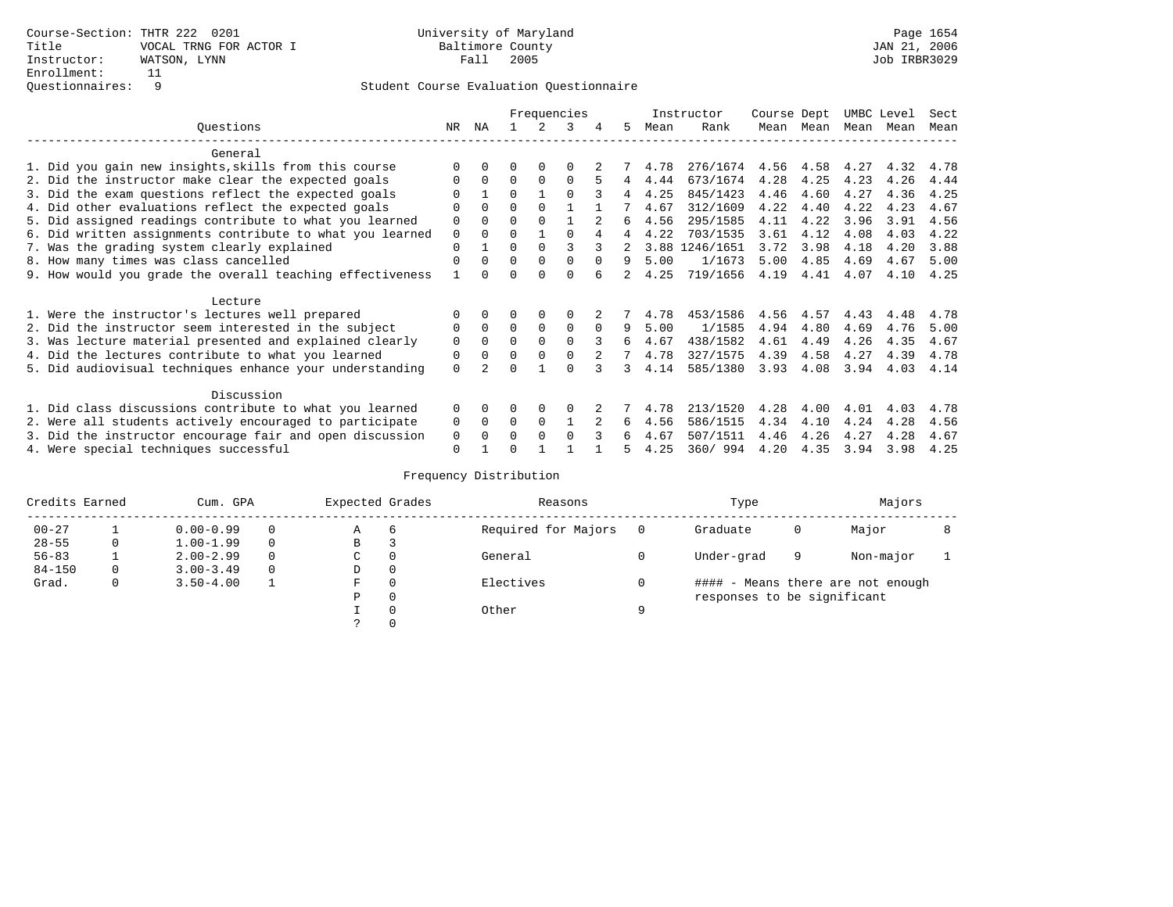|                                                           |             |              |          |          | Frequencies |          |                |      | Instructor     | Course Dept |           | UMBC Level |      | Sect |
|-----------------------------------------------------------|-------------|--------------|----------|----------|-------------|----------|----------------|------|----------------|-------------|-----------|------------|------|------|
| Ouestions                                                 | NR.         | ΝA           |          |          | 3           |          | 5.             | Mean | Rank           | Mean        | Mean      | Mean       | Mean | Mean |
| General                                                   |             |              |          |          |             |          |                |      |                |             |           |            |      |      |
| 1. Did you gain new insights, skills from this course     |             | $\Omega$     | O        | $\Omega$ | $\Omega$    |          |                | 4.78 | 276/1674       |             | 4.56 4.58 | 4.27       | 4.32 | 4.78 |
| 2. Did the instructor make clear the expected goals       | O           | $\Omega$     | $\Omega$ | $\Omega$ | $\Omega$    |          | $\overline{4}$ | 4.44 | 673/1674       | 4.28        | 4.25      | 4.23       | 4.26 | 4.44 |
| 3. Did the exam questions reflect the expected goals      |             |              | $\Omega$ |          | $\Omega$    |          | 4              | 4.25 | 845/1423       | 4.46        | 4.60      | 4.27       | 4.36 | 4.25 |
| 4. Did other evaluations reflect the expected goals       | O           | $\Omega$     | $\Omega$ | $\Omega$ |             |          |                | 4.67 | 312/1609       | 4.22        | 4.40      | 4.22       | 4.23 | 4.67 |
| 5. Did assigned readings contribute to what you learned   | $\mathbf 0$ |              | $\Omega$ | $\Omega$ |             |          | б.             | 4.56 | 295/1585       | 4.11        | 4.22      | 3.96       | 3.91 | 4.56 |
| 6. Did written assignments contribute to what you learned | $\mathbf 0$ | $\Omega$     | $\Omega$ |          | $\cap$      |          | 4              | 4.22 | 703/1535       | 3.61        | 4.12      | 4.08       | 4.03 | 4.22 |
| 7. Was the grading system clearly explained               | $\Omega$    |              | $\Omega$ | $\Omega$ |             |          |                |      | 3.88 1246/1651 | 3.72        | 3.98      | 4.18       | 4.20 | 3.88 |
| 8. How many times was class cancelled                     | $\Omega$    | $\Omega$     | $\Omega$ | $\Omega$ | $\Omega$    | $\Omega$ | 9              | 5.00 | 1/1673         | 5.00        | 4.85      | 4.69       | 4.67 | 5.00 |
| 9. How would you grade the overall teaching effectiveness |             | <sup>n</sup> | U        | ∩        | U           |          |                | 4.25 | 719/1656       | 4.19        | 4.41      | 4.07       | 4.10 | 4.25 |
| Lecture                                                   |             |              |          |          |             |          |                |      |                |             |           |            |      |      |
| 1. Were the instructor's lectures well prepared           |             |              |          |          |             |          |                | 4.78 | 453/1586       | 4.56        | 4.57      | 4.43       | 4.48 | 4.78 |
| 2. Did the instructor seem interested in the subject      | 0           | $\Omega$     | $\Omega$ | $\Omega$ | $\Omega$    | $\Omega$ | 9              | 5.00 | 1/1585         | 4.94        | 4.80      | 4.69       | 4.76 | 5.00 |
| 3. Was lecture material presented and explained clearly   | $\mathbf 0$ | $\Omega$     | $\Omega$ | $\Omega$ | $\Omega$    |          | б.             | 4.67 | 438/1582       | 4.61        | 4.49      | 4.26       | 4.35 | 4.67 |
| 4. Did the lectures contribute to what you learned        | 0           | $\Omega$     | $\Omega$ | $\Omega$ | $\Omega$    |          |                | 4.78 | 327/1575       | 4.39        | 4.58      | 4.27       | 4.39 | 4.78 |
| 5. Did audiovisual techniques enhance your understanding  | $\Omega$    |              |          |          | $\cap$      |          | 3              | 4.14 | 585/1380       | 3.93        | 4.08      | 3.94       | 4.03 | 4.14 |
| Discussion                                                |             |              |          |          |             |          |                |      |                |             |           |            |      |      |
| 1. Did class discussions contribute to what you learned   | $\Omega$    | $\Omega$     | U        | $\Omega$ | $\Omega$    |          |                | 4.78 | 213/1520       | 4.28        | 4.00      | 4.01       | 4.03 | 4.78 |
| 2. Were all students actively encouraged to participate   | 0           | $\Omega$     | $\Omega$ | $\Omega$ |             |          | 6              | 4.56 | 586/1515       | 4.34        | 4.10      | 4.24       | 4.28 | 4.56 |
| 3. Did the instructor encourage fair and open discussion  | 0           |              | 0        | $\Omega$ | $\Omega$    |          | 6              | 4.67 | 507/1511       | 4.46        | 4.26      | 4.27       | 4.28 | 4.67 |
| 4. Were special techniques successful                     | $\Omega$    |              |          |          |             |          |                | 4.25 | 360/994        | 4.20        | 4.35      | 3.94       | 3.98 | 4.25 |

| Credits Earned |          | Cum. GPA      |          | Expected Grades |              | Reasons             |   | Type                        |   | Majors                            |  |
|----------------|----------|---------------|----------|-----------------|--------------|---------------------|---|-----------------------------|---|-----------------------------------|--|
| $00 - 27$      |          | $0.00 - 0.99$ | $\Omega$ | Α               | 6            | Required for Majors |   | Graduate                    | 0 | Major                             |  |
| $28 - 55$      | 0        | $1.00 - 1.99$ | $\Omega$ | В               | 3            |                     |   |                             |   |                                   |  |
| $56 - 83$      |          | $2.00 - 2.99$ | $\Omega$ | С               | 0            | General             |   | Under-grad                  | 9 | Non-major                         |  |
| $84 - 150$     | $\Omega$ | $3.00 - 3.49$ | $\Omega$ | D               | 0            |                     |   |                             |   |                                   |  |
| Grad.          | 0        | $3.50 - 4.00$ |          | F               | 0            | Electives           |   |                             |   | #### - Means there are not enough |  |
|                |          |               |          | Ρ               | $\mathbf{0}$ |                     |   | responses to be significant |   |                                   |  |
|                |          |               |          |                 | 0            | Other               | Q |                             |   |                                   |  |
|                |          |               |          |                 | 0            |                     |   |                             |   |                                   |  |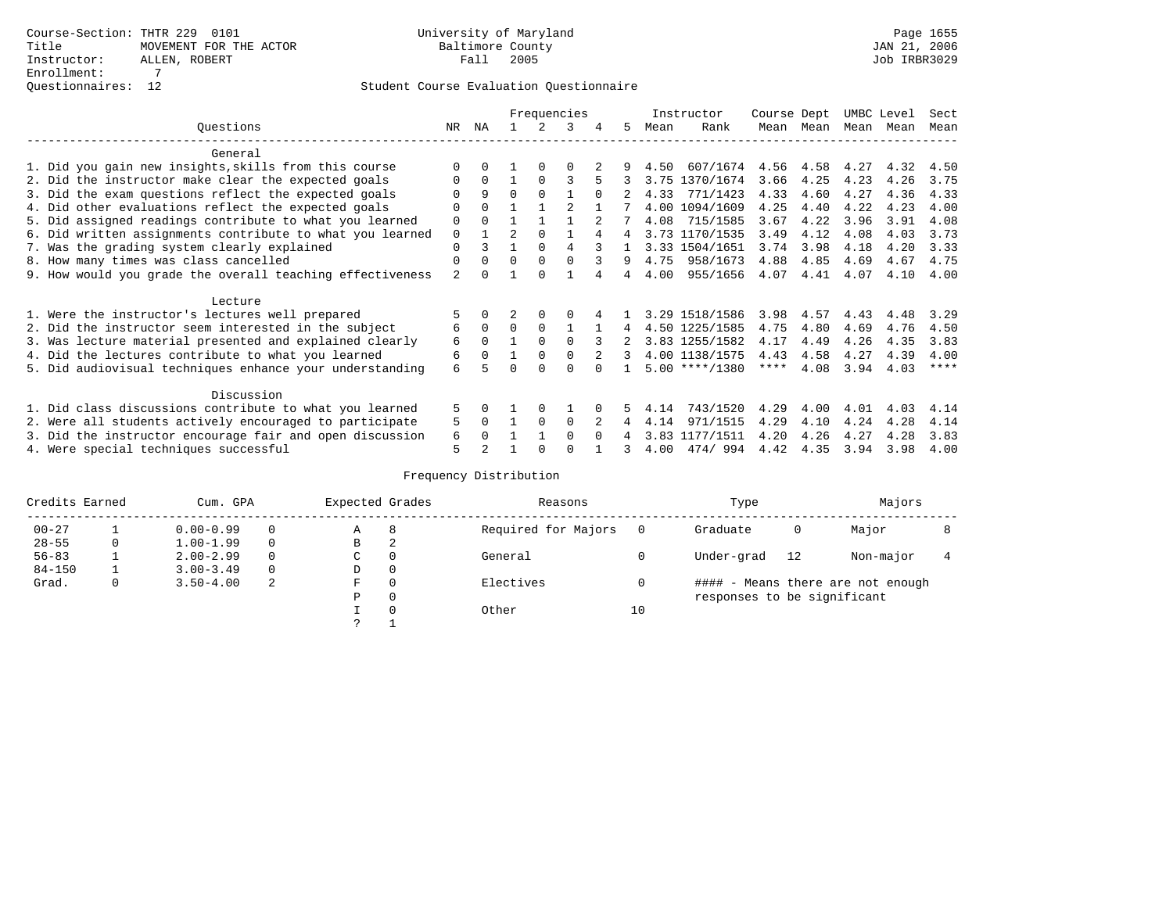|                                                           | Frequencies |              |                |          |          |          | Instructor | Course Dept |                  | UMBC Level  |           | Sect |      |         |
|-----------------------------------------------------------|-------------|--------------|----------------|----------|----------|----------|------------|-------------|------------------|-------------|-----------|------|------|---------|
| Ouestions                                                 | NR.         | ΝA           |                |          | 3        |          | 5.         | Mean        | Rank             | Mean        | Mean      | Mean | Mean | Mean    |
| General                                                   |             |              |                |          |          |          |            |             |                  |             |           |      |      |         |
| 1. Did you gain new insights, skills from this course     |             | <sup>n</sup> |                | $\Omega$ | O        |          |            | 4.50        | 607/1674         |             | 4.56 4.58 | 4.27 | 4.32 | 4.50    |
| 2. Did the instructor make clear the expected goals       | O           | $\Omega$     |                | $\Omega$ | 3        |          |            |             | 3.75 1370/1674   | 3.66        | 4.25      | 4.23 | 4.26 | 3.75    |
| 3. Did the exam questions reflect the expected goals      |             | 9            | $\Omega$       | $\Omega$ |          | $\Omega$ |            | 4.33        | 771/1423         | 4.33        | 4.60      | 4.27 | 4.36 | 4.33    |
| 4. Did other evaluations reflect the expected goals       | O           | $\Omega$     |                |          |          |          |            |             | 4.00 1094/1609   | 4.25        | 4.40      | 4.22 | 4.23 | 4.00    |
| 5. Did assigned readings contribute to what you learned   | $\mathbf 0$ | $\Omega$     |                |          |          |          |            | 4.08        | 715/1585         | 3.67        | 4.22      | 3.96 | 3.91 | 4.08    |
| 6. Did written assignments contribute to what you learned | $\mathbf 0$ |              | $\mathfrak{D}$ | $\Omega$ |          |          | 4          |             | 3.73 1170/1535   | 3.49        | 4.12      | 4.08 | 4.03 | 3.73    |
| 7. Was the grading system clearly explained               | $\Omega$    |              |                | $\Omega$ | 4        |          |            |             | 3.33 1504/1651   | 3.74        | 3.98      | 4.18 | 4.20 | 3.33    |
| 8. How many times was class cancelled                     | $\Omega$    | $\Omega$     | $\Omega$       | $\Omega$ | $\cap$   |          | 9          | 4.75        | 958/1673         | 4.88        | 4.85      | 4.69 | 4.67 | 4.75    |
| 9. How would you grade the overall teaching effectiveness | 2           | <sup>n</sup> |                | $\cap$   |          |          |            | 4.00        | 955/1656         | 4.07        | 4.41      | 4.07 | 4.10 | 4.00    |
| Lecture                                                   |             |              |                |          |          |          |            |             |                  |             |           |      |      |         |
| 1. Were the instructor's lectures well prepared           |             |              |                |          |          |          |            |             | 3.29 1518/1586   | 3.98        | 4.57      | 4.43 | 4.48 | 3.29    |
| 2. Did the instructor seem interested in the subject      | 6           | $\Omega$     | $\Omega$       | $\Omega$ |          |          | 4          |             | 4.50 1225/1585   | 4.75        | 4.80      | 4.69 | 4.76 | 4.50    |
| 3. Was lecture material presented and explained clearly   | 6           | $\Omega$     |                | $\Omega$ | $\Omega$ |          |            |             | 3.83 1255/1582   | 4.17        | 4.49      | 4.26 | 4.35 | 3.83    |
| 4. Did the lectures contribute to what you learned        | 6           | $\Omega$     |                | $\Omega$ |          |          | 3          |             | 4.00 1138/1575   | 4.43        | 4.58      | 4.27 | 4.39 | 4.00    |
| 5. Did audiovisual techniques enhance your understanding  | 6           |              |                |          |          |          |            |             | $5.00$ ****/1380 | $***$ * * * | 4.08      | 3.94 | 4.03 | $***$ * |
|                                                           |             |              |                |          |          |          |            |             |                  |             |           |      |      |         |
| Discussion                                                |             |              |                |          |          |          |            |             |                  |             |           |      |      |         |
| 1. Did class discussions contribute to what you learned   | 5           | 0            |                | $\Omega$ |          |          |            | 4.14        | 743/1520         | 4.29        | 4.00      | 4.01 | 4.03 | 4.14    |
| 2. Were all students actively encouraged to participate   | 5           | $\Omega$     |                | $\Omega$ | $\Omega$ |          |            | 4.14        | 971/1515         | 4.29        | 4.10      | 4.24 | 4.28 | 4.14    |
| 3. Did the instructor encourage fair and open discussion  | 6           |              |                |          | $\Omega$ | $\Omega$ |            | 3.83        | 1177/1511        | 4.20        | 4.26      | 4.27 | 4.28 | 3.83    |
| 4. Were special techniques successful                     | 5           |              |                |          |          |          |            | 4.00        | 474/994          | 4.42        | 4.35      | 3.94 | 3.98 | 4.00    |

| Credits Earned |   | Cum. GPA      |          | Expected Grades |          | Reasons             |          | Type                        |    | Majors                            |  |
|----------------|---|---------------|----------|-----------------|----------|---------------------|----------|-----------------------------|----|-----------------------------------|--|
| $00 - 27$      |   | $0.00 - 0.99$ |          | А               | 8        | Required for Majors | $\Omega$ | Graduate                    | 0  | Major                             |  |
| $28 - 55$      | 0 | $1.00 - 1.99$ |          | В               | 2        |                     |          |                             |    |                                   |  |
| $56 - 83$      |   | $2.00 - 2.99$ |          | $\sim$<br>◡     | 0        | General             |          | Under-grad                  | 12 | Non-major                         |  |
| $84 - 150$     |   | $3.00 - 3.49$ | $\Omega$ | D               | 0        |                     |          |                             |    |                                   |  |
| Grad.          | 0 | $3.50 - 4.00$ | 2        | F               | 0        | Electives           | 0        |                             |    | #### - Means there are not enough |  |
|                |   |               |          | Ρ               | 0        |                     |          | responses to be significant |    |                                   |  |
|                |   |               |          |                 | $\Omega$ | Other               | 10       |                             |    |                                   |  |
|                |   |               |          | C               |          |                     |          |                             |    |                                   |  |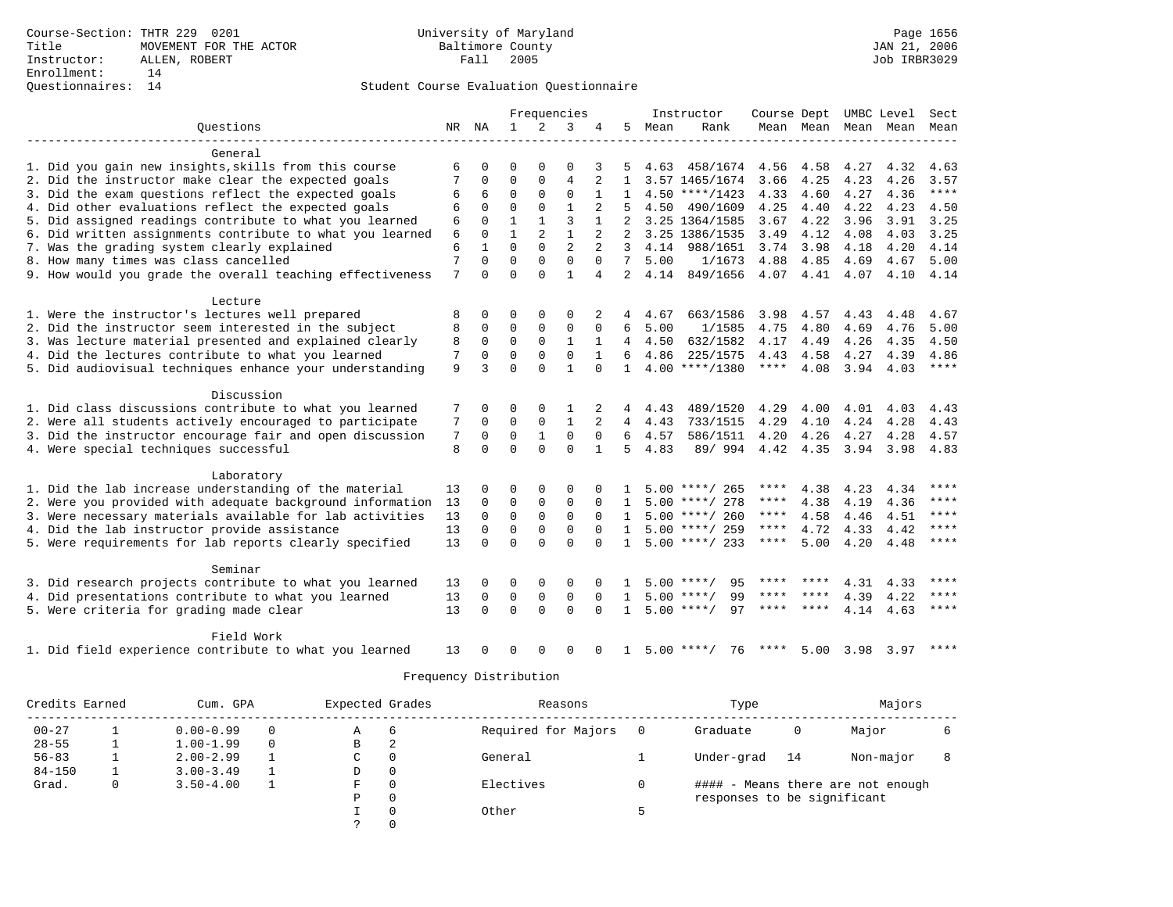|                                                           |       |              |              |                | Frequencies    |                |                |      | Instructor         | Course Dept UMBC Level |                |           |      | Sect        |
|-----------------------------------------------------------|-------|--------------|--------------|----------------|----------------|----------------|----------------|------|--------------------|------------------------|----------------|-----------|------|-------------|
| Questions                                                 | NR NA |              | $\mathbf{1}$ | 2              | 3              | 4              | 5              | Mean | Rank               |                        | Mean Mean Mean |           | Mean | Mean        |
|                                                           |       |              |              |                |                |                |                |      |                    |                        |                |           |      |             |
| General                                                   |       |              |              |                |                |                |                |      |                    |                        |                |           |      |             |
| 1. Did you gain new insights, skills from this course     | 6     | $\Omega$     | $\Omega$     | $\Omega$       | $\Omega$       | 3              | 5              |      | 4.63 458/1674      | 4.56                   | 4.58           | 4.27      | 4.32 | 4.63        |
| 2. Did the instructor make clear the expected goals       |       | 0            | $\Omega$     | $\Omega$       | 4              |                | $\mathbf{1}$   |      | 3.57 1465/1674     | 3.66                   | 4.25           | 4.23      | 4.26 | 3.57        |
| 3. Did the exam questions reflect the expected goals      | 6     | 6            | $\Omega$     | $\Omega$       | $\Omega$       | 1              | $\mathbf{1}$   |      | $4.50$ ****/1423   | 4.33                   | 4.60           | 4.27      | 4.36 | $***$       |
| 4. Did other evaluations reflect the expected goals       | 6     | $\Omega$     | $\Omega$     | $\Omega$       | $\mathbf{1}$   |                | 5              | 4.50 | 490/1609           | 4.25                   | 4.40           | 4.22      | 4.23 | 4.50        |
| 5. Did assigned readings contribute to what you learned   | 6     | $\Omega$     | $\mathbf{1}$ | $\mathbf{1}$   | 3              |                |                |      | 3.25 1364/1585     | 3.67                   | 4.22           | 3.96      | 3.91 | 3.25        |
| 6. Did written assignments contribute to what you learned | 6     | $\mathbf 0$  | $\mathbf{1}$ | $\overline{a}$ | $\mathbf{1}$   |                | 2              |      | 3.25 1386/1535     | 3.49                   | 4.12           | 4.08      | 4.03 | 3.25        |
| 7. Was the grading system clearly explained               | 6     | $\mathbf{1}$ | $\Omega$     | $\Omega$       | $\overline{2}$ |                | 3              | 4.14 | 988/1651           | 3.74                   | 3.98           | 4.18      | 4.20 | 4.14        |
| 8. How many times was class cancelled                     | 7     | $\Omega$     | $\Omega$     | $\Omega$       | $\Omega$       | $\Omega$       | $7^{\circ}$    | 5.00 | 1/1673             | 4.88                   | 4.85           | 4.69      | 4.67 | 5.00        |
| 9. How would you grade the overall teaching effectiveness | 7     | $\Omega$     | $\Omega$     | $\Omega$       | $\mathbf{1}$   | $\overline{4}$ | $\overline{2}$ | 4.14 | 849/1656           | 4.07 4.41              |                | 4.07      | 4.10 | 4.14        |
|                                                           |       |              |              |                |                |                |                |      |                    |                        |                |           |      |             |
| Lecture                                                   |       |              |              |                |                |                |                |      |                    |                        |                |           |      |             |
| 1. Were the instructor's lectures well prepared           | 8     | 0            | $\Omega$     | $\Omega$       | $\Omega$       |                | 4              | 4.67 | 663/1586           | 3.98                   | 4.57           | 4.43      | 4.48 | 4.67        |
| 2. Did the instructor seem interested in the subject      | 8     | $\Omega$     | $\Omega$     | $\Omega$       | $\mathbf 0$    | $\Omega$       | 6              | 5.00 | 1/1585             | 4.75                   | 4.80           | 4.69      | 4.76 | 5.00        |
| 3. Was lecture material presented and explained clearly   | 8     | $\Omega$     | $\Omega$     | $\Omega$       | $\mathbf{1}$   |                | 4              | 4.50 | 632/1582           | 4.17                   | 4.49           | 4.26      | 4.35 | 4.50        |
| 4. Did the lectures contribute to what you learned        | 7     | $\Omega$     | $\Omega$     | $\Omega$       | $\Omega$       |                | б.             | 4.86 | 225/1575           | 4.43                   | 4.58           | 4.27      | 4.39 | 4.86        |
| 5. Did audiovisual techniques enhance your understanding  | 9     | 3            | $\Omega$     | $\Omega$       | $\mathbf{1}$   | $\cap$         | $\mathbf{1}$   |      | $4.00$ ****/1380   | $***$ * * *            | 4.08           | 3.94 4.03 |      | $***$       |
|                                                           |       |              |              |                |                |                |                |      |                    |                        |                |           |      |             |
| Discussion                                                |       |              |              |                |                |                |                |      |                    |                        |                |           |      |             |
| 1. Did class discussions contribute to what you learned   | 7     | 0            | 0            | $\Omega$       |                | 2              | 4              | 4.43 | 489/1520           | 4.29                   | 4.00           | 4.01      | 4.03 | 4.43        |
| 2. Were all students actively encouraged to participate   | 7     | $\Omega$     | $\Omega$     | 0              | $\mathbf{1}$   |                | 4              | 4.43 | 733/1515           | 4.29                   | 4.10           | 4.24      | 4.28 | 4.43        |
| 3. Did the instructor encourage fair and open discussion  | 7     | 0            | $\mathbf 0$  | $\mathbf{1}$   | $\mathbf 0$    | $\mathbf 0$    | 6              | 4.57 | 586/1511           | 4.20                   | 4.26           | 4.27      | 4.28 | 4.57        |
| 4. Were special techniques successful                     | 8     | $\Omega$     | $\Omega$     | $\Omega$       | $\Omega$       |                | 5              | 4.83 | 89/ 994            | 4.42                   | 4.35           | 3.94      | 3.98 | 4.83        |
|                                                           |       |              |              |                |                |                |                |      |                    |                        |                |           |      |             |
| Laboratory                                                |       |              |              |                |                |                |                |      |                    |                        |                |           |      |             |
| 1. Did the lab increase understanding of the material     | 13    | 0            | 0            | $\Omega$       | $\Omega$       |                |                |      | $5.00$ ****/ 265   | ****                   | 4.38           | 4.23      | 4.34 | ****        |
| 2. Were you provided with adequate background information | 13    | 0            | $\Omega$     | 0              | $\mathbf 0$    | $\Omega$       |                |      | $5.00$ ****/ 278   | ****                   | 4.38           | 4.19      | 4.36 | ****        |
| 3. Were necessary materials available for lab activities  | 13    | 0            | $\mathbf 0$  | $\mathsf 0$    | $\mathbf 0$    | $\Omega$       | $\mathbf{1}$   |      | $5.00$ ****/ 260   | ****                   | 4.58           | 4.46      | 4.51 | ****        |
| 4. Did the lab instructor provide assistance              | 13    | $\mathbf 0$  | $\mathbf 0$  | 0              | $\mathbf 0$    | $\Omega$       | $\mathbf{1}$   |      | $5.00$ ****/ 259   | $***$ * *              | 4.72           | 4.33      | 4.42 | $* * * *$   |
| 5. Were requirements for lab reports clearly specified    | 13    | $\Omega$     | $\Omega$     | $\cap$         | $\cap$         | $\cap$         | $\mathbf{1}$   |      | $5.00$ ****/ 233   | $***$ * * *            | 5.00           | 4.20      | 4.48 | $***$ * * * |
|                                                           |       |              |              |                |                |                |                |      |                    |                        |                |           |      |             |
| Seminar                                                   |       |              |              |                |                |                |                |      |                    |                        |                |           |      |             |
| 3. Did research projects contribute to what you learned   | 13    | 0            | 0            | 0              | $\mathbf 0$    |                |                |      | 95<br>$5.00$ ****/ | ****                   |                | 4.31      | 4.33 | ****        |
| 4. Did presentations contribute to what you learned       | 13    | 0            | $\mathbf 0$  | $\mathsf 0$    | $\mathbf 0$    | $\Omega$       | $\mathbf{1}$   |      | 99<br>$5.00$ ****/ | ****                   | ****           | 4.39      | 4.22 | ****        |
| 5. Were criteria for grading made clear                   | 13    | $\Omega$     | $\Omega$     | $\Omega$       | $\Omega$       | $\Omega$       | $\mathbf{1}$   |      | $5.00$ ****/<br>97 | ****                   | ****           | 4.14      | 4.63 | $***$ * * * |
|                                                           |       |              |              |                |                |                |                |      |                    |                        |                |           |      |             |
| Field Work                                                |       |              |              |                |                |                |                |      |                    |                        |                |           |      |             |
| 1. Did field experience contribute to what you learned    | 13    |              | O            | ∩              | $\Omega$       |                | -1.            |      | $5.00$ ****/<br>76 |                        | 5.00           | 3.98      | 3.97 | $* * * * *$ |
|                                                           |       |              |              |                |                |                |                |      |                    |                        |                |           |      |             |

| Credits Earned |   | Cum. GPA      |          | Expected Grades |          | Reasons             |     | Type                        |    | Majors                            |  |
|----------------|---|---------------|----------|-----------------|----------|---------------------|-----|-----------------------------|----|-----------------------------------|--|
| $00 - 27$      |   | $0.00 - 0.99$ | $\Omega$ | Α               | 6        | Required for Majors | - 0 | Graduate                    | 0  | Major                             |  |
| $28 - 55$      |   | $1.00 - 1.99$ | $\Omega$ | В               |          |                     |     |                             |    |                                   |  |
| $56 - 83$      |   | $2.00 - 2.99$ |          | C               | 0        | General             |     | Under-grad                  | 14 | Non-major                         |  |
| $84 - 150$     |   | $3.00 - 3.49$ |          | D               | 0        |                     |     |                             |    |                                   |  |
| Grad.          | 0 | $3.50 - 4.00$ |          | F.              | $\Omega$ | Electives           |     |                             |    | #### - Means there are not enough |  |
|                |   |               |          | Ρ               | 0        |                     |     | responses to be significant |    |                                   |  |
|                |   |               |          |                 | $\Omega$ | Other               |     |                             |    |                                   |  |
|                |   |               |          |                 | $\Omega$ |                     |     |                             |    |                                   |  |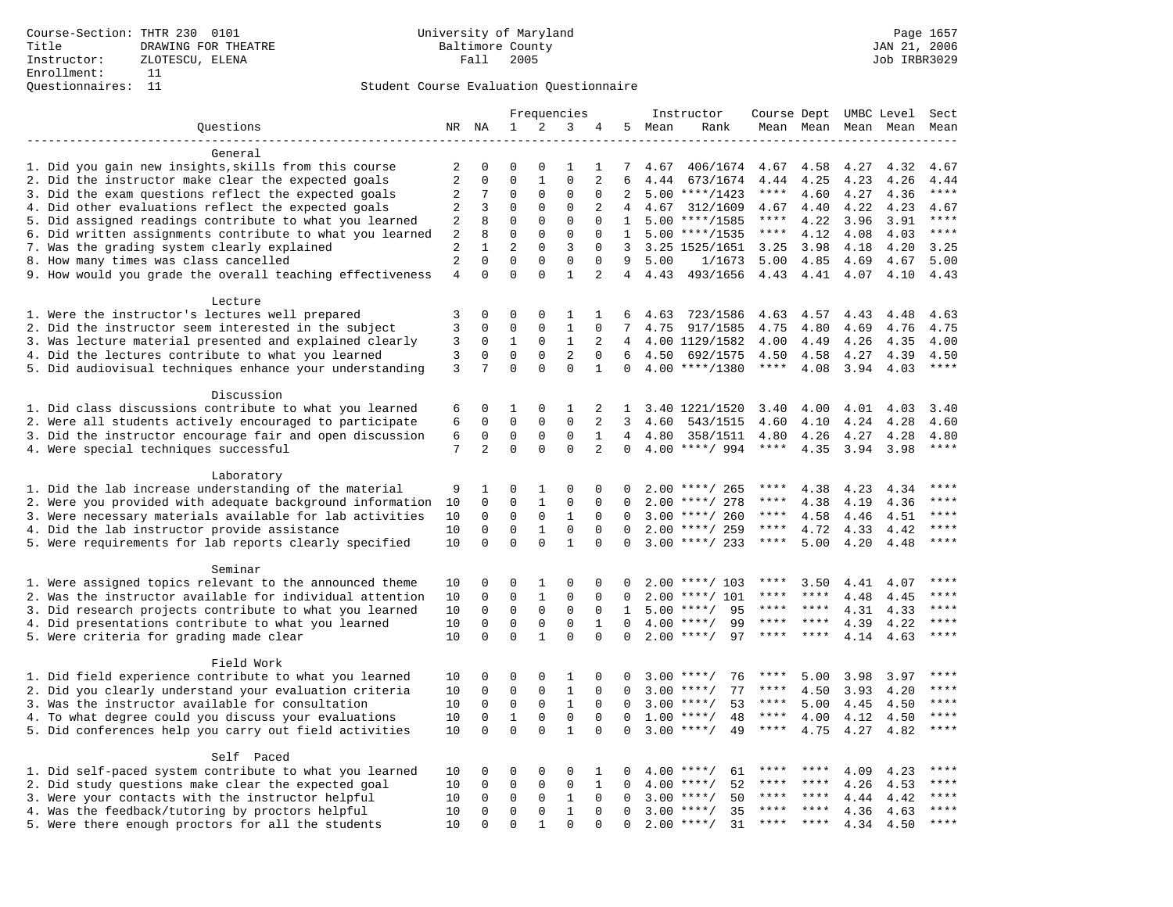|                                                           |                                  |                          |                            | Frequencies          |                          |                |              | Instructor | Course Dept UMBC Level |             |                |      | Sect                |                        |
|-----------------------------------------------------------|----------------------------------|--------------------------|----------------------------|----------------------|--------------------------|----------------|--------------|------------|------------------------|-------------|----------------|------|---------------------|------------------------|
| Questions                                                 |                                  | NR NA                    | 1                          | 2                    | 3                        | 4              | 5            | Mean       | Rank                   |             |                |      | Mean Mean Mean Mean | Mean                   |
|                                                           |                                  |                          |                            |                      |                          |                |              |            |                        |             |                |      |                     |                        |
| General                                                   |                                  |                          |                            |                      |                          |                |              |            |                        |             |                |      |                     |                        |
| 1. Did you gain new insights, skills from this course     | 2                                | 0                        | $\mathbf 0$                | $\mathbf 0$          | 1                        | 1              | 7            | 4.67       | 406/1674               | 4.67        | 4.58           | 4.27 | 4.32                | 4.67                   |
| 2. Did the instructor make clear the expected goals       | $\sqrt{2}$                       | $\mathbf 0$              | $\Omega$                   | $\mathbf{1}$         | $\Omega$                 | $\overline{2}$ | 6            | 4.44       | 673/1674               | 4.44        | 4.25           | 4.23 | 4.26                | 4.44                   |
| 3. Did the exam questions reflect the expected goals      | 2                                | 7                        | $\mathbf{0}$               | 0                    | $\mathbf{0}$             | $\mathbf 0$    | 2            |            | $5.00$ ****/1423       | $***$ * *   | 4.60           | 4.27 | 4.36                | $***$                  |
| 4. Did other evaluations reflect the expected goals       | 2                                | 3                        | $\mathbf{0}$               | $\mathbf 0$          | $\mathbf 0$              | 2              | 4            |            | 4.67 312/1609          | 4.67        | 4.40           | 4.22 | 4.23                | 4.67                   |
| 5. Did assigned readings contribute to what you learned   | 2                                | 8                        | $\mathbf{0}$               | $\mathbf 0$          | $\mathbf{0}$             | $\mathbf 0$    | 1            |            | $5.00$ ****/1585       | $***$ * * * | 4.22           | 3.96 | 3.91                | $***$                  |
| 6. Did written assignments contribute to what you learned | 2                                | 8                        | $\mathbf{0}$               | $\mathbf 0$          | $\mathbf{0}$             | $\mathbf 0$    | $\mathbf{1}$ |            | $5.00$ ****/1535       | $***$ * * * | 4.12           | 4.08 | 4.03                | $***$                  |
| 7. Was the grading system clearly explained               | 2                                | $\mathbf{1}$<br>$\Omega$ | $\overline{2}$<br>$\Omega$ | $\Omega$             | 3                        | $\Omega$       | 3            |            | 3.25 1525/1651         | 3.25        | 3.98           | 4.18 | 4.20                | 3.25                   |
| 8. How many times was class cancelled                     | $\overline{a}$<br>$\overline{4}$ | $\Omega$                 | $\Omega$                   | $\Omega$<br>$\Omega$ | $\Omega$<br>$\mathbf{1}$ | $\Omega$<br>2  | 9            | 5.00       | 1/1673                 | 5.00        | 4.85           | 4.69 | 4.67                | 5.00                   |
| 9. How would you grade the overall teaching effectiveness |                                  |                          |                            |                      |                          |                |              | 4, 4.43    | 493/1656               | 4.43        | 4.41 4.07 4.10 |      |                     | 4.43                   |
| Lecture                                                   |                                  |                          |                            |                      |                          |                |              |            |                        |             |                |      |                     |                        |
| 1. Were the instructor's lectures well prepared           | 3                                | 0                        | $\Omega$                   | $\Omega$             | 1                        | 1              | 6            | 4.63       | 723/1586               | 4.63        | 4.57           | 4.43 | 4.48                | 4.63                   |
| 2. Did the instructor seem interested in the subject      | 3                                | $\mathbf 0$              | $\mathbf{0}$               | $\mathbf 0$          | $\mathbf{1}$             | $\Omega$       | 7            | 4.75       | 917/1585               | 4.75        | 4.80           | 4.69 | 4.76                | 4.75                   |
| 3. Was lecture material presented and explained clearly   | 3                                | 0                        | $\mathbf{1}$               | $\mathsf 0$          | $\mathbf{1}$             | 2              | 4            |            | 4.00 1129/1582         | 4.00        | 4.49           | 4.26 | 4.35                | 4.00                   |
| 4. Did the lectures contribute to what you learned        | 3                                | $\mathbf 0$              | $\mathbf{0}$               | $\mathbf 0$          | $\overline{2}$           | $\Omega$       | 6            | 4.50       | 692/1575               | 4.50        | 4.58           | 4.27 | 4.39                | 4.50                   |
| 5. Did audiovisual techniques enhance your understanding  | 3                                | 7                        | $\Omega$                   | $\Omega$             | $\Omega$                 | $\mathbf{1}$   | $\Omega$     |            | $4.00$ ****/1380       | ****        | 4.08           | 3.94 | 4.03                | $***$                  |
|                                                           |                                  |                          |                            |                      |                          |                |              |            |                        |             |                |      |                     |                        |
| Discussion                                                |                                  |                          |                            |                      |                          |                |              |            |                        |             |                |      |                     |                        |
| 1. Did class discussions contribute to what you learned   | 6                                | 0                        | 1                          | $\Omega$             | 1                        | 2              | 1            |            | 3.40 1221/1520         | 3.40        | 4.00           | 4.01 | 4.03                | 3.40                   |
| 2. Were all students actively encouraged to participate   | 6                                | $\mathbf 0$              | $\mathbf 0$                | $\mathbf 0$          | $\mathbf 0$              | 2              | 3            | 4.60       | 543/1515               | 4.60        | 4.10           | 4.24 | 4.28                | 4.60                   |
| 3. Did the instructor encourage fair and open discussion  | 6                                | 0                        | 0                          | 0                    | 0                        | $\mathbf{1}$   | 4            | 4.80       | 358/1511               | 4.80        | 4.26           | 4.27 | 4.28                | 4.80                   |
| 4. Were special techniques successful                     | 7                                | $\overline{2}$           | $\Omega$                   | $\Omega$             | $\Omega$                 | $\overline{2}$ | $\Omega$     |            | $4.00$ ****/ 994       | ****        | 4.35           | 3.94 | 3.98                | $***$                  |
|                                                           |                                  |                          |                            |                      |                          |                |              |            |                        |             |                |      |                     |                        |
| Laboratory                                                |                                  |                          |                            |                      |                          |                |              |            |                        |             |                |      |                     |                        |
| 1. Did the lab increase understanding of the material     | 9                                | 1                        | $\mathbf 0$                | 1                    | $\mathbf{0}$             | 0              | $\cap$       |            | $2.00$ ****/ 265       | ****        | 4.38           | 4.23 | 4.34                |                        |
| 2. Were you provided with adequate background information | 10                               | $\mathbf 0$              | $\mathbf{0}$               | $\mathbf{1}$         | $\mathbf 0$              | 0              | $\Omega$     | 2.00       | ****/ 278              | $***$ * * * | 4.38           | 4.19 | 4.36                | ****                   |
| 3. Were necessary materials available for lab activities  | 10                               | 0                        | $\mathbf 0$                | $\mathbf 0$          | 1                        | $\Omega$       | $\Omega$     |            | $3.00$ ****/ 260       | ****        | 4.58           | 4.46 | 4.51                | ****                   |
| 4. Did the lab instructor provide assistance              | 10                               | $\Omega$                 | $\Omega$                   | $\mathbf{1}$         | $\mathbf 0$              | $\Omega$       | $\Omega$     |            | $2.00$ ****/ 259       | ****        | 4.72           | 4.33 | 4.42                | ****                   |
| 5. Were requirements for lab reports clearly specified    | 10                               | $\Omega$                 | $\Omega$                   | $\Omega$             | $\mathbf{1}$             | $\Omega$       | $\Omega$     |            | $3.00$ ****/ 233       | $***$ * *   | 5.00           | 4.20 | 4.48                | $* * * *$              |
| Seminar                                                   |                                  |                          |                            |                      |                          |                |              |            |                        |             |                |      |                     |                        |
| 1. Were assigned topics relevant to the announced theme   | 10                               | 0                        | $\mathbf 0$                | 1                    | 0                        | 0              |              |            | $2.00$ ****/ 103       | ****        | 3.50           | 4.41 | 4.07                | $***$                  |
| 2. Was the instructor available for individual attention  | 10                               | 0                        | $\mathbf 0$                | $\mathbf{1}$         | 0                        | $\mathbf 0$    | $\Omega$     | 2.00       | $***/101$              |             | ****           | 4.48 | 4.45                |                        |
| 3. Did research projects contribute to what you learned   | 10                               | $\mathbf 0$              | $\mathbf{0}$               | $\mathbf 0$          | $\mathbf 0$              | $\Omega$       | $\mathbf{1}$ | 5.00       | 95<br>$***/$           | ****        | ****           | 4.31 | 4.33                | ****                   |
| 4. Did presentations contribute to what you learned       | 10                               | $\mathbf 0$              | $\mathbf{0}$               | $\mathbf 0$          | $\mathbf 0$              | $\mathbf{1}$   | $\Omega$     | 4.00       | $***$ /<br>99          | ****        | $***$ * * *    | 4.39 | 4.22                | $***$                  |
| 5. Were criteria for grading made clear                   | 10                               | $\mathbf 0$              | $\mathbf{0}$               | $\mathbf{1}$         | $\mathbf 0$              | $\mathbf 0$    | $\Omega$     |            | $2.00$ ****/<br>97     | ****        | ****           | 4.14 | 4.63                | $***$                  |
|                                                           |                                  |                          |                            |                      |                          |                |              |            |                        |             |                |      |                     |                        |
| Field Work                                                |                                  |                          |                            |                      |                          |                |              |            |                        |             |                |      |                     |                        |
| 1. Did field experience contribute to what you learned    | 10                               | 0                        | $\mathbf 0$                | $\mathbf 0$          | 1                        | $\Omega$       | $\Omega$     |            | $3.00$ ****/<br>76     | ****        | 5.00           | 3.98 | 3.97                |                        |
| 2. Did you clearly understand your evaluation criteria    | 10                               | $\Omega$                 | $\mathbf{0}$               | $\Omega$             | $\mathbf{1}$             | $\Omega$       | $\Omega$     | 3.00       | 77<br>$***/$           | ****        | 4.50           | 3.93 | 4.20                | ****                   |
| 3. Was the instructor available for consultation          | 10                               | $\mathbf 0$              | $\mathbf 0$                | $\mathbf 0$          | $\mathbf{1}$             | $\Omega$       | $\Omega$     | 3.00       | $***/$<br>53           | $***$ * *   | 5.00           | 4.45 | 4.50                | $***$                  |
| 4. To what degree could you discuss your evaluations      | 10                               | $\mathbf 0$              | $1\,$                      | $\mathbf 0$          | $\mathsf 0$              | $\mathbf 0$    | $\Omega$     | 1.00       | $***/$<br>48           | $***$ * * * | 4.00           | 4.12 | 4.50                | $\star\star\star\star$ |
| 5. Did conferences help you carry out field activities    | 10                               | $\Omega$                 | $\Omega$                   | $\Omega$             | $\mathbf{1}$             | $\Omega$       | $\Omega$     | 3.00       | $***$ /<br>49          | $***$ * * * | 4.75           | 4.27 | 4.82                | $***$                  |
|                                                           |                                  |                          |                            |                      |                          |                |              |            |                        |             |                |      |                     |                        |
| Self Paced                                                |                                  |                          |                            |                      |                          |                |              |            |                        |             |                |      |                     |                        |
| 1. Did self-paced system contribute to what you learned   | 10                               | 0                        | 0                          | $\mathbf 0$          | 0                        | 1              | $\Omega$     |            | 61<br>$4.00$ ****/     | ****        | ****           | 4.09 | 4.23                | ****                   |
| 2. Did study questions make clear the expected goal       | 10                               | $\mathbf 0$              | $\mathbf 0$                | $\mathbf 0$          | $\mathbf 0$              | $\mathbf{1}$   | $\Omega$     | 4.00       | $***$ /<br>52          | ****        | $***$ *        | 4.26 | 4.53                | ****                   |
| 3. Were your contacts with the instructor helpful         | 10                               | $\mathbf 0$              | $\mathbf 0$                | $\mathbf 0$          | $\mathbf{1}$             | $\mathbf 0$    | $\Omega$     | 3.00       | 50<br>$***/$           | ****        | ****           | 4.44 | 4.42                | ****                   |
| 4. Was the feedback/tutoring by proctors helpful          | 10                               | 0                        | $\mathbf{0}$               | $\mathbf 0$          | $\mathbf{1}$             | 0              | $\Omega$     | 3.00       | $***$ /<br>35          |             | ****           | 4.36 | 4.63                | ****                   |
| 5. Were there enough proctors for all the students        | 10                               | $\Omega$                 | $\mathbf{0}$               | 1                    | $\mathbf{0}$             | $\Omega$       | $\Omega$     |            | $2.00$ ****/<br>31     | $***$ * *   | ****           | 4.34 | 4.50                | ****                   |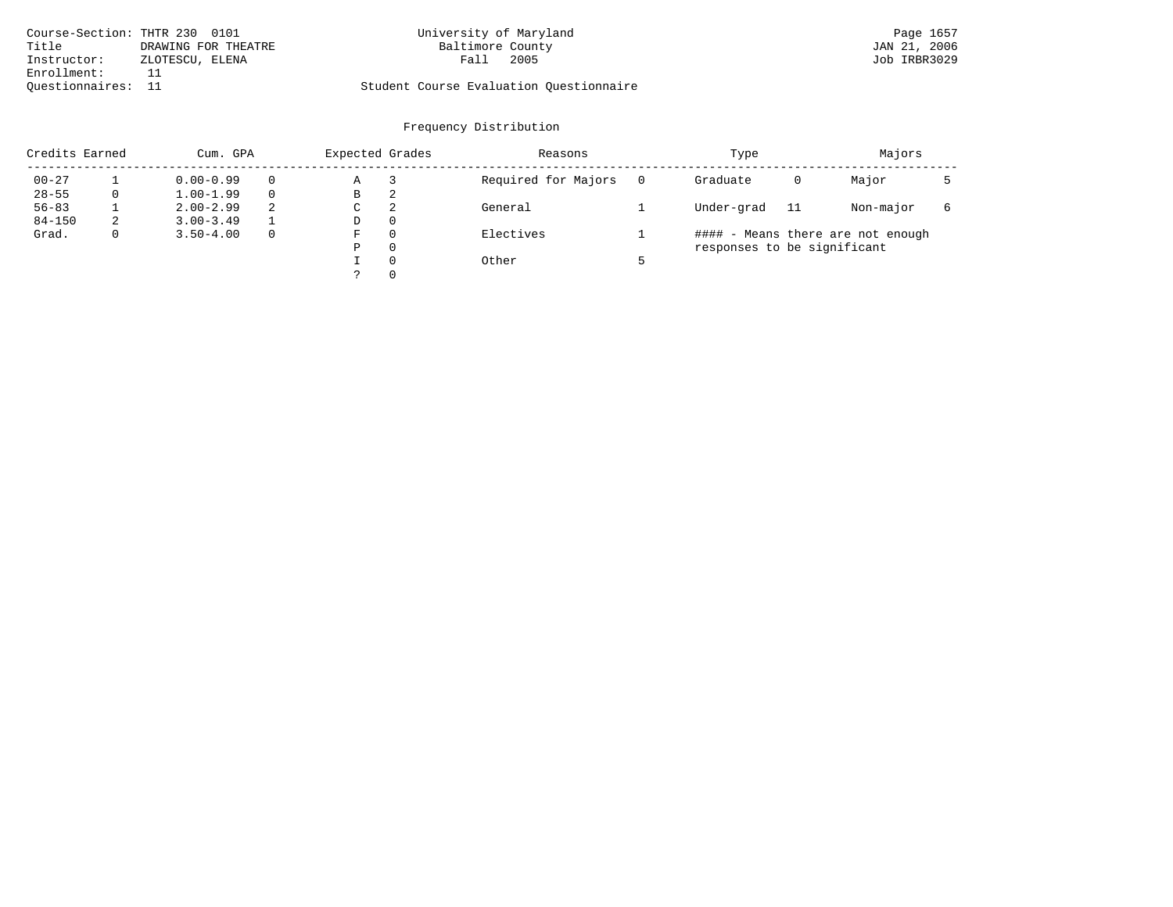| Course-Section: THTR 230 0101 |                     | University of Maryland                  | Page 1657    |
|-------------------------------|---------------------|-----------------------------------------|--------------|
| Title                         | DRAWING FOR THEATRE | Baltimore County                        | JAN 21, 2006 |
| Instructor:                   | ZLOTESCU, ELENA     | 2005<br>Fall                            | Job IRBR3029 |
| Enrollment:                   |                     |                                         |              |
| Ouestionnaires: 11            |                     | Student Course Evaluation Questionnaire |              |

# University of Maryland Page 1657<br>Baltimore County Baltimore County (JAN 21, 2006

| Credits Earned |   | Cum. GPA      |   | Expected Grades |          | Reasons             |          | Type                        |     | Majors                            |   |
|----------------|---|---------------|---|-----------------|----------|---------------------|----------|-----------------------------|-----|-----------------------------------|---|
| $00 - 27$      |   | $0.00 - 0.99$ |   | Α               |          | Required for Majors | $\Omega$ | Graduate                    | 0   | Major                             |   |
| $28 - 55$      | 0 | $1.00 - 1.99$ |   | В               | 2        |                     |          |                             |     |                                   |   |
| $56 - 83$      |   | $2.00 - 2.99$ | 2 | $\sim$<br>◡     | 2        | General             |          | Under-grad                  | -11 | Non-major                         | 6 |
| $84 - 150$     | 2 | $3.00 - 3.49$ |   | D               | 0        |                     |          |                             |     |                                   |   |
| Grad.          | 0 | $3.50 - 4.00$ |   | F               | 0        | Electives           |          |                             |     | #### - Means there are not enough |   |
|                |   |               |   | Ρ               | 0        |                     |          | responses to be significant |     |                                   |   |
|                |   |               |   |                 | $\Omega$ | Other               |          |                             |     |                                   |   |
|                |   |               |   | っ               |          |                     |          |                             |     |                                   |   |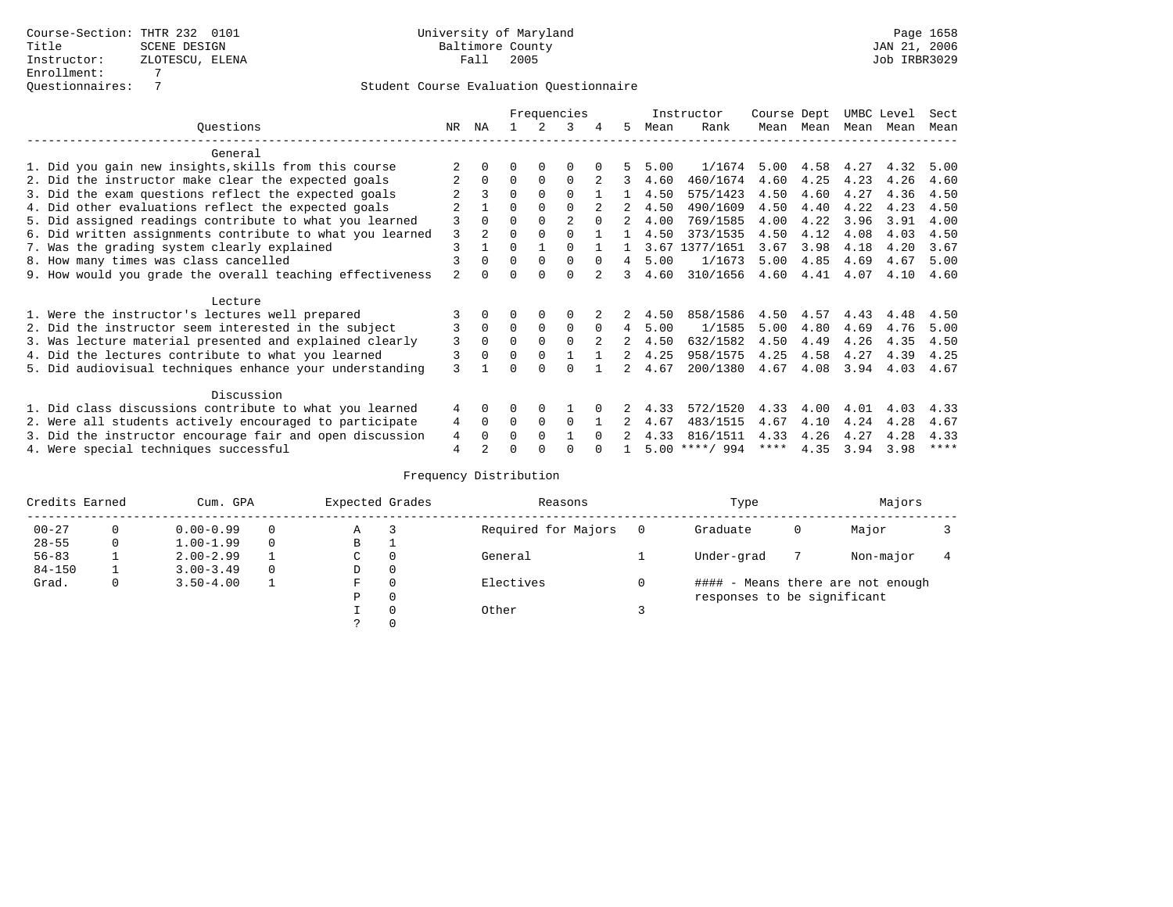|                                                           | Frequencies    |                |          |          |             |          |    |      | Instructor       | Course Dept |      | UMBC Level |      | Sect        |
|-----------------------------------------------------------|----------------|----------------|----------|----------|-------------|----------|----|------|------------------|-------------|------|------------|------|-------------|
| Ouestions                                                 | NR.            | ΝA             |          |          | 3           |          | 5. | Mean | Rank             | Mean        | Mean | Mean       | Mean | Mean        |
| General                                                   |                |                |          |          |             |          |    |      |                  |             |      |            |      |             |
| 1. Did you gain new insights, skills from this course     |                |                | O        | 0        | $\Omega$    |          |    | 5.00 | 1/1674           | 5.00        | 4.58 | 4.27       | 4.32 | 5.00        |
| 2. Did the instructor make clear the expected goals       |                | $\Omega$       | $\Omega$ | $\Omega$ | $\Omega$    |          | 3  | 4.60 | 460/1674         | 4.60        | 4.25 | 4.23       | 4.26 | 4.60        |
| 3. Did the exam questions reflect the expected goals      |                | 3              | $\Omega$ | $\Omega$ | $\Omega$    |          |    | 4.50 | 575/1423         | 4.50        | 4.60 | 4.27       | 4.36 | 4.50        |
| 4. Did other evaluations reflect the expected goals       |                |                | $\Omega$ | $\Omega$ | $\Omega$    |          |    | 4.50 | 490/1609         | 4.50        | 4.40 | 4.22       | 4.23 | 4.50        |
| 5. Did assigned readings contribute to what you learned   | 3              |                |          |          |             | $\Omega$ |    | 4.00 | 769/1585         | 4.00        | 4.22 | 3.96       | 3.91 | 4.00        |
| 6. Did written assignments contribute to what you learned | 3              | $\mathfrak{D}$ | $\Omega$ |          |             |          |    | 4.50 | 373/1535         | 4.50        | 4.12 | 4.08       | 4.03 | 4.50        |
| 7. Was the grading system clearly explained               | 3              |                | $\Omega$ |          | $\cap$      |          |    | 3.67 | 1377/1651        | 3.67        | 3.98 | 4.18       | 4.20 | 3.67        |
| 8. How many times was class cancelled                     |                | 0              | $\Omega$ | $\Omega$ | $\Omega$    | $\Omega$ | 4  | 5.00 | 1/1673           | 5.00        | 4.85 | 4.69       | 4.67 | 5.00        |
| 9. How would you grade the overall teaching effectiveness | $\mathfrak{D}$ |                | U        | ∩        | $\cap$      |          | 3  | 4.60 | 310/1656         | 4.60        | 4.41 | 4.07       | 4.10 | 4.60        |
| Lecture                                                   |                |                |          |          |             |          |    |      |                  |             |      |            |      |             |
| 1. Were the instructor's lectures well prepared           |                |                |          |          | $\Omega$    |          |    | 4.50 | 858/1586         | 4.50        | 4.57 | 4.43       | 4.48 | 4.50        |
| 2. Did the instructor seem interested in the subject      | 3              | $\Omega$       | $\Omega$ | 0        | $\mathbf 0$ | $\Omega$ | 4  | 5.00 | 1/1585           | 5.00        | 4.80 | 4.69       | 4.76 | 5.00        |
| 3. Was lecture material presented and explained clearly   | 3              | $\Omega$       | $\Omega$ |          | $\Omega$    |          | 2  | 4.50 | 632/1582         | 4.50        | 4.49 | 4.26       | 4.35 | 4.50        |
| 4. Did the lectures contribute to what you learned        |                |                | $\Omega$ | $\Omega$ |             |          |    | 4.25 | 958/1575         | 4.25        | 4.58 | 4.27       | 4.39 | 4.25        |
| 5. Did audiovisual techniques enhance your understanding  | 3              |                | ∩        |          | ∩           |          |    | 4.67 | 200/1380         | 4.67        | 4.08 | 3.94       | 4.03 | 4.67        |
|                                                           |                |                |          |          |             |          |    |      |                  |             |      |            |      |             |
| Discussion                                                |                |                |          |          |             |          |    |      |                  |             |      |            |      |             |
| 1. Did class discussions contribute to what you learned   | 4              | 0              | O        | $\Omega$ |             |          |    | 4.33 | 572/1520         | 4.33        | 4.00 | 4.01       | 4.03 | 4.33        |
| 2. Were all students actively encouraged to participate   | 4              | $\Omega$       | $\Omega$ | $\Omega$ | $\Omega$    |          |    | 4.67 | 483/1515         | 4.67        | 4.10 | 4.24       | 4.28 | 4.67        |
| 3. Did the instructor encourage fair and open discussion  | 4              |                | 0        | $\Omega$ |             | $\cap$   |    | 4.33 | 816/1511         | 4.33        | 4.26 | 4.27       | 4.28 | 4.33        |
| 4. Were special techniques successful                     | $\overline{4}$ |                |          |          |             |          |    |      | $5.00$ ****/ 994 | ****        | 4.35 | 3.94       | 3.98 | $***$ * * * |

| Credits Earned |          | Cum. GPA      |          | Expected Grades |          | Reasons             |   | Type                        |   | Majors                            |  |
|----------------|----------|---------------|----------|-----------------|----------|---------------------|---|-----------------------------|---|-----------------------------------|--|
| $00 - 27$      | $\Omega$ | $0.00 - 0.99$ |          | Α               |          | Required for Majors | 0 | Graduate                    | 0 | Major                             |  |
| $28 - 55$      | 0        | $1.00 - 1.99$ |          | В               | ÷        |                     |   |                             |   |                                   |  |
| $56 - 83$      |          | $2.00 - 2.99$ |          | $\sim$<br>◡     | 0        | General             |   | Under-grad                  |   | Non-major                         |  |
| $84 - 150$     |          | $3.00 - 3.49$ | $\Omega$ | D               | 0        |                     |   |                             |   |                                   |  |
| Grad.          | 0        | $3.50 - 4.00$ |          | F               | 0        | Electives           | 0 |                             |   | #### - Means there are not enough |  |
|                |          |               |          | Ρ               | 0        |                     |   | responses to be significant |   |                                   |  |
|                |          |               |          |                 | $\Omega$ | Other               |   |                             |   |                                   |  |
|                |          |               |          |                 |          |                     |   |                             |   |                                   |  |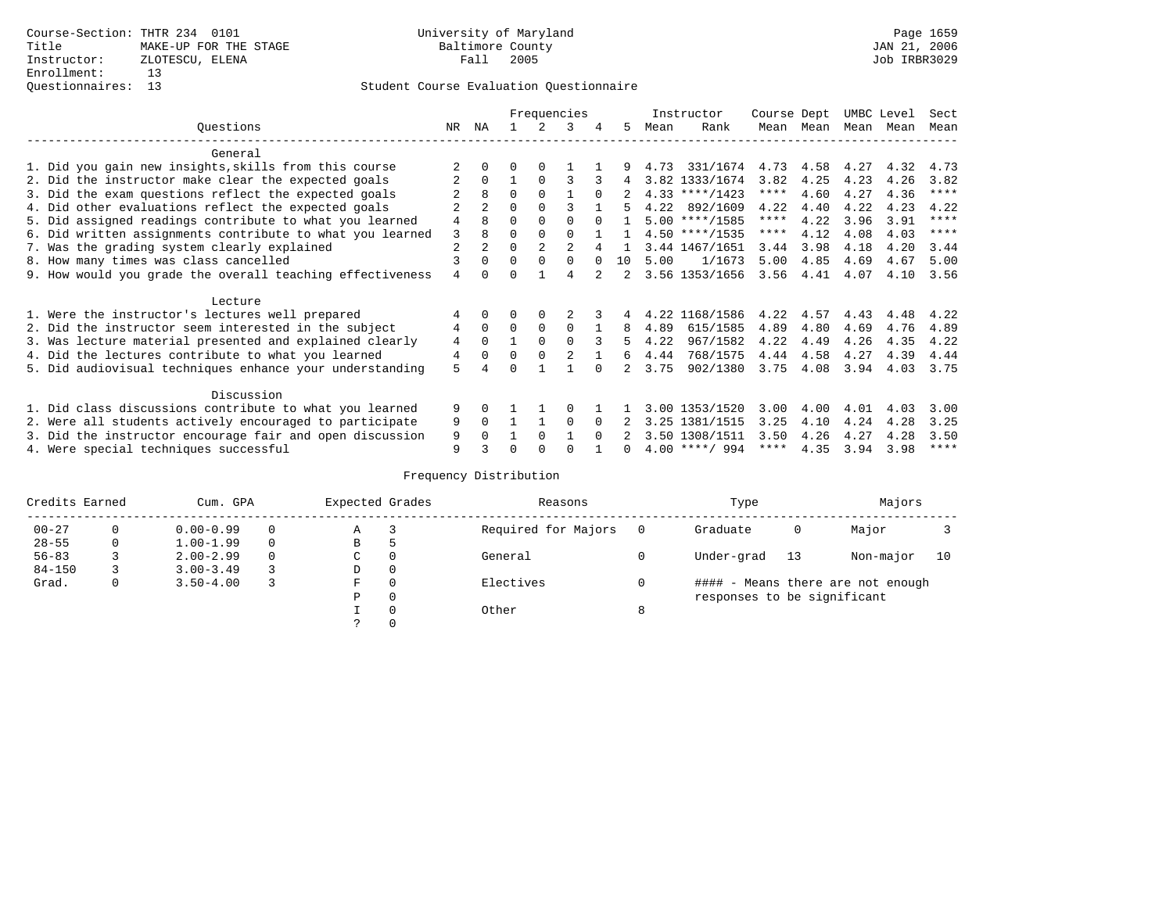|                                                           |    |                |          |                | Frequencies    |          |                |      | Instructor       | Course Dept |           | UMBC Level |      | Sect        |
|-----------------------------------------------------------|----|----------------|----------|----------------|----------------|----------|----------------|------|------------------|-------------|-----------|------------|------|-------------|
| Ouestions                                                 | NR | ΝA             |          | 2              | 3              | 4        | 5              | Mean | Rank             |             | Mean Mean | Mean Mean  |      | Mean        |
| General                                                   |    |                |          |                |                |          |                |      |                  |             |           |            |      |             |
| 1. Did you gain new insights, skills from this course     |    | 0              | 0        | $\Omega$       |                |          |                |      | 4.73 331/1674    |             | 4.73 4.58 | 4.27       | 4.32 | 4.73        |
| 2. Did the instructor make clear the expected goals       |    | $\Omega$       |          | $\Omega$       | 3              |          | 4              |      | 3.82 1333/1674   | 3.82        | 4.25      | 4.23       | 4.26 | 3.82        |
| 3. Did the exam questions reflect the expected goals      |    | 8              | $\Omega$ | $\Omega$       |                |          |                |      | $4.33$ ****/1423 | ****        | 4.60      | 4.27       | 4.36 | $***$ * * * |
| 4. Did other evaluations reflect the expected goals       |    |                | 0        | $\Omega$       |                |          |                |      | 4.22 892/1609    | 4.22        | 4.40      | 4.22       | 4.23 | 4.22        |
| 5. Did assigned readings contribute to what you learned   | 4  | 8              | 0        | $\Omega$       | $\Omega$       |          |                |      | $5.00$ ****/1585 | ****        | 4.22      | 3.96       | 3.91 | $***$ * * * |
| 6. Did written assignments contribute to what you learned | 3  | 8              | 0        | $\Omega$       | $\Omega$       |          | $\overline{1}$ |      | $4.50$ ****/1535 | $***$ * *   | 4.12      | 4.08       | 4.03 | $* * * * *$ |
| 7. Was the grading system clearly explained               | 2  | $\overline{a}$ | U        | $\overline{2}$ | $\mathfrak{D}$ |          |                |      | 3.44 1467/1651   | 3.44        | 3.98      | 4.18       | 4.20 | 3.44        |
| 8. How many times was class cancelled                     |    | $\Omega$       | $\Omega$ | $\Omega$       | $\Omega$       | $\Omega$ | 10             | 5.00 | 1/1673           | 5.00        | 4.85      | 4.69       | 4.67 | 5.00        |
| 9. How would you grade the overall teaching effectiveness | 4  | <sup>n</sup>   |          |                |                |          | $2^{\circ}$    |      | 3.56 1353/1656   | 3.56        | 4.41      | 4.07       | 4.10 | 3.56        |
| Lecture                                                   |    |                |          |                |                |          |                |      |                  |             |           |            |      |             |
| 1. Were the instructor's lectures well prepared           |    | $\Omega$       |          | 0              |                |          |                |      | 4.22 1168/1586   | 4.22        | 4.57      | 4.43       | 4.48 | 4.22        |
| 2. Did the instructor seem interested in the subject      | 4  | $\Omega$       | $\Omega$ | 0              | $\Omega$       |          | 8              | 4.89 | 615/1585         | 4.89        | 4.80      | 4.69       | 4.76 | 4.89        |
| 3. Was lecture material presented and explained clearly   | 4  | $\Omega$       |          | $\Omega$       | $\Omega$       |          | 5              | 4.22 | 967/1582         | 4.22        | 4.49      | 4.26       | 4.35 | 4.22        |
| 4. Did the lectures contribute to what you learned        | 4  | $\Omega$       | 0        | $\Omega$       | 2              |          | 6              | 4.44 | 768/1575         | 4.44        | 4.58      | 4.27       | 4.39 | 4.44        |
| 5. Did audiovisual techniques enhance your understanding  | 5  | 4              |          |                |                |          |                | 3.75 | 902/1380         | 3.75        | 4.08      | 3.94       | 4.03 | 3.75        |
| Discussion                                                |    |                |          |                |                |          |                |      |                  |             |           |            |      |             |
| 1. Did class discussions contribute to what you learned   | 9  | 0              |          |                |                |          |                |      | 3.00 1353/1520   | 3.00        | 4.00      | 4.01       | 4.03 | 3.00        |
| 2. Were all students actively encouraged to participate   | 9  | $\Omega$       |          |                | 0              | $\Omega$ |                |      | 3.25 1381/1515   | 3.25        | 4.10      | 4.24       | 4.28 | 3.25        |
| 3. Did the instructor encourage fair and open discussion  | 9  |                |          | $\Omega$       |                | $\Omega$ |                |      | 3.50 1308/1511   | 3.50        | 4.26      | 4.27       | 4.28 | 3.50        |
| 4. Were special techniques successful                     | 9  |                |          |                |                |          |                |      | $4.00$ ****/ 994 | $***$ * * * | 4.35      | 3.94       | 3.98 | $***$ * * * |

| Credits Earned |   | Cum. GPA      | Expected Grades |          | Reasons             |   | Type                        |    | Majors                            |    |
|----------------|---|---------------|-----------------|----------|---------------------|---|-----------------------------|----|-----------------------------------|----|
| $00 - 27$      | 0 | $0.00 - 0.99$ | Α               |          | Required for Majors |   | Graduate                    | 0  | Major                             |    |
| $28 - 55$      | 0 | $1.00 - 1.99$ | В               | 5        |                     |   |                             |    |                                   |    |
| $56 - 83$      |   | $2.00 - 2.99$ | C               | 0        | General             |   | Under-grad                  | 13 | Non-major                         | 10 |
| $84 - 150$     |   | $3.00 - 3.49$ | D               | 0        |                     |   |                             |    |                                   |    |
| Grad.          | 0 | $3.50 - 4.00$ | F               | 0        | Electives           |   |                             |    | #### - Means there are not enough |    |
|                |   |               | Ρ               | 0        |                     |   | responses to be significant |    |                                   |    |
|                |   |               |                 | $\Omega$ | Other               | 8 |                             |    |                                   |    |
|                |   |               |                 |          |                     |   |                             |    |                                   |    |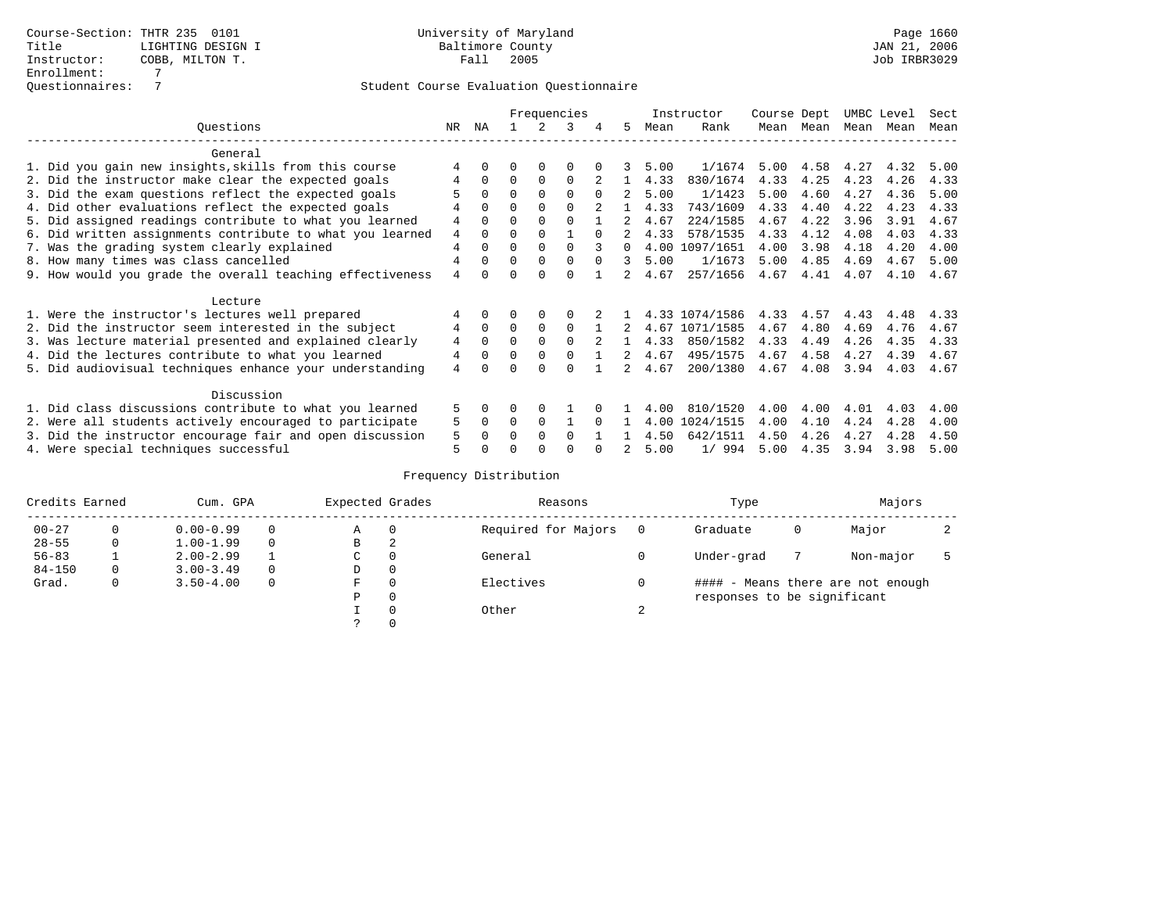|                                                           |                |              |          |          | Frequencies |          |    |      | Instructor     | Course Dept |      | UMBC Level |      | Sect |
|-----------------------------------------------------------|----------------|--------------|----------|----------|-------------|----------|----|------|----------------|-------------|------|------------|------|------|
| Ouestions                                                 | NR.            | ΝA           |          |          | 3           |          | 5. | Mean | Rank           | Mean        | Mean | Mean       | Mean | Mean |
| General                                                   |                |              |          |          |             |          |    |      |                |             |      |            |      |      |
| 1. Did you gain new insights, skills from this course     |                |              | O        | 0        | $\Omega$    |          |    | 5.00 | 1/1674         | 5.00        | 4.58 | 4.27       | 4.32 | 5.00 |
| 2. Did the instructor make clear the expected goals       | 4              | $\Omega$     | $\Omega$ | $\Omega$ | $\Omega$    |          |    | 4.33 | 830/1674       | 4.33        | 4.25 | 4.23       | 4.26 | 4.33 |
| 3. Did the exam questions reflect the expected goals      |                |              | $\Omega$ | $\Omega$ | $\Omega$    | $\Omega$ |    | 5.00 | 1/1423         | 5.00        | 4.60 | 4.27       | 4.36 | 5.00 |
| 4. Did other evaluations reflect the expected goals       | 4              | $\Omega$     | $\Omega$ | $\Omega$ | $\Omega$    |          |    | 4.33 | 743/1609       | 4.33        | 4.40 | 4.22       | 4.23 | 4.33 |
| 5. Did assigned readings contribute to what you learned   | 4              |              | $\Omega$ |          | $\Omega$    |          |    | 4.67 | 224/1585       | 4.67        | 4.22 | 3.96       | 3.91 | 4.67 |
| 6. Did written assignments contribute to what you learned | 4              | <sup>0</sup> | $\Omega$ |          |             | $\cap$   |    | 4.33 | 578/1535       | 4.33        | 4.12 | 4.08       | 4.03 | 4.33 |
| 7. Was the grading system clearly explained               | $\overline{4}$ |              | $\Omega$ | $\Omega$ | $\Omega$    |          |    | 4.00 | 1097/1651      | 4.00        | 3.98 | 4.18       | 4.20 | 4.00 |
| 8. How many times was class cancelled                     | 4              | $\Omega$     | $\Omega$ | $\Omega$ | $\Omega$    | $\Omega$ | 3  | 5.00 | 1/1673         | 5.00        | 4.85 | 4.69       | 4.67 | 5.00 |
| 9. How would you grade the overall teaching effectiveness | $\overline{4}$ | <sup>n</sup> | U        | ∩        | $\cap$      |          |    | 4.67 | 257/1656       | 4.67        | 4.41 | 4.07       | 4.10 | 4.67 |
| Lecture                                                   |                |              |          |          |             |          |    |      |                |             |      |            |      |      |
| 1. Were the instructor's lectures well prepared           | 4              |              |          |          | $\Omega$    |          |    |      | 4.33 1074/1586 | 4.33        | 4.57 | 4.43       | 4.48 | 4.33 |
| 2. Did the instructor seem interested in the subject      | 4              | $\Omega$     | $\Omega$ | $\Omega$ | $\Omega$    |          | 2  | 4.67 | 1071/1585      | 4.67        | 4.80 | 4.69       | 4.76 | 4.67 |
| 3. Was lecture material presented and explained clearly   | 4              | $\Omega$     | $\Omega$ |          | $\Omega$    |          |    | 4.33 | 850/1582       | 4.33        | 4.49 | 4.26       | 4.35 | 4.33 |
| 4. Did the lectures contribute to what you learned        | $\overline{4}$ |              | $\Omega$ |          | $\Omega$    |          |    | 4.67 | 495/1575       | 4.67        | 4.58 | 4.27       | 4.39 | 4.67 |
| 5. Did audiovisual techniques enhance your understanding  | 4              |              |          |          | ∩           |          |    | 4.67 | 200/1380       | 4.67        | 4.08 | 3.94       | 4.03 | 4.67 |
| Discussion                                                |                |              |          |          |             |          |    |      |                |             |      |            |      |      |
| 1. Did class discussions contribute to what you learned   | 5              | 0            | O        | $\Omega$ |             |          |    | 4.00 | 810/1520       | 4.00        | 4.00 | 4.01       | 4.03 | 4.00 |
| 2. Were all students actively encouraged to participate   | 5              | 0            | 0        | $\Omega$ |             |          |    | 4.00 | 1024/1515      | 4.00        | 4.10 | 4.24       | 4.28 | 4.00 |
| 3. Did the instructor encourage fair and open discussion  | 5              |              | O        |          | $\Omega$    |          |    | 4.50 | 642/1511       | 4.50        | 4.26 | 4.27       | 4.28 | 4.50 |
| 4. Were special techniques successful                     | 5              |              |          |          | ∩           |          |    | 5.00 | 1/994          | 5.00        | 4.35 | 3.94       | 3.98 | 5.00 |

| Credits Earned |          | Cum. GPA      | Expected Grades |          | Reasons             |          | Type                        |   | Majors                            |  |
|----------------|----------|---------------|-----------------|----------|---------------------|----------|-----------------------------|---|-----------------------------------|--|
| $00 - 27$      | $\Omega$ | $0.00 - 0.99$ | А               | 0        | Required for Majors | $\Omega$ | Graduate                    | 0 | Major                             |  |
| $28 - 55$      | 0        | $1.00 - 1.99$ | В               | 2        |                     |          |                             |   |                                   |  |
| $56 - 83$      |          | $2.00 - 2.99$ | $\sim$<br>◡     |          | General             |          | Under-grad                  |   | Non-major                         |  |
| $84 - 150$     | 0        | $3.00 - 3.49$ | D               | 0        |                     |          |                             |   |                                   |  |
| Grad.          | 0        | $3.50 - 4.00$ | F               | 0        | Electives           | 0        |                             |   | #### - Means there are not enough |  |
|                |          |               | Ρ               | 0        |                     |          | responses to be significant |   |                                   |  |
|                |          |               |                 | $\Omega$ | Other               | $\sim$   |                             |   |                                   |  |
|                |          |               |                 |          |                     |          |                             |   |                                   |  |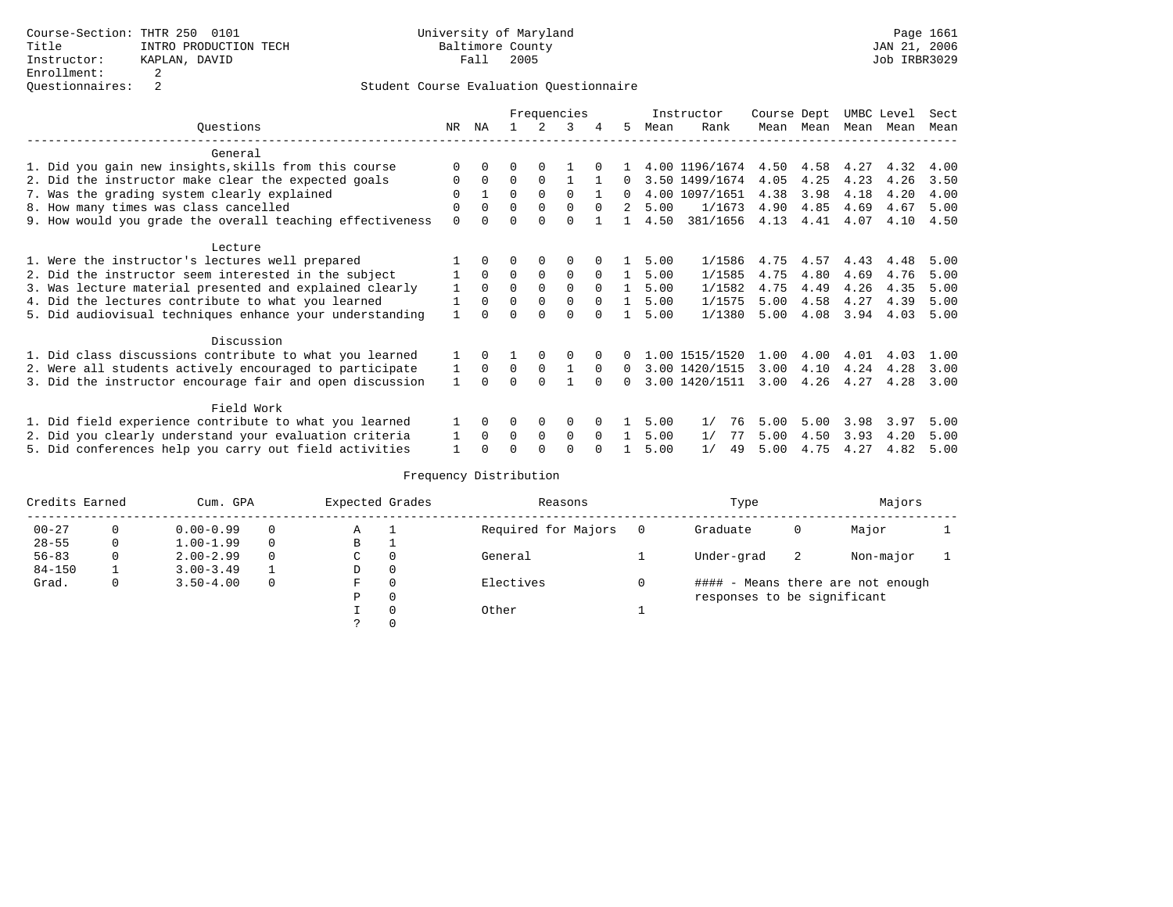|                                                           |              | Frequencies |          |              |             |          |                |      | Instructor     | Course Dept |      | UMBC Level |      | Sect |
|-----------------------------------------------------------|--------------|-------------|----------|--------------|-------------|----------|----------------|------|----------------|-------------|------|------------|------|------|
| Ouestions                                                 | NR           | ΝA          |          |              | 3           | 4        | 5              | Mean | Rank           | Mean        | Mean | Mean Mean  |      | Mean |
| General                                                   |              |             |          |              |             |          |                |      |                |             |      |            |      |      |
| 1. Did you gain new insights, skills from this course     |              | 0           |          |              |             |          |                |      | 4.00 1196/1674 | 4.50        | 4.58 | 4.27       | 4.32 | 4.00 |
| 2. Did the instructor make clear the expected goals       | 0            | $\mathbf 0$ | 0        | $\Omega$     |             |          | 0              |      | 3.50 1499/1674 | 4.05        | 4.25 | 4.23       | 4.26 | 3.50 |
| 7. Was the grading system clearly explained               | 0            |             | $\Omega$ | $\Omega$     | $\Omega$    |          | $\Omega$       |      | 4.00 1097/1651 | 4.38        | 3.98 | 4.18       | 4.20 | 4.00 |
| 8. How many times was class cancelled                     | 0            | $\Omega$    | $\Omega$ | $\mathbf 0$  | 0           | $\Omega$ | $\overline{a}$ | 5.00 | 1/1673         | 4.90        | 4.85 | 4.69       | 4.67 | 5.00 |
| 9. How would you grade the overall teaching effectiveness | $\Omega$     |             |          |              |             |          |                | 4.50 | 381/1656       | 4.13        | 4.41 | 4.07       | 4.10 | 4.50 |
| Lecture                                                   |              |             |          |              |             |          |                |      |                |             |      |            |      |      |
| 1. Were the instructor's lectures well prepared           |              | $\Omega$    | 0        | 0            | 0           |          |                | 5.00 | 1/1586         | 4.75        | 4.57 | 4.43       | 4.48 | 5.00 |
| 2. Did the instructor seem interested in the subject      |              | $\Omega$    | 0        | 0            | 0           | $\Omega$ |                | 5.00 | 1/1585         | 4.75        | 4.80 | 4.69       | 4.76 | 5.00 |
| 3. Was lecture material presented and explained clearly   | $\mathbf{1}$ | $\Omega$    | $\Omega$ | $\Omega$     | $\Omega$    | $\Omega$ |                | 5.00 | 1/1582         | 4.75        | 4.49 | 4.26       | 4.35 | 5.00 |
| 4. Did the lectures contribute to what you learned        |              | $\Omega$    | $\Omega$ | 0            | $\mathbf 0$ | $\Omega$ | $\mathbf{1}$   | 5.00 | 1/1575         | 5.00        | 4.58 | 4.27       | 4.39 | 5.00 |
| 5. Did audiovisual techniques enhance your understanding  |              |             |          | $\Omega$     | $\Omega$    |          |                | 5.00 | 1/1380         | 5.00        | 4.08 | 3.94       | 4.03 | 5.00 |
| Discussion                                                |              |             |          |              |             |          |                |      |                |             |      |            |      |      |
| 1. Did class discussions contribute to what you learned   |              | $\Omega$    |          | 0            | 0           |          |                |      | 1.00 1515/1520 | 1.00        | 4.00 | 4.01       | 4.03 | 1.00 |
| 2. Were all students actively encouraged to participate   |              | $\Omega$    | 0        | $\Omega$     |             | $\Omega$ | $\Omega$       |      | 3.00 1420/1515 | 3.00        | 4.10 | 4.24       | 4.28 | 3.00 |
| 3. Did the instructor encourage fair and open discussion  | $\mathbf{1}$ | $\cap$      | U        | $\Omega$     |             |          | $\Omega$       |      | 3.00 1420/1511 | 3.00        | 4.26 | 4.27       | 4.28 | 3.00 |
| Field Work                                                |              |             |          |              |             |          |                |      |                |             |      |            |      |      |
| 1. Did field experience contribute to what you learned    |              | $\Omega$    |          | 0            | 0           |          |                | 5.00 | 1/<br>76       | 5.00        | 5.00 | 3.98       | 3.97 | 5.00 |
| 2. Did you clearly understand your evaluation criteria    | 1            | $\Omega$    | 0        | $\Omega$     | $\Omega$    | $\Omega$ |                | 5.00 | 1/<br>77       | 5.00        | 4.50 | 3.93       | 4.20 | 5.00 |
| 5. Did conferences help you carry out field activities    |              |             |          | <sup>0</sup> |             |          |                | 5.00 | 1/<br>49       | 5.00        | 4.75 | 4.27       | 4.82 | 5.00 |

| Credits Earned |   | Cum. GPA      |          | Expected Grades |              | Reasons             | Type                        |    | Majors                            |  |
|----------------|---|---------------|----------|-----------------|--------------|---------------------|-----------------------------|----|-----------------------------------|--|
| $00 - 27$      | 0 | $0.00 - 0.99$ | $\Omega$ | Α               |              | Required for Majors | Graduate                    | 0  | Major                             |  |
| $28 - 55$      | 0 | $1.00 - 1.99$ | $\Omega$ | В               | ᅩ            |                     |                             |    |                                   |  |
| $56 - 83$      |   | $2.00 - 2.99$ | $\Omega$ | С               | 0            | General             | Under-grad                  | -2 | Non-major                         |  |
| $84 - 150$     |   | $3.00 - 3.49$ |          | D               | 0            |                     |                             |    |                                   |  |
| Grad.          | 0 | $3.50 - 4.00$ | $\Omega$ | F               | $\mathbf{0}$ | Electives           |                             |    | #### - Means there are not enough |  |
|                |   |               |          | Ρ               | $\mathbf{0}$ |                     | responses to be significant |    |                                   |  |
|                |   |               |          |                 | 0            | Other               |                             |    |                                   |  |
|                |   |               |          |                 | 0            |                     |                             |    |                                   |  |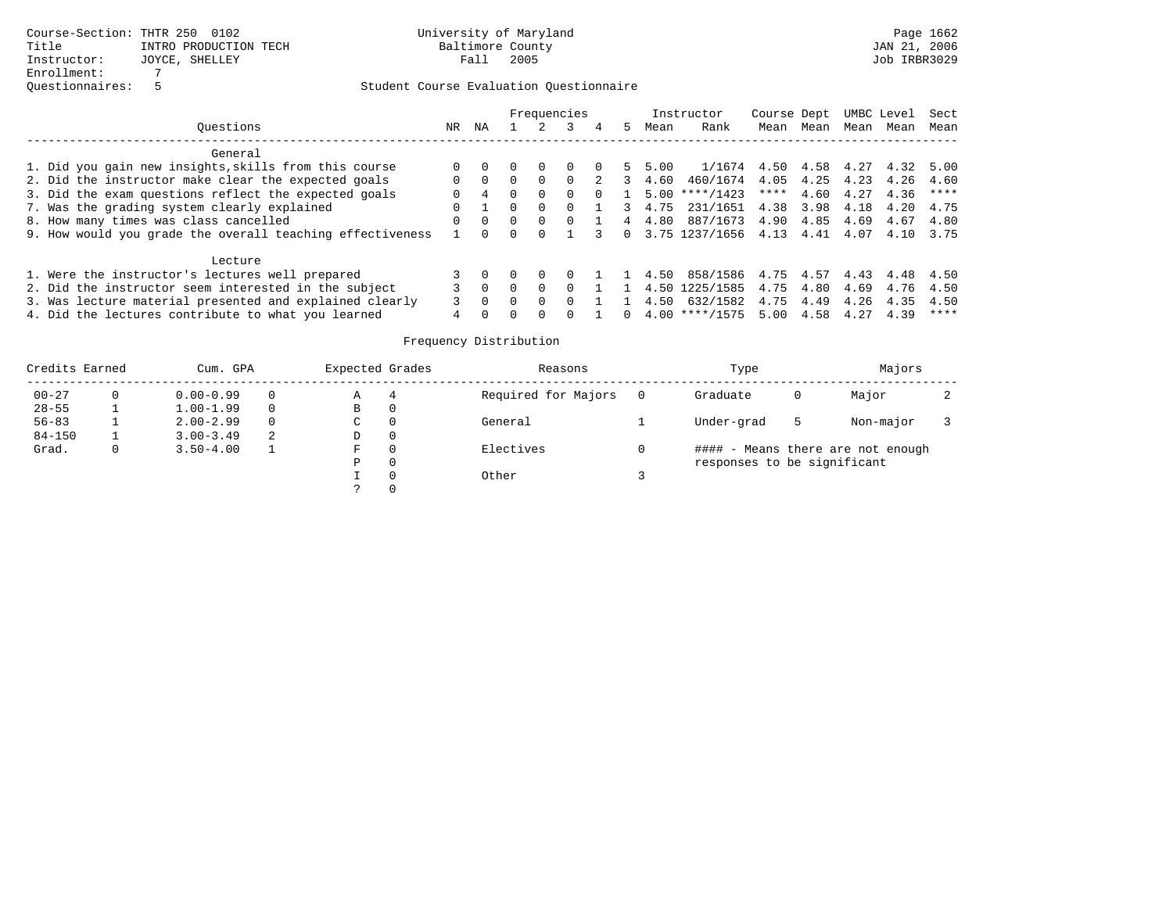|                                                           |          |                |        |          | Frequencies |             |        |        | Instructor                        | Course Dept |                |      | UMBC Level | Sect    |
|-----------------------------------------------------------|----------|----------------|--------|----------|-------------|-------------|--------|--------|-----------------------------------|-------------|----------------|------|------------|---------|
| Ouestions                                                 | NR.      | ΝA             |        |          |             |             | 5.     | Mean   | Rank                              | Mean        | Mean           | Mean | Mean       | Mean    |
| General                                                   |          |                |        |          |             |             |        |        |                                   |             |                |      |            |         |
| 1. Did you gain new insights, skills from this course     |          |                |        |          |             | $\Omega$    | 5.     | 5.00   | 1/1674 4.50                       |             | 4.58 4.27 4.32 |      |            | 5.00    |
| 2. Did the instructor make clear the expected goals       |          | $\Omega$       |        | $\Omega$ | $\Omega$    | $2^{\circ}$ | 3      | 4.60   | 460/1674 4.05                     |             | 4.25 4.23      |      | 4.26       | 4.60    |
| 3. Did the exam questions reflect the expected goals      | $\Omega$ | $\overline{4}$ |        | $\Omega$ | $\Omega$    | $\Omega$    |        | 5.00   | $***/1423$                        | ****        | 4.60           | 4.27 | 4.36       | ****    |
| 7. Was the grading system clearly explained               |          |                |        | $\Omega$ |             |             |        | 3 4.75 | 231/1651 4.38                     |             | 3.98           | 4.18 | 4.20       | 4.75    |
| 8. How many times was class cancelled                     | $\Omega$ | $\Omega$       |        | $\Omega$ | $\cap$      |             |        | 4 4.80 | 887/1673 4.90                     |             | 4.85           | 4.69 | 4.67       | 4.80    |
| 9. How would you grade the overall teaching effectiveness |          |                |        | $\Omega$ |             | 3           |        |        | $0$ 3.75 1237/1656 4.13 4.41 4.07 |             |                |      | 4.10       | 3.75    |
| Lecture                                                   |          |                |        |          |             |             |        |        |                                   |             |                |      |            |         |
| 1. Were the instructor's lectures well prepared           |          | $\Omega$       |        |          | $\Omega$    |             |        | 4.50   | 858/1586 4.75 4.57 4.43 4.48      |             |                |      |            | 4.50    |
| 2. Did the instructor seem interested in the subject      |          | $\Omega$       | $\cap$ | $\Omega$ | $\cap$      |             |        |        | 4.50 1225/1585 4.75               |             | 4.80           | 4.69 | 4.76       | 4.50    |
| 3. Was lecture material presented and explained clearly   |          | $\cap$         |        | $\cap$   |             |             |        | 4.50   | 632/1582                          | 4.75        | 4.49           | 4.26 | 4.35       | 4.50    |
| 4. Did the lectures contribute to what you learned        |          |                |        |          |             |             | $\cap$ |        | $4.00$ ****/1575                  | 5.00        | 4.58           | 4.27 | 4.39       | * * * * |

| Credits Earned |   | Cum. GPA      |          | Expected Grades |          | Reasons             | Type                        |   | Majors                            |  |
|----------------|---|---------------|----------|-----------------|----------|---------------------|-----------------------------|---|-----------------------------------|--|
| $00 - 27$      |   | $0.00 - 0.99$ | $\Omega$ | Α               | 4        | Required for Majors | Graduate                    | Ü | Major                             |  |
| $28 - 55$      |   | $1.00 - 1.99$ | $\Omega$ | В               | 0        |                     |                             |   |                                   |  |
| $56 - 83$      |   | $2.00 - 2.99$ | $\Omega$ | С               | 0        | General             | Under-grad                  | 5 | Non-major                         |  |
| $84 - 150$     |   | $3.00 - 3.49$ | 2        | D               | 0        |                     |                             |   |                                   |  |
| Grad.          | 0 | $3.50 - 4.00$ |          | F               | 0        | Electives           |                             |   | #### - Means there are not enough |  |
|                |   |               |          | D               | 0        |                     | responses to be significant |   |                                   |  |
|                |   |               |          |                 | $\Omega$ | Other               |                             |   |                                   |  |
|                |   |               |          |                 | 0        |                     |                             |   |                                   |  |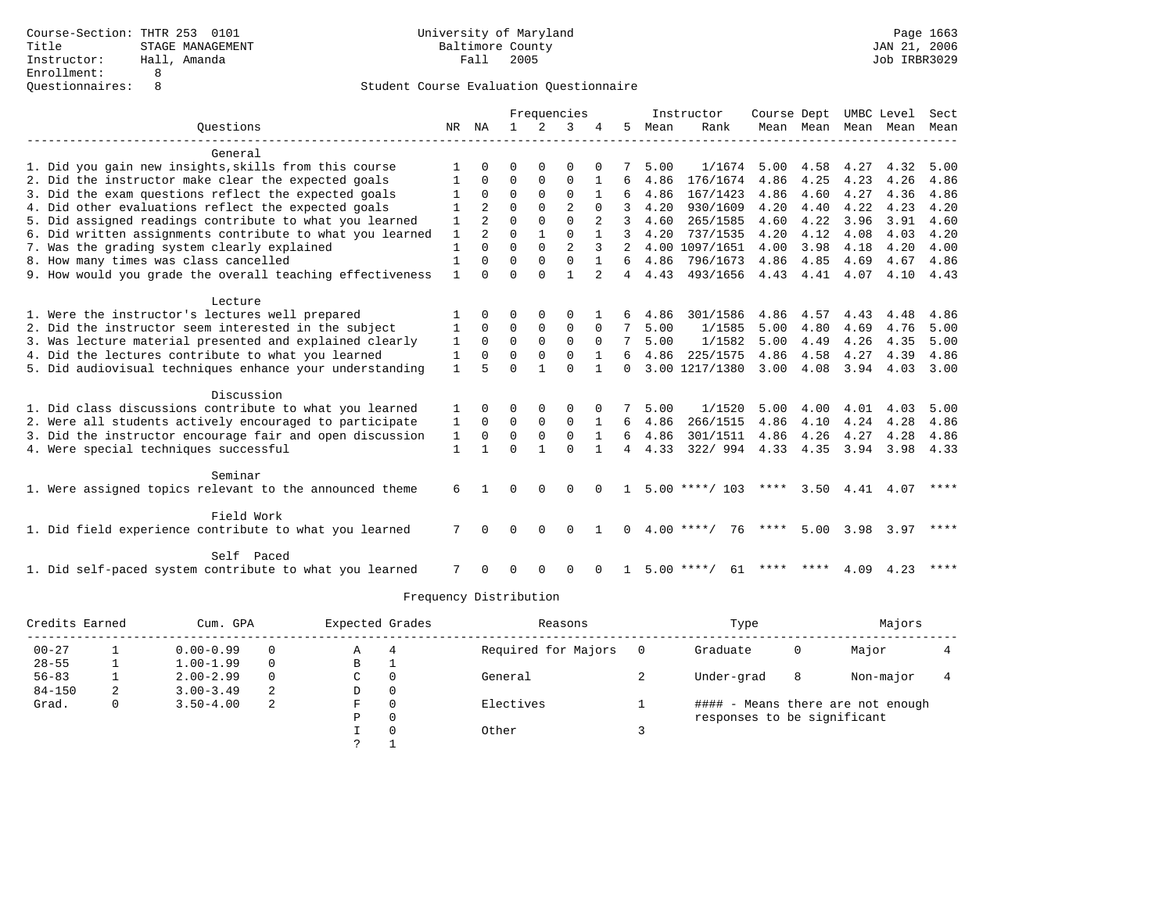|                                                                                                   |              |                |               |               | Frequencies          |               |                |              | Instructor         | Course Dept  |              |              | UMBC Level   | Sect         |
|---------------------------------------------------------------------------------------------------|--------------|----------------|---------------|---------------|----------------------|---------------|----------------|--------------|--------------------|--------------|--------------|--------------|--------------|--------------|
| Ouestions                                                                                         |              | NR NA          | $\mathbf{1}$  | $2^{\circ}$   | 3                    |               | 5.             | Mean         | Rank               |              | Mean Mean    | Mean         | Mean         | Mean         |
| General                                                                                           |              |                |               |               |                      |               |                |              |                    |              |              |              |              |              |
| 1. Did you gain new insights, skills from this course                                             |              | <sup>n</sup>   | U             | ∩             | $\Omega$             |               |                | 5.00         | 1/1674             | 5.00         | 4.58         | 4.27         | 4.32         | 5.00         |
| 2. Did the instructor make clear the expected goals                                               |              | $\Omega$       | $\Omega$      | $\Omega$      | $\Omega$             | 1             | 6              | 4.86         | 176/1674           | 4.86         | 4.25         | 4.23         | 4.26         | 4.86         |
| 3. Did the exam questions reflect the expected goals                                              |              | $\Omega$       | $\Omega$      | $\Omega$      | $\Omega$             |               | 6              | 4.86         | 167/1423           | 4.86         | 4.60         | 4.27         | 4.36         | 4.86         |
| 4. Did other evaluations reflect the expected goals                                               |              | $\overline{2}$ | $\Omega$      | $\Omega$      | $\overline{2}$       |               |                | 4.20         | 930/1609           | 4.20         | 4.40         | 4.22         | 4.23         | 4.20         |
| 5. Did assigned readings contribute to what you learned                                           | 1            | $\overline{a}$ | $\Omega$      | $\Omega$      | $\Omega$             | 2             | 3              | 4.60         | 265/1585           | 4.60         | 4.22         | 3.96         | 3.91         | 4.60         |
| 6. Did written assignments contribute to what you learned                                         | $\mathbf{1}$ | $\overline{a}$ | $\Omega$      | $\mathbf{1}$  | $\Omega$             |               | 3              | 4.20         | 737/1535           | 4.20         | 4.12         | 4.08         | 4.03         | 4.20         |
| 7. Was the grading system clearly explained                                                       | 1            | $\Omega$       | $\Omega$      | $\Omega$      | $\overline{a}$       | $\mathcal{L}$ | 2              |              | 4.00 1097/1651     | 4.00         | 3.98         | 4.18         | 4.20         | 4.00         |
| 8. How many times was class cancelled                                                             | 1            | $\Omega$       | $\Omega$      | $\Omega$      | $\Omega$             |               | б.             | 4.86         | 796/1673           | 4.86         | 4.85         | 4.69         | 4.67         | 4.86         |
| 9. How would you grade the overall teaching effectiveness                                         | 1            | $\Omega$       | $\Omega$      | $\Omega$      | $\mathbf{1}$         |               | $\overline{4}$ | 4.43         | 493/1656           | 4.43         | 4.41         | 4.07         | 4.10         | 4.43         |
| Lecture                                                                                           |              |                |               |               |                      |               |                |              |                    |              |              |              |              |              |
| 1. Were the instructor's lectures well prepared                                                   |              | 0              | O             | $\Omega$      | $\Omega$             |               |                | 4.86         | 301/1586           | 4.86         | 4.57         | 4.43         | 4.48         | 4.86         |
| 2. Did the instructor seem interested in the subject                                              |              | $\Omega$       | $\mathbf 0$   | 0             | $\mathbf 0$          | $\Omega$      |                | 5.00         | 1/1585             | 5.00         | 4.80         | 4.69         | 4.76         | 5.00         |
| 3. Was lecture material presented and explained clearly                                           | 1            | $\Omega$       | $\mathbf 0$   | $\mathbf 0$   | $\mathbf 0$          | $\Omega$      |                | 5.00         | 1/1582             | 5.00         | 4.49         | 4.26         | 4.35         | 5.00         |
| 4. Did the lectures contribute to what you learned                                                | 1            | $\Omega$       | $\Omega$      | $\Omega$      | $\Omega$             |               |                | 4.86         | 225/1575           | 4.86         | 4.58         | 4.27         | 4.39         | 4.86         |
| 5. Did audiovisual techniques enhance your understanding                                          | $\mathbf{1}$ | 5              | $\cap$        | $\mathbf{1}$  | $\Omega$             |               | <sup>n</sup>   |              | 3.00 1217/1380     | 3.00         | 4.08         | 3.94         | 4.03         | 3.00         |
|                                                                                                   |              |                |               |               |                      |               |                |              |                    |              |              |              |              |              |
| Discussion                                                                                        |              |                |               |               |                      |               |                |              |                    |              |              |              |              |              |
| 1. Did class discussions contribute to what you learned                                           | 1            | 0              | 0<br>$\Omega$ | 0<br>$\Omega$ | $\Omega$<br>$\Omega$ | $\Omega$      |                | 5.00         | 1/1520<br>266/1515 | 5.00<br>4.86 | 4.00         | 4.01         | 4.03         | 5.00         |
| 2. Were all students actively encouraged to participate                                           | 1            | $\Omega$       | $\mathbf 0$   | $\mathbf 0$   | $\Omega$             | 1             | 6<br>б.        | 4.86<br>4.86 | 301/1511           | 4.86         | 4.10         | 4.24         | 4.28<br>4.28 | 4.86         |
| 3. Did the instructor encourage fair and open discussion<br>4. Were special techniques successful | 1<br>1       | 0              | $\Omega$      | 1             | $\Omega$             |               | 4              | 4.33         | 322/994            | 4.33         | 4.26<br>4.35 | 4.27<br>3.94 | 3.98         | 4.86<br>4.33 |
|                                                                                                   |              |                |               |               |                      |               |                |              |                    |              |              |              |              |              |
| Seminar                                                                                           |              |                |               |               |                      |               |                |              |                    |              |              |              |              |              |
| 1. Were assigned topics relevant to the announced theme                                           | 6            | $\mathbf{1}$   | 0             | $\Omega$      | $\Omega$             | $\cap$        | $\mathbf{1}$   |              | $5.00$ ****/ 103   | ****         | 3.50         | 4.41         | 4.07         | ****         |
| Field Work                                                                                        |              |                |               |               |                      |               |                |              |                    |              |              |              |              |              |
| 1. Did field experience contribute to what you learned                                            | 7            |                | U             | $\Omega$      | $\cap$               |               | <sup>n</sup>   |              | $4.00$ ****/<br>76 | ****         | 5.00         | 3.98         | 3.97         | ****         |
| Self Paced                                                                                        |              |                |               |               |                      |               |                |              |                    |              |              |              |              |              |
| 1. Did self-paced system contribute to what you learned                                           |              |                | U             | O             | <sup>0</sup>         |               |                |              | $5.00$ ****/<br>61 | ****         | ****         | 4.09         | 4.23         | $***$ * * *  |

| Credits Earned |   | Cum. GPA      |          | Expected Grades |          | Reasons             | Type                        |   | Majors                            |  |
|----------------|---|---------------|----------|-----------------|----------|---------------------|-----------------------------|---|-----------------------------------|--|
| $00 - 27$      |   | $0.00 - 0.99$ |          | Α               | 4        | Required for Majors | Graduate                    | 0 | Major                             |  |
| $28 - 55$      |   | $1.00 - 1.99$ | $\Omega$ | В               |          |                     |                             |   |                                   |  |
| $56 - 83$      |   | $2.00 - 2.99$ |          | C.              | 0        | General             | Under-grad                  | 8 | Non-major                         |  |
| $84 - 150$     | 2 | $3.00 - 3.49$ |          | D               | 0        |                     |                             |   |                                   |  |
| Grad.          | 0 | $3.50 - 4.00$ | -2       | F               | $\Omega$ | Electives           |                             |   | #### - Means there are not enough |  |
|                |   |               |          | Ρ               | 0        |                     | responses to be significant |   |                                   |  |
|                |   |               |          |                 | $\Omega$ | Other               |                             |   |                                   |  |
|                |   |               |          |                 |          |                     |                             |   |                                   |  |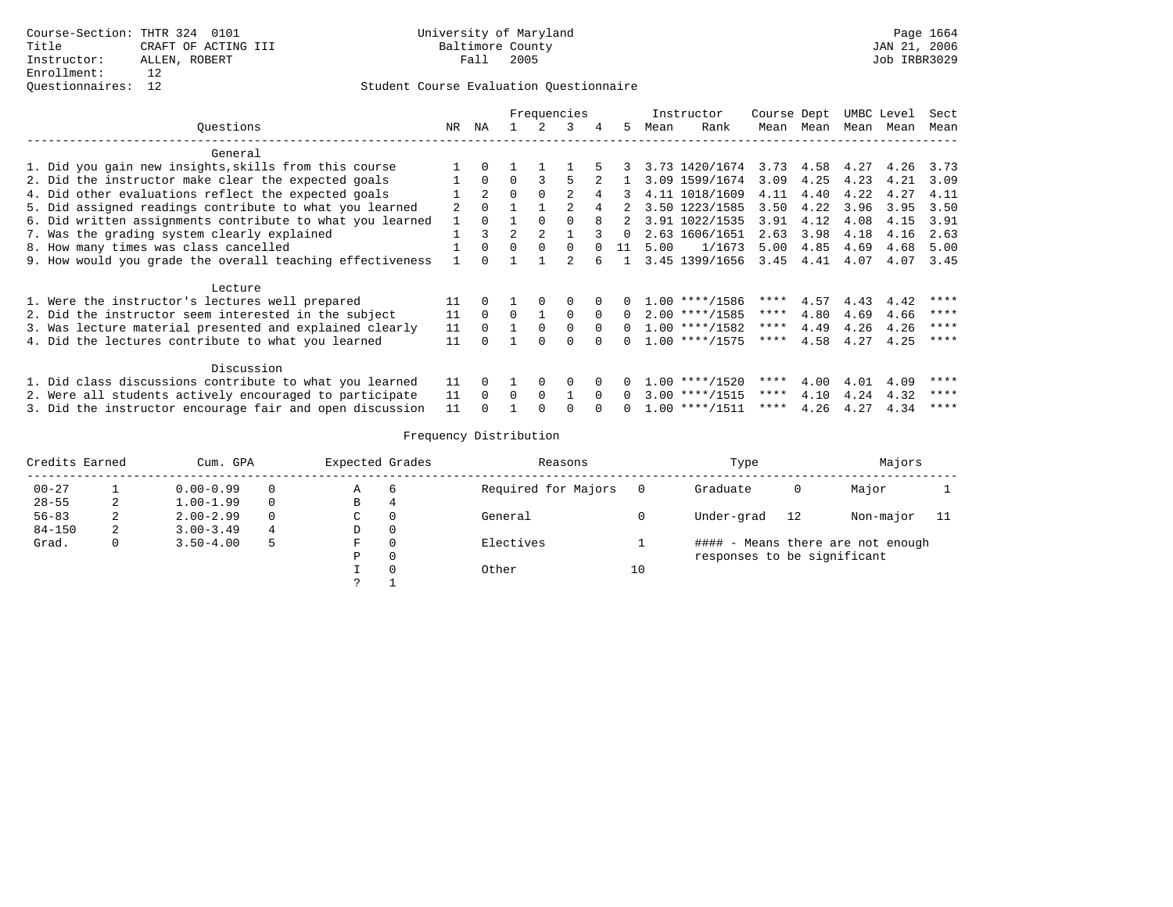|                                                           |    |          |                |          | Frequencies    |          |          |      | Instructor       | Course Dept |           |      | UMBC Level | Sect        |
|-----------------------------------------------------------|----|----------|----------------|----------|----------------|----------|----------|------|------------------|-------------|-----------|------|------------|-------------|
| Questions                                                 | NR | ΝA       |                |          | 3              | 4        | .5       | Mean | Rank             |             | Mean Mean | Mean | Mean       | Mean        |
| General                                                   |    |          |                |          |                |          |          |      |                  |             |           |      |            |             |
| 1. Did you gain new insights, skills from this course     |    |          |                |          |                |          |          |      | 3.73 1420/1674   | 3.73        | 4.58      | 4.27 | 4.26       | 3.73        |
| 2. Did the instructor make clear the expected goals       |    | $\Omega$ | $\Omega$       |          |                |          |          |      | 3.09 1599/1674   | 3.09        | 4.25      | 4.23 | 4.21       | 3.09        |
| 4. Did other evaluations reflect the expected goals       |    | 2        | $\Omega$       | $\Omega$ | $\mathfrak{D}$ | 4        | 3        |      | 4.11 1018/1609   | 4.11        | 4.40      | 4.22 | 4.27       | 4.11        |
| 5. Did assigned readings contribute to what you learned   |    | $\Omega$ |                |          |                |          |          |      | 3.50 1223/1585   | 3.50        | 4.22      | 3.96 | 3.95       | 3.50        |
| 6. Did written assignments contribute to what you learned |    | $\Omega$ |                |          |                |          | 2        |      | 3.91 1022/1535   | 3.91        | 4.12      | 4.08 | 4.15       | 3.91        |
| 7. Was the grading system clearly explained               |    | 3        | $\overline{a}$ | 2        |                |          | $\Omega$ |      | 2.63 1606/1651   | 2.63        | 3.98      | 4.18 | 4.16       | 2.63        |
| 8. How many times was class cancelled                     |    | $\Omega$ | $\Omega$       | $\Omega$ | 0              | $\Omega$ | 11       | 5.00 | 1/1673           | 5.00        | 4.85      | 4.69 | 4.68       | 5.00        |
| 9. How would you grade the overall teaching effectiveness |    | $\cap$   |                |          | 2              | 6        |          |      | 3.45 1399/1656   | 3.45        | 4.41      | 4.07 | 4.07       | 3.45        |
| Lecture                                                   |    |          |                |          |                |          |          |      |                  |             |           |      |            |             |
| 1. Were the instructor's lectures well prepared           | 11 | $\Omega$ |                | $\Omega$ |                |          |          |      | $1.00$ ****/1586 | ****        | 4.57      | 4.43 | 4.42       | ****        |
| 2. Did the instructor seem interested in the subject      | 11 | $\Omega$ | $\Omega$       |          | 0              | $\Omega$ | 0        |      | $2.00$ ****/1585 | ****        | 4.80      | 4.69 | 4.66       | ****        |
| 3. Was lecture material presented and explained clearly   | 11 | $\Omega$ |                | $\Omega$ | 0              | $\Omega$ | $\Omega$ |      | $1.00$ ****/1582 | ****        | 4.49      | 4.26 | 4.26       | ****        |
| 4. Did the lectures contribute to what you learned        | 11 |          |                |          |                |          |          |      | $1.00$ ****/1575 | ****        | 4.58      | 4.27 | 4.25       | ****        |
| Discussion                                                |    |          |                |          |                |          |          |      |                  |             |           |      |            |             |
| 1. Did class discussions contribute to what you learned   | 11 | $\Omega$ |                | $\Omega$ | <sup>0</sup>   |          |          |      | $1.00$ ****/1520 | ****        | 4.00      | 4.01 | 4.09       | $* * * * *$ |
| 2. Were all students actively encouraged to participate   | 11 | $\Omega$ | $\Omega$       | $\Omega$ |                | $\Omega$ | $\Omega$ |      | $3.00$ ****/1515 | ****        | 4.10      | 4.24 | 4.32       | ****        |
| 3. Did the instructor encourage fair and open discussion  | 11 |          |                |          |                | $\Omega$ | $\Omega$ |      | $1.00$ ****/1511 | ****        | 4.26      | 4.27 | 4.34       | ****        |

| Credits Earned |   | Cum. GPA      |          | Expected Grades |              | Reasons             |    | Type                        |    | Majors                            |      |
|----------------|---|---------------|----------|-----------------|--------------|---------------------|----|-----------------------------|----|-----------------------------------|------|
| $00 - 27$      |   | $0.00 - 0.99$ | $\Omega$ | А               | 6            | Required for Majors |    | Graduate                    | 0  | Major                             |      |
| $28 - 55$      | 2 | $1.00 - 1.99$ | $\Omega$ | В               | 4            |                     |    |                             |    |                                   |      |
| $56 - 83$      | 2 | $2.00 - 2.99$ | $\Omega$ | C               | 0            | General             |    | Under-grad                  | 12 | Non-major                         | - 11 |
| $84 - 150$     | 2 | $3.00 - 3.49$ | 4        | D               | 0            |                     |    |                             |    |                                   |      |
| Grad.          | 0 | $3.50 - 4.00$ | 5        | F               | 0            | Electives           |    |                             |    | #### - Means there are not enough |      |
|                |   |               |          | Р               | $\mathbf{0}$ |                     |    | responses to be significant |    |                                   |      |
|                |   |               |          |                 | 0            | Other               | 10 |                             |    |                                   |      |
|                |   |               |          | っ               |              |                     |    |                             |    |                                   |      |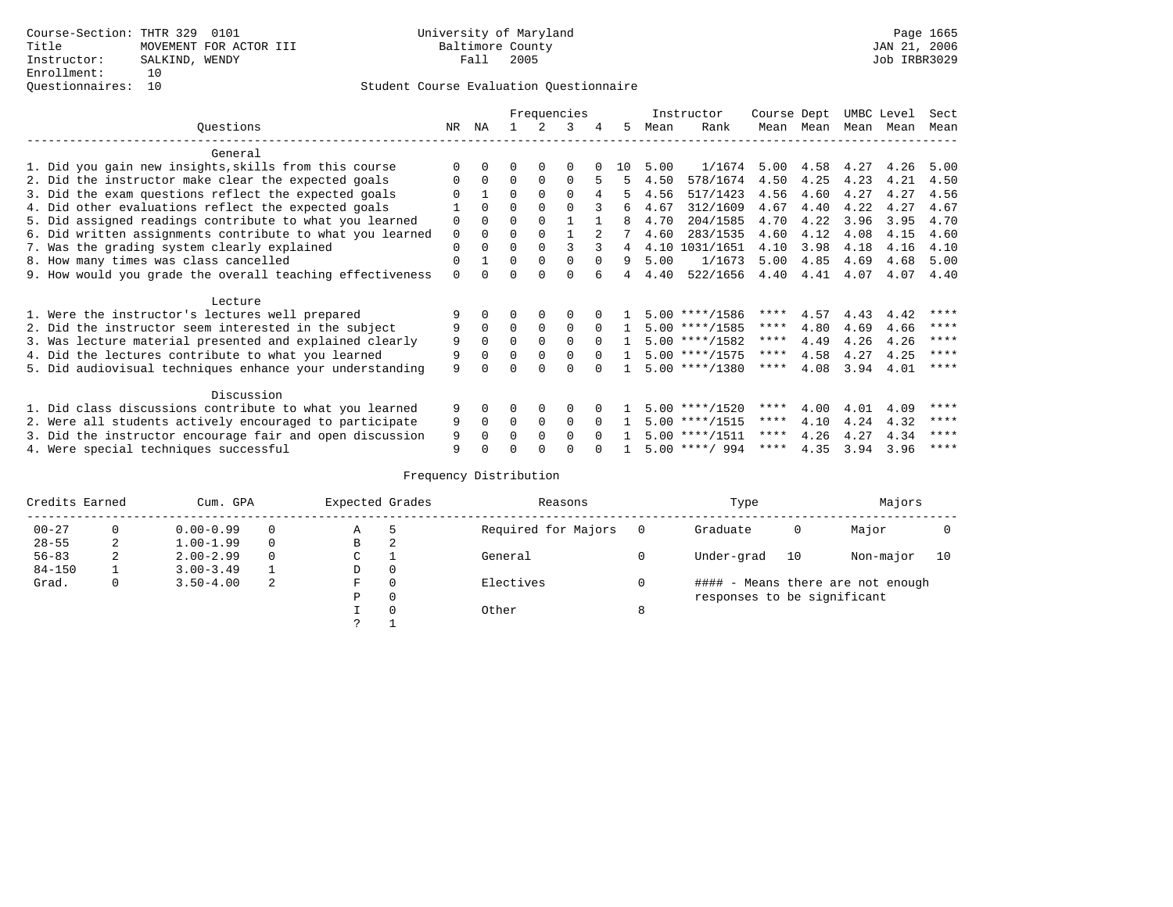|                                                           |    |              |          |          | Frequencies |          |              |      | Instructor       | Course Dept |           | UMBC Level |      | Sect        |
|-----------------------------------------------------------|----|--------------|----------|----------|-------------|----------|--------------|------|------------------|-------------|-----------|------------|------|-------------|
| Ouestions                                                 | NR | ΝA           |          | 2        | 3           | 4        | .5           | Mean | Rank             |             | Mean Mean | Mean Mean  |      | Mean        |
| General                                                   |    |              |          |          |             |          |              |      |                  |             |           |            |      |             |
| 1. Did you gain new insights, skills from this course     |    | $\Omega$     | 0        | $\Omega$ | 0           |          | 10           | 5.00 | 1/1674           | 5.00        | 4.58      | 4.27       | 4.26 | 5.00        |
| 2. Did the instructor make clear the expected goals       | 0  | $\Omega$     | $\Omega$ | $\Omega$ | $\Omega$    | 5        | 5            | 4.50 | 578/1674         | 4.50        | 4.25      | 4.23       | 4.21 | 4.50        |
| 3. Did the exam questions reflect the expected goals      |    |              | $\Omega$ | $\Omega$ | $\Omega$    | 4        | 5            | 4.56 | 517/1423         | 4.56        | 4.60      | 4.27       | 4.27 | 4.56        |
| 4. Did other evaluations reflect the expected goals       |    | $\Omega$     | 0        | $\Omega$ |             |          | б.           | 4.67 | 312/1609         | 4.67        | 4.40      | 4.22       | 4.27 | 4.67        |
| 5. Did assigned readings contribute to what you learned   | 0  | $\Omega$     | $\Omega$ | $\Omega$ |             |          | 8            | 4.70 | 204/1585         | 4.70        | 4.22      | 3.96       | 3.95 | 4.70        |
| 6. Did written assignments contribute to what you learned | 0  | $\Omega$     | U        | $\Omega$ |             | 2        |              | 4.60 | 283/1535         | 4.60        | 4.12      | 4.08       | 4.15 | 4.60        |
| 7. Was the grading system clearly explained               | 0  | $\Omega$     | 0        | $\Omega$ | 3           |          | 4            |      | 4.10 1031/1651   | 4.10        | 3.98      | 4.18       | 4.16 | 4.10        |
| 8. How many times was class cancelled                     | 0  |              | $\Omega$ | $\Omega$ | $\Omega$    | $\Omega$ | 9            | 5.00 | 1/1673           | 5.00        | 4.85      | 4.69       | 4.68 | 5.00        |
| 9. How would you grade the overall teaching effectiveness | 0  | <sup>n</sup> |          | $\cap$   | $\Omega$    |          | 4            | 4.40 | 522/1656         | 4.40        | 4.41      | 4.07       | 4.07 | 4.40        |
| Lecture                                                   |    |              |          |          |             |          |              |      |                  |             |           |            |      |             |
| 1. Were the instructor's lectures well prepared           |    |              |          | $\Omega$ |             |          |              |      | $5.00$ ****/1586 | ****        | 4.57      | 4.43       | 4.42 | $* * * * *$ |
| 2. Did the instructor seem interested in the subject      | 9  | $\Omega$     | $\Omega$ | $\Omega$ | $\Omega$    |          |              |      | $5.00$ ****/1585 | ****        | 4.80      | 4.69       | 4.66 | ****        |
| 3. Was lecture material presented and explained clearly   | 9  | $\Omega$     | 0        | $\Omega$ | $\Omega$    | $\Omega$ |              |      | $5.00$ ****/1582 | ****        | 4.49      | 4.26       | 4.26 | $* * * * *$ |
| 4. Did the lectures contribute to what you learned        | 9  | $\Omega$     | $\Omega$ | $\Omega$ | $\Omega$    | $\Omega$ | $\mathbf{1}$ |      | $5.00$ ****/1575 | ****        | 4.58      | 4.27       | 4.25 | ****        |
| 5. Did audiovisual techniques enhance your understanding  | 9  |              |          |          |             |          |              |      | $5.00$ ****/1380 | ****        | 4.08      | 3.94       | 4.01 | $* * * * *$ |
| Discussion                                                |    |              |          |          |             |          |              |      |                  |             |           |            |      |             |
| 1. Did class discussions contribute to what you learned   | 9  | 0            | U        | $\Omega$ | $\Omega$    |          |              |      | $5.00$ ****/1520 | ****        | 4.00      | 4.01       | 4.09 | ****        |
| 2. Were all students actively encouraged to participate   | 9  | $\mathbf 0$  | $\Omega$ | 0        | $\Omega$    |          |              |      | $5.00$ ****/1515 | $***$ * *   | 4.10      | 4.24       | 4.32 | ****        |
| 3. Did the instructor encourage fair and open discussion  | 9  | 0            |          | $\Omega$ | $\Omega$    |          |              |      | $5.00$ ****/1511 | ****        | 4.26      | 4.27       | 4.34 | ****        |
| 4. Were special techniques successful                     | 9  |              |          |          |             |          |              |      | $5.00$ ****/ 994 | ****        | 4.35      | 3.94       | 3.96 | ****        |

| Credits Earned |          | Cum. GPA      |   | Expected Grades |          | Reasons             |          | Type                        |    | Majors                            |    |
|----------------|----------|---------------|---|-----------------|----------|---------------------|----------|-----------------------------|----|-----------------------------------|----|
| $00 - 27$      | $\Omega$ | $0.00 - 0.99$ |   | Α               | 5        | Required for Majors | $\Omega$ | Graduate                    | 0  | Major                             |    |
| $28 - 55$      | 2        | $1.00 - 1.99$ |   | В               | 2        |                     |          |                             |    |                                   |    |
| $56 - 83$      | 2        | $2.00 - 2.99$ |   | $\sim$<br>◡     |          | General             |          | Under-grad                  | 10 | Non-major                         | 10 |
| $84 - 150$     |          | $3.00 - 3.49$ |   | D               | 0        |                     |          |                             |    |                                   |    |
| Grad.          | 0        | $3.50 - 4.00$ | 2 | F               | 0        | Electives           | 0        |                             |    | #### - Means there are not enough |    |
|                |          |               |   | Ρ               | 0        |                     |          | responses to be significant |    |                                   |    |
|                |          |               |   |                 | $\Omega$ | Other               | 8        |                             |    |                                   |    |
|                |          |               |   | C               |          |                     |          |                             |    |                                   |    |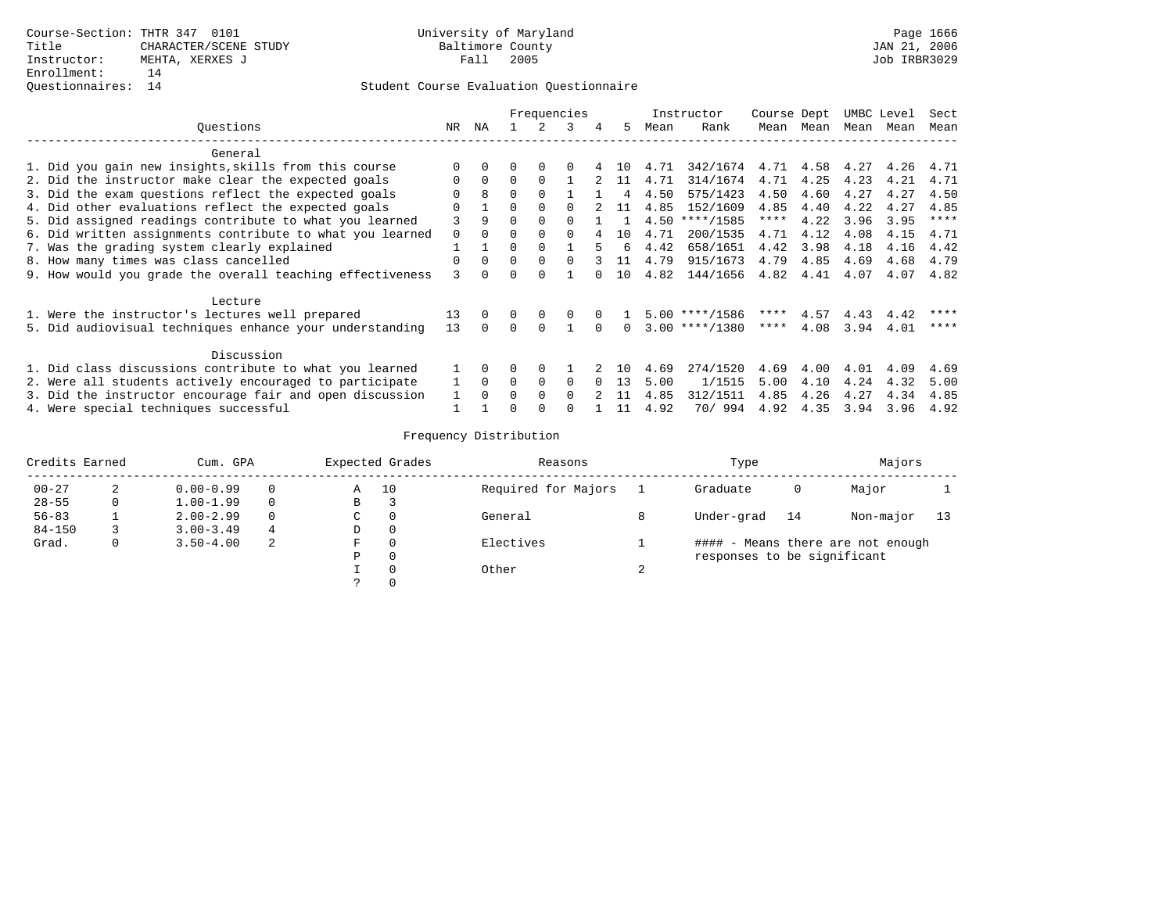|                                                           |              |          |              |          | Frequencies |        |          |      | Instructor       | Course Dept |           |      | UMBC Level | Sect        |
|-----------------------------------------------------------|--------------|----------|--------------|----------|-------------|--------|----------|------|------------------|-------------|-----------|------|------------|-------------|
| Ouestions                                                 | NR.          | ΝA       |              |          | 3           | 4      | 5.       | Mean | Rank             |             | Mean Mean | Mean | Mean       | Mean        |
| General                                                   |              |          |              |          |             |        |          |      |                  |             |           |      |            |             |
| 1. Did you gain new insights, skills from this course     | 0            |          |              |          |             |        | 1 N      | 4.71 | 342/1674         |             | 4.71 4.58 | 4.27 | 4.26       | 4.71        |
| 2. Did the instructor make clear the expected goals       | $\Omega$     | $\Omega$ | $\Omega$     | $\Omega$ |             |        | 11       | 4.71 | 314/1674         | 4.71        | 4.25      | 4.23 | 4.21       | 4.71        |
| 3. Did the exam questions reflect the expected goals      | <sup>n</sup> |          | $\Omega$     | $\Omega$ |             |        | 4        | 4.50 | 575/1423         | 4.50        | 4.60      | 4.27 | 4.27       | 4.50        |
| 4. Did other evaluations reflect the expected goals       | 0            |          | 0            |          |             |        | 11       | 4.85 | 152/1609         | 4.85        | 4.40      | 4.22 | 4.27       | 4.85        |
| 5. Did assigned readings contribute to what you learned   |              | 9        | $\Omega$     |          |             |        |          | 4.50 | $***/1585$       | $***$ * * * | 4.22      | 3.96 | 3.95       | $***$ * * * |
| 6. Did written assignments contribute to what you learned | $\Omega$     | $\cap$   | $\cap$       | $\cap$   |             |        | 1 O      | 4.71 | 200/1535         | 4.71        | 4.12      | 4.08 | 4.15       | 4.71        |
| 7. Was the grading system clearly explained               |              |          | $\Omega$     | $\cap$   |             | ц.     | б.       | 4.42 | 658/1651         | 4.42        | 3.98      | 4.18 | 4.16       | 4.42        |
| 8. How many times was class cancelled                     | $\Omega$     | $\Omega$ | $\Omega$     | $\Omega$ | $\Omega$    |        | 11       | 4.79 | 915/1673         | 4.79        | 4.85      | 4.69 | 4.68       | 4.79        |
| 9. How would you grade the overall teaching effectiveness | ζ            |          |              |          |             |        | 10       | 4.82 | 144/1656         | 4.82        | 4.41      | 4.07 | 4.07       | 4.82        |
| Lecture                                                   |              |          |              |          |             |        |          |      |                  |             |           |      |            |             |
| 1. Were the instructor's lectures well prepared           | 13           | $\Omega$ | $\Omega$     | 0        | $\Omega$    |        |          |      | $5.00$ ****/1586 | ****        | 4.57      | 4.43 | 4.42       | ****        |
| 5. Did audiovisual techniques enhance your understanding  | 13           |          | $\Omega$     | $\Omega$ |             |        | $\Omega$ |      | $3.00$ ****/1380 | ****        | 4.08      | 3.94 | 4.01       | ****        |
| Discussion                                                |              |          |              |          |             |        |          |      |                  |             |           |      |            |             |
| 1. Did class discussions contribute to what you learned   |              |          |              | $\Omega$ |             |        | 1 O      | 4.69 | 274/1520         | 4.69        | 4.00      | 4.01 | 4.09       | 4.69        |
| 2. Were all students actively encouraged to participate   | $\mathbf{1}$ | $\Omega$ | $\Omega$     | $\Omega$ | $\Omega$    | $\cap$ | 13       | 5.00 | 1/1515           | 5.00        | 4.10      | 4.24 | 4.32       | 5.00        |
| 3. Did the instructor encourage fair and open discussion  |              |          | <sup>n</sup> | $\cap$   | $\cap$      |        |          | 4.85 | 312/1511         | 4.85        | 4.26      | 4.27 | 4.34       | 4.85        |
| 4. Were special techniques successful                     |              |          |              |          |             |        | 11       | 4.92 | 70/994           | 4.92        | 4.35      | 3.94 | 3.96       | 4.92        |

| Credits Earned |   | Cum. GPA      |   |             | Expected Grades | Reasons             |        | Type                        |    | Majors                            |    |
|----------------|---|---------------|---|-------------|-----------------|---------------------|--------|-----------------------------|----|-----------------------------------|----|
| $00 - 27$      | 2 | $0.00 - 0.99$ |   | Α           | 10              | Required for Majors |        | Graduate                    | 0  | Major                             |    |
| $28 - 55$      | 0 | $1.00 - 1.99$ |   | В           |                 |                     |        |                             |    |                                   |    |
| $56 - 83$      |   | $2.00 - 2.99$ |   | $\sim$<br>◡ | 0               | General             |        | Under-grad                  | 14 | Non-major                         | 13 |
| $84 - 150$     |   | $3.00 - 3.49$ | 4 | D           | 0               |                     |        |                             |    |                                   |    |
| Grad.          | 0 | $3.50 - 4.00$ | 2 | F           | 0               | Electives           |        |                             |    | #### - Means there are not enough |    |
|                |   |               |   | Ρ           | 0               |                     |        | responses to be significant |    |                                   |    |
|                |   |               |   |             | 0               | Other               | $\sim$ |                             |    |                                   |    |
|                |   |               |   | C           | $\Omega$        |                     |        |                             |    |                                   |    |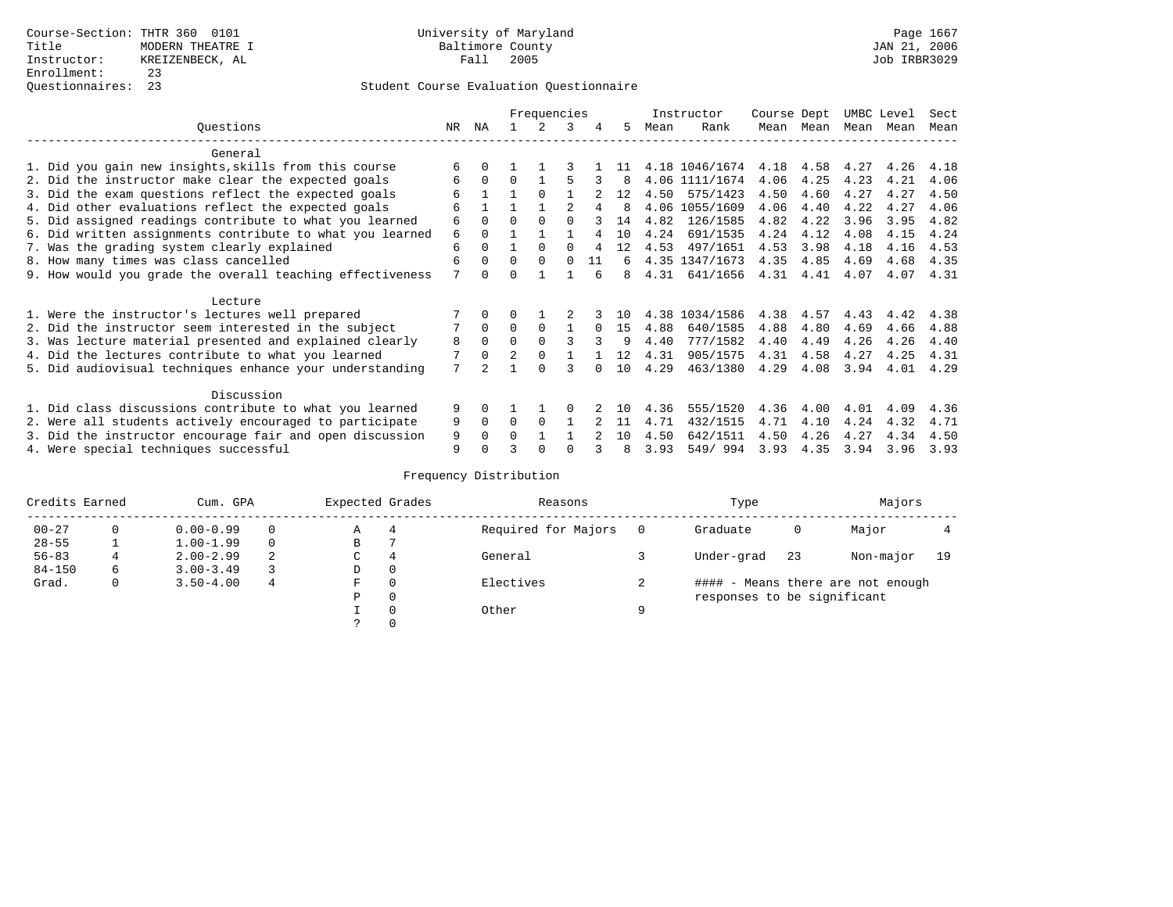|                                                           |     |              |                | Frequencies |          |          |              |      | Instructor     | Course Dept |           | UMBC Level |      | Sect |
|-----------------------------------------------------------|-----|--------------|----------------|-------------|----------|----------|--------------|------|----------------|-------------|-----------|------------|------|------|
| Ouestions                                                 | NR. | ΝA           |                |             | 3        | 4        | 5.           | Mean | Rank           |             | Mean Mean | Mean       | Mean | Mean |
| General                                                   |     |              |                |             |          |          |              |      |                |             |           |            |      |      |
| 1. Did you gain new insights, skills from this course     | 6   |              |                |             |          |          | -11          |      | 4.18 1046/1674 | 4.18        | 4.58      | 4.27       | 4.26 | 4.18 |
| 2. Did the instructor make clear the expected goals       | 6   | $\Omega$     | $\Omega$       |             |          | 3        | 8            |      | 4.06 1111/1674 | 4.06        | 4.25      | 4.23       | 4.21 | 4.06 |
| 3. Did the exam questions reflect the expected goals      | б   |              |                | $\Omega$    |          |          | 12           | 4.50 | 575/1423       | 4.50        | 4.60      | 4.27       | 4.27 | 4.50 |
| 4. Did other evaluations reflect the expected goals       | 6   |              |                |             |          |          | <sup>8</sup> |      | 4.06 1055/1609 | 4.06        | 4.40      | 4.22       | 4.27 | 4.06 |
| 5. Did assigned readings contribute to what you learned   | 6   | $\Omega$     | $\Omega$       | $\Omega$    | $\cap$   |          | 14           | 4.82 | 126/1585       | 4.82        | 4.22      | 3.96       | 3.95 | 4.82 |
| 6. Did written assignments contribute to what you learned | 6   | $\Omega$     |                |             |          |          | 10           | 4.24 | 691/1535       | 4.24        | 4.12      | 4.08       | 4.15 | 4.24 |
| 7. Was the grading system clearly explained               | 6   | $\Omega$     |                | $\Omega$    |          |          | 12           | 4.53 | 497/1651       | 4.53        | 3.98      | 4.18       | 4.16 | 4.53 |
| 8. How many times was class cancelled                     | 6   | $\Omega$     | $\Omega$       | $\Omega$    | $\Omega$ | 11       | 6            |      | 4.35 1347/1673 | 4.35        | 4.85      | 4.69       | 4.68 | 4.35 |
| 9. How would you grade the overall teaching effectiveness | 7   | <sup>n</sup> | ∩              |             |          |          | 8            | 4.31 | 641/1656       | 4.31        | 4.41      | 4.07       | 4.07 | 4.31 |
| Lecture                                                   |     |              |                |             |          |          |              |      |                |             |           |            |      |      |
| 1. Were the instructor's lectures well prepared           |     |              |                |             |          |          | 1 N          |      | 4.38 1034/1586 | 4.38        | 4.57      | 4.43       | 4.42 | 4.38 |
| 2. Did the instructor seem interested in the subject      | 7   | $\Omega$     | $\Omega$       | $\Omega$    |          | $\Omega$ | 15           | 4.88 | 640/1585       | 4.88        | 4.80      | 4.69       | 4.66 | 4.88 |
| 3. Was lecture material presented and explained clearly   | 8   | $\Omega$     | $\Omega$       |             |          |          | 9            | 4.40 | 777/1582       | 4.40        | 4.49      | 4.26       | 4.26 | 4.40 |
| 4. Did the lectures contribute to what you learned        |     | $\Omega$     | $\mathfrak{D}$ | $\Omega$    |          |          | 12           | 4.31 | 905/1575       | 4.31        | 4.58      | 4.27       | 4.25 | 4.31 |
| 5. Did audiovisual techniques enhance your understanding  | 7   |              |                | $\cap$      |          |          | 10           | 4.29 | 463/1380       | 4.29        | 4.08      | 3.94       | 4.01 | 4.29 |
| Discussion                                                |     |              |                |             |          |          |              |      |                |             |           |            |      |      |
| 1. Did class discussions contribute to what you learned   | 9   | 0            |                |             |          |          | 1 ∩          | 4.36 | 555/1520       | 4.36        | 4.00      | 4.01       | 4.09 | 4.36 |
| 2. Were all students actively encouraged to participate   | 9   | $\Omega$     | $\Omega$       | $\Omega$    |          |          | 11           | 4.71 | 432/1515       | 4.71        | 4.10      | 4.24       | 4.32 | 4.71 |
| 3. Did the instructor encourage fair and open discussion  | 9   | $\Omega$     | O              |             |          |          | 1 O          | 4.50 | 642/1511       | 4.50        | 4.26      | 4.27       | 4.34 | 4.50 |
| 4. Were special techniques successful                     | 9   |              |                |             |          |          | 8            | 3.93 | 549/994        | 3.93        | 4.35      | 3.94       | 3.96 | 3.93 |

| Credits Earned |          | Cum. GPA      |   | Expected Grades |          | Reasons             |          | Type                        |     | Majors                            |    |
|----------------|----------|---------------|---|-----------------|----------|---------------------|----------|-----------------------------|-----|-----------------------------------|----|
| $00 - 27$      | $\Omega$ | $0.00 - 0.99$ |   | А               | 4        | Required for Majors | $\Omega$ | Graduate                    | 0   | Major                             |    |
| $28 - 55$      | ᅩ        | $1.00 - 1.99$ |   | В               |          |                     |          |                             |     |                                   |    |
| $56 - 83$      |          | $2.00 - 2.99$ | 2 | $\sim$<br>◡     | 4        | General             |          | Under-grad                  | -23 | Non-major                         | 19 |
| $84 - 150$     | 6        | $3.00 - 3.49$ |   | D               | 0        |                     |          |                             |     |                                   |    |
| Grad.          | 0        | $3.50 - 4.00$ | 4 | F               | 0        | Electives           |          |                             |     | #### - Means there are not enough |    |
|                |          |               |   | Ρ               | 0        |                     |          | responses to be significant |     |                                   |    |
|                |          |               |   |                 | $\Omega$ | Other               | Q        |                             |     |                                   |    |
|                |          |               |   |                 |          |                     |          |                             |     |                                   |    |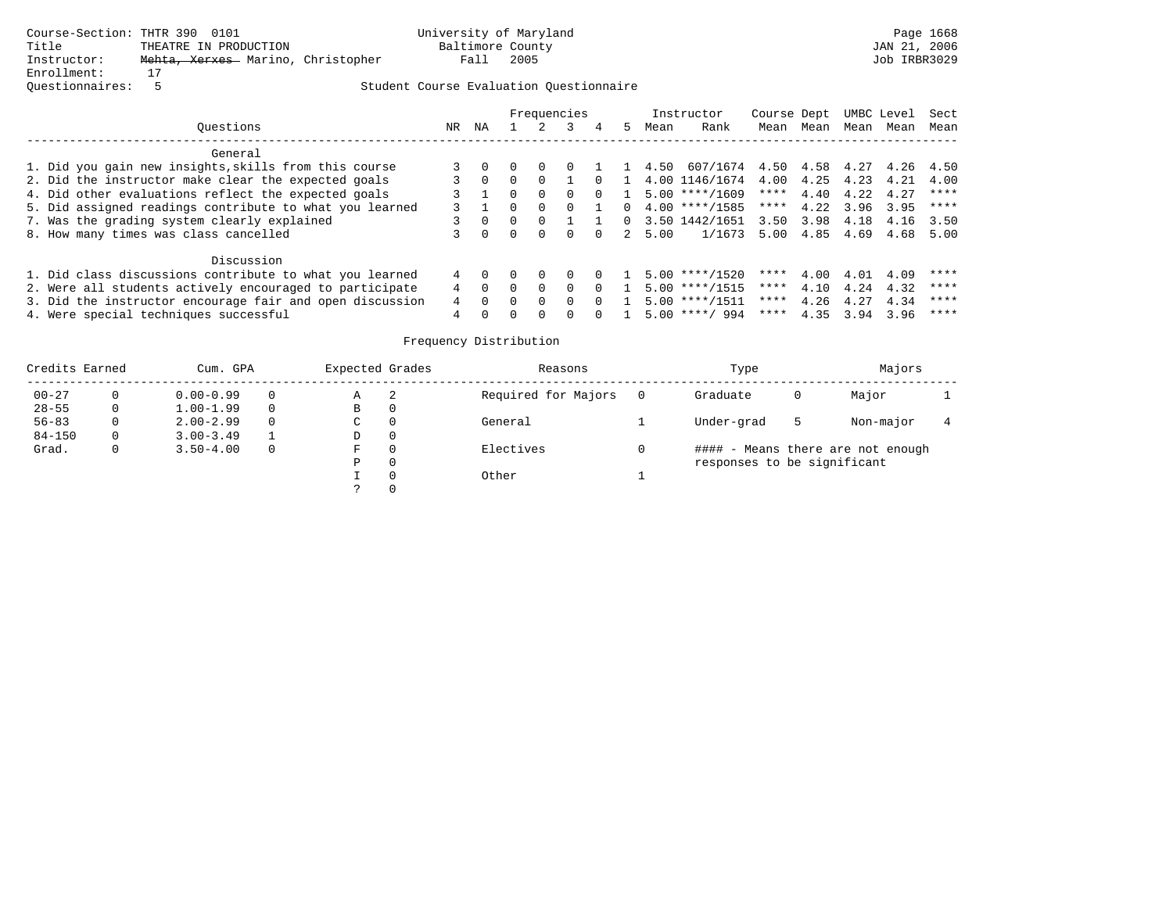|                                                          |    | Frequencies |        |          |          |          |    | Instructor |                                     |      | Course Dept UMBC Level |      | Sect |             |
|----------------------------------------------------------|----|-------------|--------|----------|----------|----------|----|------------|-------------------------------------|------|------------------------|------|------|-------------|
| Ouestions                                                | NR | NA          |        |          |          |          | 5. | Mean       | Rank                                | Mean | Mean                   | Mean | Mean | Mean        |
| General                                                  |    |             |        |          |          |          |    |            |                                     |      |                        |      |      |             |
| 1. Did you gain new insights, skills from this course    |    |             |        | $\Omega$ |          |          |    |            | 1 4.50 607/1674 4.50 4.58 4.27 4.26 |      |                        |      |      | 4.50        |
| 2. Did the instructor make clear the expected goals      |    | $\Omega$    | $\cap$ | $\Omega$ |          | $\Omega$ |    |            | 4.00 1146/1674 4.00                 |      | 4.25 4.23              |      | 4.21 | 4.00        |
| 4. Did other evaluations reflect the expected goals      |    |             | $\cap$ | $\Omega$ | $\Omega$ | $\Omega$ |    |            | $5.00$ ****/1609                    | **** | 4.40                   | 4.22 | 4.27 | ****        |
| 5. Did assigned readings contribute to what you learned  |    |             |        | $\Omega$ |          |          |    |            | $0, 4.00$ ****/1585                 | **** | 4.22                   | 3.96 | 3.95 | ****        |
| 7. Was the grading system clearly explained              |    |             |        |          |          |          |    |            | $0$ 3.50 1442/1651 3.50             |      | 3.98                   | 4.18 | 4.16 | 3.50        |
| 8. How many times was class cancelled                    |    |             | $\cap$ | $\Omega$ | $\Omega$ |          |    | 2 5.00     | 1/1673 5.00                         |      | 4.85 4.69              |      | 4.68 | 5.00        |
| Discussion                                               |    |             |        |          |          |          |    |            |                                     |      |                        |      |      |             |
| 1. Did class discussions contribute to what you learned  | 4  |             |        |          | $\Omega$ | $\Omega$ |    |            | $5.00$ ****/1520                    | **** | 4.00                   | 4.01 | 4.09 | $***$ * * * |
| 2. Were all students actively encouraged to participate  |    |             |        | $\Omega$ | $\Omega$ | $\Omega$ |    |            | $5.00$ ****/1515                    | **** | 4.10                   | 4.24 | 4.32 | ****        |
| 3. Did the instructor encourage fair and open discussion | 4  | $\Omega$    |        | $\Omega$ | $\Omega$ | $\Omega$ |    |            | 5.00 ****/1511                      | **** | 4.26                   | 4.27 | 4.34 | ****        |
| 4. Were special techniques successful                    |    |             |        |          |          |          |    |            | $5.00$ ****/ 994                    | **** | 4.35                   | 3.94 | 3.96 | $***$ * * * |

| Credits Earned |          | Cum. GPA      | Expected Grades |   | Reasons             | Type                        |   | Majors                            |  |
|----------------|----------|---------------|-----------------|---|---------------------|-----------------------------|---|-----------------------------------|--|
| $00 - 27$      | 0        | $0.00 - 0.99$ | Α               | 2 | Required for Majors | Graduate                    | 0 | Major                             |  |
| $28 - 55$      | $\Omega$ | $1.00 - 1.99$ | В               | 0 |                     |                             |   |                                   |  |
| $56 - 83$      | 0        | $2.00 - 2.99$ | $\sim$<br>◡     | 0 | General             | Under-grad                  | ל | Non-major                         |  |
| $84 - 150$     | 0        | $3.00 - 3.49$ | D               | 0 |                     |                             |   |                                   |  |
| Grad.          | 0        | $3.50 - 4.00$ | F               |   | Electives           |                             |   | #### - Means there are not enough |  |
|                |          |               | Ρ               | 0 |                     | responses to be significant |   |                                   |  |
|                |          |               |                 | 0 | Other               |                             |   |                                   |  |
|                |          |               | C.              |   |                     |                             |   |                                   |  |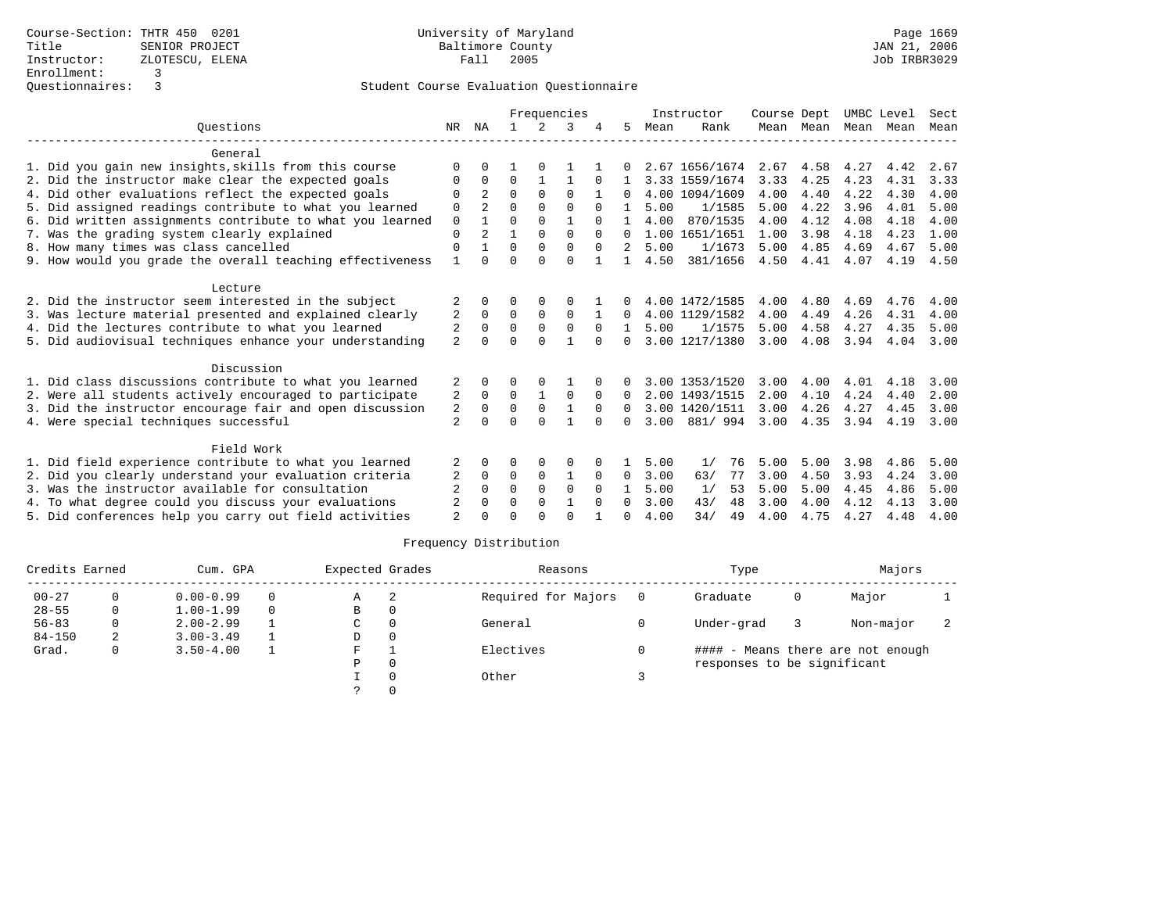|                                                           |                |              |              |              | Frequencies  |              |              |      | Instructor     | Course Dept |                     |      | UMBC Level | Sect |
|-----------------------------------------------------------|----------------|--------------|--------------|--------------|--------------|--------------|--------------|------|----------------|-------------|---------------------|------|------------|------|
| Ouestions                                                 | NR             | ΝA           | $\mathbf{1}$ | 2            | 3            |              | 5.           | Mean | Rank           |             | Mean Mean Mean Mean |      |            | Mean |
| General                                                   |                |              |              |              |              |              |              |      |                |             |                     |      |            |      |
| 1. Did you gain new insights, skills from this course     |                |              |              |              |              |              |              |      | 2.67 1656/1674 | 2.67        | 4.58                | 4.27 | 4.42       | 2.67 |
| 2. Did the instructor make clear the expected goals       | 0              | 0            | O            |              |              | <sup>0</sup> |              |      | 3.33 1559/1674 | 3.33        | 4.25                | 4.23 | 4.31       | 3.33 |
| 4. Did other evaluations reflect the expected goals       | $\Omega$       | 2            | $\Omega$     | $\Omega$     | $\Omega$     | 1            | 0            |      | 4.00 1094/1609 | 4.00        | 4.40                | 4.22 | 4.30       | 4.00 |
|                                                           | $\Omega$       |              | $\Omega$     | $\Omega$     | $\Omega$     | $\Omega$     |              | 5.00 | 1/1585         | 5.00        | 4.22                | 3.96 | 4.01       | 5.00 |
| 5. Did assigned readings contribute to what you learned   |                |              | $\Omega$     | $\Omega$     |              |              |              |      | 870/1535       |             |                     |      |            |      |
| 6. Did written assignments contribute to what you learned | 0              |              |              |              |              | $\Omega$     |              | 4.00 |                | 4.00        | 4.12                | 4.08 | 4.18       | 4.00 |
| 7. Was the grading system clearly explained               | 0              | 2            |              | $\Omega$     | $\Omega$     |              | $\Omega$     |      | 1.00 1651/1651 | 1.00        | 3.98                | 4.18 | 4.23       | 1.00 |
| 8. How many times was class cancelled                     | $\Omega$       |              | $\Omega$     | $\Omega$     | $\Omega$     | $\Omega$     | 2            | 5.00 | 1/1673         | 5.00        | 4.85                | 4.69 | 4.67       | 5.00 |
| 9. How would you grade the overall teaching effectiveness | $\mathbf{1}$   | $\cap$       | $\Omega$     | $\cap$       | $\Omega$     | $\mathbf{1}$ | $\mathbf{1}$ | 4.50 | 381/1656       | 4.50        | 4.41                | 4.07 | 4.19       | 4.50 |
| Lecture                                                   |                |              |              |              |              |              |              |      |                |             |                     |      |            |      |
| 2. Did the instructor seem interested in the subject      | 2              |              | 0            |              | 0            |              |              |      | 4.00 1472/1585 | 4.00        | 4.80                | 4.69 | 4.76       | 4.00 |
| 3. Was lecture material presented and explained clearly   | 2              | 0            | $\Omega$     | $\Omega$     | $\Omega$     |              | 0            |      | 4.00 1129/1582 | 4.00        | 4.49                | 4.26 | 4.31       | 4.00 |
| 4. Did the lectures contribute to what you learned        | 2              | $\Omega$     | 0            | 0            | $\mathbf 0$  | $\Omega$     | $\mathbf{1}$ | 5.00 | 1/1575         | 5.00        | 4.58                | 4.27 | 4.35       | 5.00 |
| 5. Did audiovisual techniques enhance your understanding  | $\overline{a}$ | $\cap$       | $\Omega$     | $\Omega$     | $\mathbf{1}$ | $\Omega$     | 0            |      | 3.00 1217/1380 | 3.00        | 4.08                | 3.94 | 4.04       | 3.00 |
|                                                           |                |              |              |              |              |              |              |      |                |             |                     |      |            |      |
| Discussion                                                |                |              |              |              |              |              |              |      |                |             |                     |      |            |      |
| 1. Did class discussions contribute to what you learned   |                |              |              |              |              |              |              |      | 3.00 1353/1520 | 3.00        | 4.00                | 4.01 | 4.18       | 3.00 |
| 2. Were all students actively encouraged to participate   | 2              | 0            | $\mathbf 0$  | $\mathbf{1}$ | $\mathbf 0$  | 0            | $\Omega$     |      | 2.00 1493/1515 | 2.00        | 4.10                | 4.24 | 4.40       | 2.00 |
| 3. Did the instructor encourage fair and open discussion  | 2              | $\Omega$     | $\Omega$     | $\Omega$     | $\mathbf{1}$ | $\Omega$     | $\Omega$     |      | 3.00 1420/1511 | 3.00        | 4.26                | 4.27 | 4.45       | 3.00 |
| 4. Were special techniques successful                     | $\overline{a}$ | <sup>0</sup> | $\cap$       | $\cap$       |              | $\Omega$     | 0            | 3.00 | 881/994        | 3.00        | 4.35                | 3.94 | 4.19       | 3.00 |
| Field Work                                                |                |              |              |              |              |              |              |      |                |             |                     |      |            |      |
| 1. Did field experience contribute to what you learned    |                |              | 0            | 0            | 0            |              |              | 5.00 | 1/<br>76       | 5.00        | 5.00                | 3.98 | 4.86       | 5.00 |
| 2. Did you clearly understand your evaluation criteria    |                | 0            | 0            | $\Omega$     | 1            | $\Omega$     | $\Omega$     | 3.00 | 77<br>63/      | 3.00        | 4.50                | 3.93 | 4.24       | 3.00 |
| 3. Was the instructor available for consultation          |                | <sup>0</sup> | $\Omega$     | $\Omega$     | $\Omega$     | $\Omega$     | 1.           | 5.00 | 1/<br>53       | 5.00        | 5.00                | 4.45 | 4.86       | 5.00 |
| 4. To what degree could you discuss your evaluations      |                | 0            | $\Omega$     | $\Omega$     |              | $\Omega$     | 0            | 3.00 | 48<br>43/      | 3.00        | 4.00                | 4.12 | 4.13       | 3.00 |
| 5. Did conferences help you carry out field activities    |                |              |              |              | $\cap$       |              |              | 4.00 | 34/<br>49      | 4.00        | 4.75                | 4.27 | 4.48       | 4.00 |

| Credits Earned |   | Cum. GPA      |          | Expected Grades |          | Reasons             |     | Type                        |   | Majors                            |  |
|----------------|---|---------------|----------|-----------------|----------|---------------------|-----|-----------------------------|---|-----------------------------------|--|
| $00 - 27$      |   | $0.00 - 0.99$ | $\Omega$ | Α               |          | Required for Majors | - 0 | Graduate                    | 0 | Major                             |  |
| $28 - 55$      | 0 | $1.00 - 1.99$ | $\Omega$ | в               | 0        |                     |     |                             |   |                                   |  |
| $56 - 83$      | 0 | $2.00 - 2.99$ |          | C               | $\Omega$ | General             |     | Under-grad                  |   | Non-major                         |  |
| $84 - 150$     | 2 | $3.00 - 3.49$ |          | D               | 0        |                     |     |                             |   |                                   |  |
| Grad.          | 0 | $3.50 - 4.00$ |          | F.              |          | Electives           |     |                             |   | #### - Means there are not enough |  |
|                |   |               |          | Ρ               | $\Omega$ |                     |     | responses to be significant |   |                                   |  |
|                |   |               |          |                 |          | Other               |     |                             |   |                                   |  |
|                |   |               |          |                 |          |                     |     |                             |   |                                   |  |